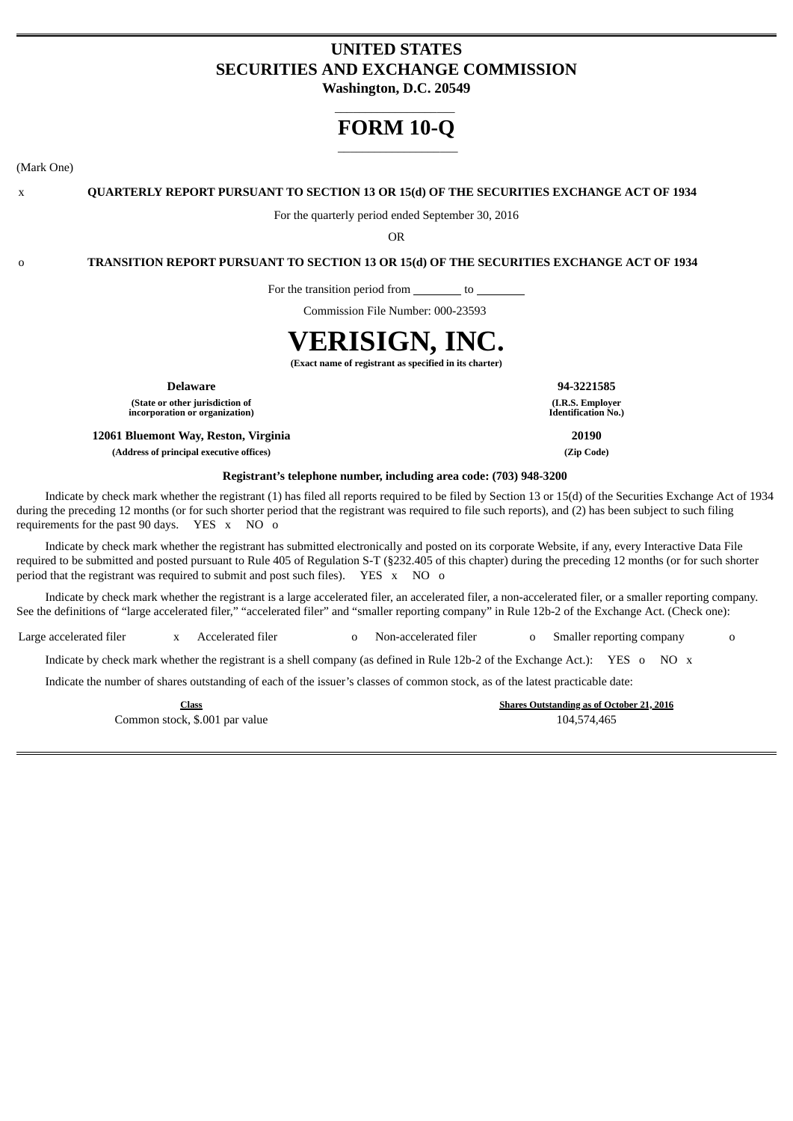# **UNITED STATES SECURITIES AND EXCHANGE COMMISSION**

**Washington, D.C. 20549**

# \_\_\_\_\_\_\_\_\_\_\_\_\_\_\_\_\_\_\_\_ **FORM 10-Q** \_\_\_\_\_\_\_\_\_\_\_\_\_\_\_\_\_\_\_\_

(Mark One)

x **QUARTERLY REPORT PURSUANT TO SECTION 13 OR 15(d) OF THE SECURITIES EXCHANGE ACT OF 1934**

For the quarterly period ended September 30, 2016

OR

o **TRANSITION REPORT PURSUANT TO SECTION 13 OR 15(d) OF THE SECURITIES EXCHANGE ACT OF 1934**

For the transition period from \_\_\_\_\_\_\_\_ to \_

Commission File Number: 000-23593

# **VERISIGN, INC.**

**(Exact name of registrant as specified in its charter)**

**(State or other jurisdiction of incorporation or organization)**

**12061 Bluemont Way, Reston, Virginia 20190 (Address of principal executive offices) (Zip Code)**

**Delaware 94-3221585 (I.R.S. Employer Identification No.)**

# **Registrant's telephone number, including area code: (703) 948-3200**

Indicate by check mark whether the registrant (1) has filed all reports required to be filed by Section 13 or 15(d) of the Securities Exchange Act of 1934 during the preceding 12 months (or for such shorter period that the registrant was required to file such reports), and (2) has been subject to such filing requirements for the past 90 days. YES x NO o

Indicate by check mark whether the registrant has submitted electronically and posted on its corporate Website, if any, every Interactive Data File required to be submitted and posted pursuant to Rule 405 of Regulation S-T (§232.405 of this chapter) during the preceding 12 months (or for such shorter period that the registrant was required to submit and post such files). YES x NO o

Indicate by check mark whether the registrant is a large accelerated filer, an accelerated filer, a non-accelerated filer, or a smaller reporting company. See the definitions of "large accelerated filer," "accelerated filer" and "smaller reporting company" in Rule 12b-2 of the Exchange Act. (Check one):

Large accelerated filer x Accelerated filer o Non-accelerated filer o Smaller reporting company o

Indicate by check mark whether the registrant is a shell company (as defined in Rule 12b-2 of the Exchange Act.): YES o NO x

Indicate the number of shares outstanding of each of the issuer's classes of common stock, as of the latest practicable date:

Common stock, \$.001 par value 104,574,465

**Class Shares Outstanding as of October 21, 2016**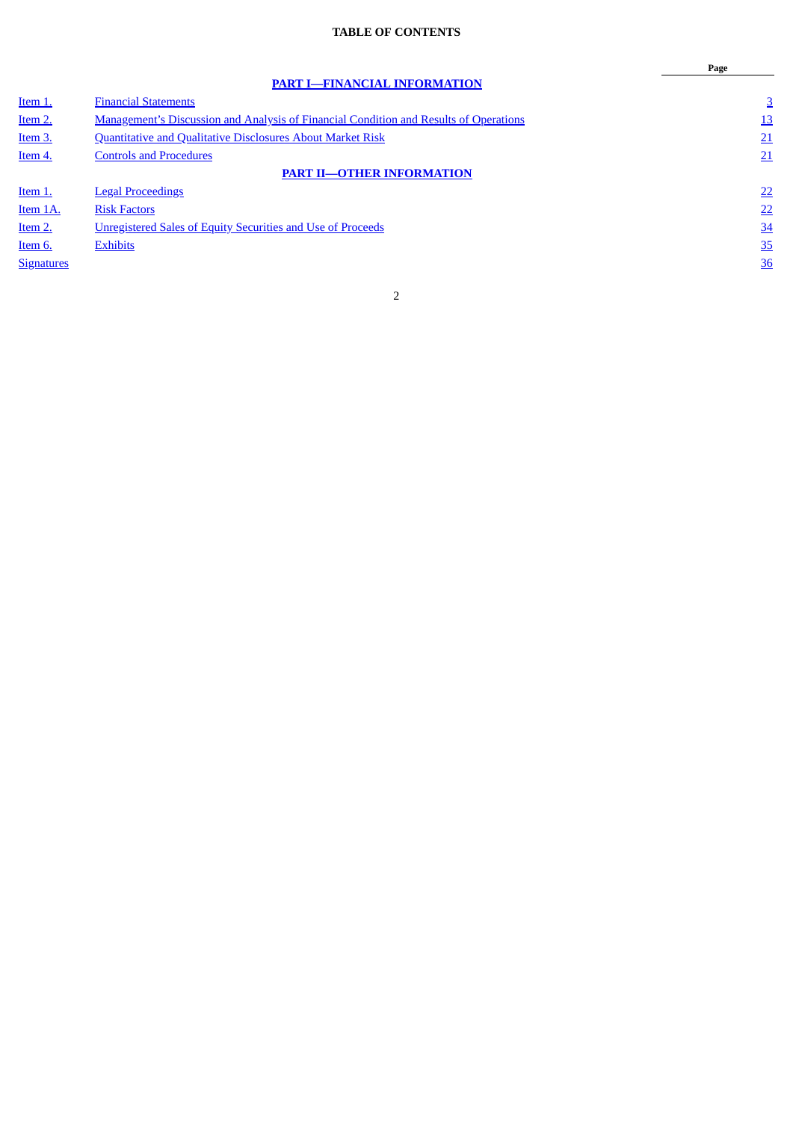# **TABLE OF CONTENTS**

<span id="page-1-0"></span>

|                   |                                                                                       | Page            |
|-------------------|---------------------------------------------------------------------------------------|-----------------|
|                   | <b>PART I-FINANCIAL INFORMATION</b>                                                   |                 |
| Item 1.           | <b>Financial Statements</b>                                                           | $\overline{3}$  |
| Item 2.           | Management's Discussion and Analysis of Financial Condition and Results of Operations | 13              |
| Item 3.           | <b>Quantitative and Qualitative Disclosures About Market Risk</b>                     | $\overline{21}$ |
| Item 4.           | <b>Controls and Procedures</b>                                                        | 21              |
|                   | <b>PART II-OTHER INFORMATION</b>                                                      |                 |
| Item 1.           | <b>Legal Proceedings</b>                                                              | 22              |
| Item 1A.          | <b>Risk Factors</b>                                                                   | 22              |
| Item 2.           | <b>Unregistered Sales of Equity Securities and Use of Proceeds</b>                    | 34              |
| Item 6.           | <b>Exhibits</b>                                                                       | 35              |
| <b>Signatures</b> |                                                                                       | <u>36</u>       |
|                   |                                                                                       |                 |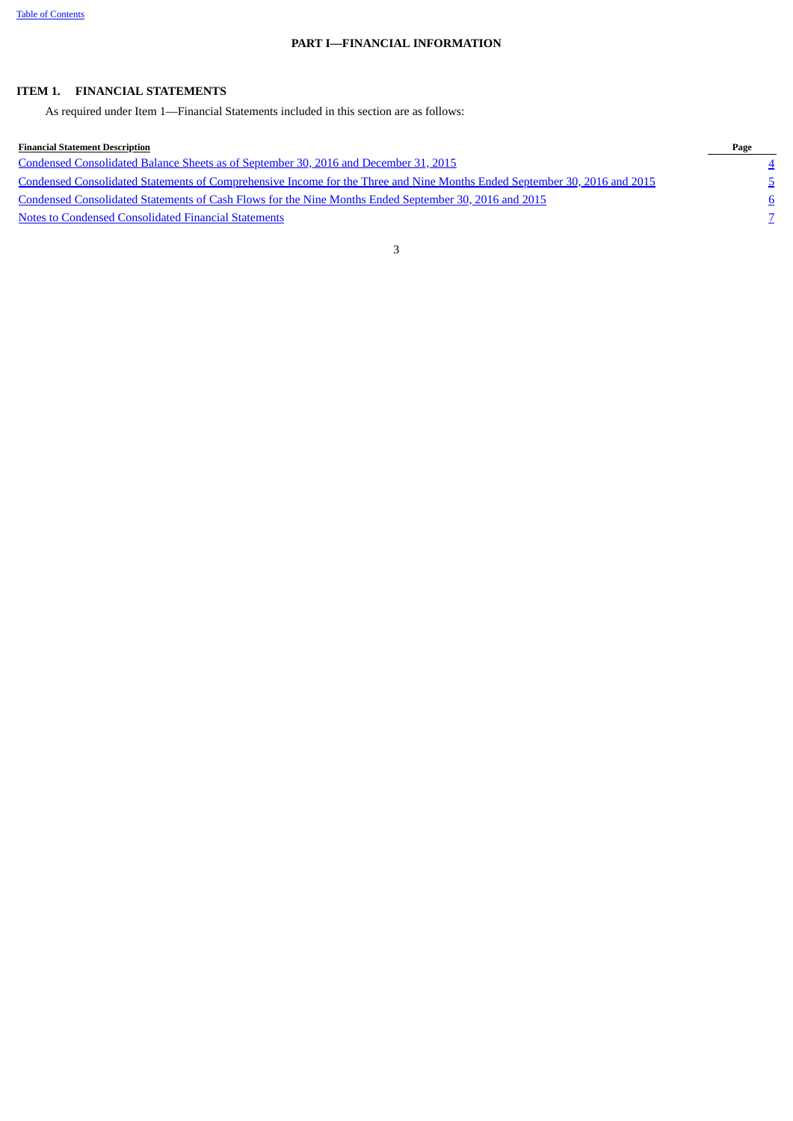# **PART I—FINANCIAL INFORMATION**

# <span id="page-2-1"></span><span id="page-2-0"></span>**ITEM 1. FINANCIAL STATEMENTS**

As required under Item 1—Financial Statements included in this section are as follows:

| <b>Financial Statement Description</b>                                                                                    | Page |
|---------------------------------------------------------------------------------------------------------------------------|------|
| Condensed Consolidated Balance Sheets as of September 30, 2016 and December 31, 2015                                      |      |
| Condensed Consolidated Statements of Comprehensive Income for the Three and Nine Months Ended September 30, 2016 and 2015 | -5   |
| Condensed Consolidated Statements of Cash Flows for the Nine Months Ended September 30, 2016 and 2015                     | -6   |
| Notes to Condensed Consolidated Financial Statements                                                                      |      |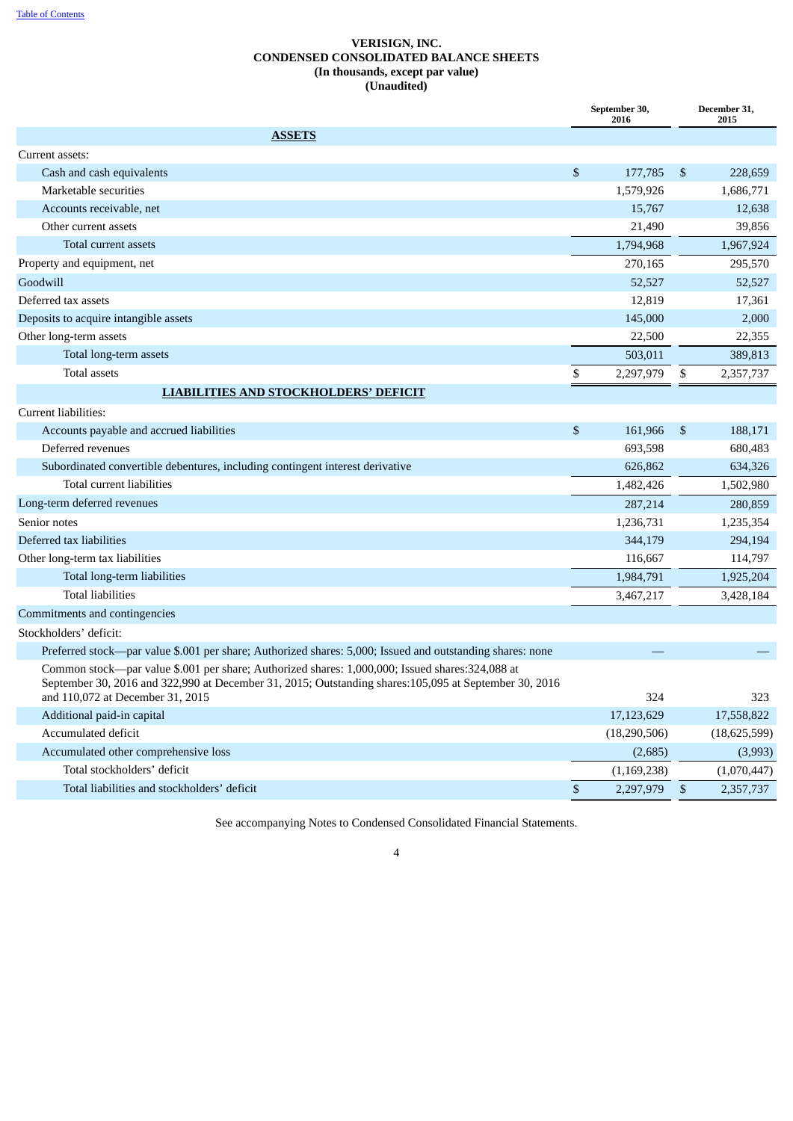# **VERISIGN, INC. CONDENSED CONSOLIDATED BALANCE SHEETS (In thousands, except par value) (Unaudited)**

<span id="page-3-0"></span>

|                                                                                                                                                                                                                                              |      | September 30,<br>2016 | December 31,<br>2015 |              |  |  |
|----------------------------------------------------------------------------------------------------------------------------------------------------------------------------------------------------------------------------------------------|------|-----------------------|----------------------|--------------|--|--|
| <b>ASSETS</b>                                                                                                                                                                                                                                |      |                       |                      |              |  |  |
| Current assets:                                                                                                                                                                                                                              |      |                       |                      |              |  |  |
| Cash and cash equivalents                                                                                                                                                                                                                    | $\$$ | 177,785               | $\mathfrak{S}$       | 228,659      |  |  |
| Marketable securities                                                                                                                                                                                                                        |      | 1,579,926             |                      | 1,686,771    |  |  |
| Accounts receivable, net                                                                                                                                                                                                                     |      | 15,767                |                      | 12,638       |  |  |
| Other current assets                                                                                                                                                                                                                         |      | 21,490                |                      | 39,856       |  |  |
| Total current assets                                                                                                                                                                                                                         |      | 1,794,968             |                      | 1,967,924    |  |  |
| Property and equipment, net                                                                                                                                                                                                                  |      | 270,165               |                      | 295,570      |  |  |
| Goodwill                                                                                                                                                                                                                                     |      | 52,527                |                      | 52,527       |  |  |
| Deferred tax assets                                                                                                                                                                                                                          |      | 12,819                |                      | 17,361       |  |  |
| Deposits to acquire intangible assets                                                                                                                                                                                                        |      | 145,000               |                      | 2,000        |  |  |
| Other long-term assets                                                                                                                                                                                                                       |      | 22,500                |                      | 22,355       |  |  |
| Total long-term assets                                                                                                                                                                                                                       |      | 503,011               |                      | 389,813      |  |  |
| <b>Total assets</b>                                                                                                                                                                                                                          | \$   | 2,297,979             | \$                   | 2,357,737    |  |  |
| <b>LIABILITIES AND STOCKHOLDERS' DEFICIT</b>                                                                                                                                                                                                 |      |                       |                      |              |  |  |
| Current liabilities:                                                                                                                                                                                                                         |      |                       |                      |              |  |  |
| Accounts payable and accrued liabilities                                                                                                                                                                                                     | \$   | 161,966               | \$                   | 188,171      |  |  |
| Deferred revenues                                                                                                                                                                                                                            |      | 693,598               |                      | 680,483      |  |  |
| Subordinated convertible debentures, including contingent interest derivative                                                                                                                                                                |      | 626,862               |                      | 634,326      |  |  |
| Total current liabilities                                                                                                                                                                                                                    |      | 1,482,426             |                      | 1,502,980    |  |  |
| Long-term deferred revenues                                                                                                                                                                                                                  |      | 287,214               |                      | 280,859      |  |  |
| Senior notes                                                                                                                                                                                                                                 |      | 1,236,731             |                      | 1,235,354    |  |  |
| Deferred tax liabilities                                                                                                                                                                                                                     |      | 344,179               |                      | 294,194      |  |  |
| Other long-term tax liabilities                                                                                                                                                                                                              |      | 116,667               |                      | 114,797      |  |  |
| Total long-term liabilities                                                                                                                                                                                                                  |      | 1,984,791             |                      | 1,925,204    |  |  |
| <b>Total liabilities</b>                                                                                                                                                                                                                     |      | 3,467,217             |                      | 3,428,184    |  |  |
| Commitments and contingencies                                                                                                                                                                                                                |      |                       |                      |              |  |  |
| Stockholders' deficit:                                                                                                                                                                                                                       |      |                       |                      |              |  |  |
| Preferred stock—par value \$.001 per share; Authorized shares: 5,000; Issued and outstanding shares: none                                                                                                                                    |      |                       |                      |              |  |  |
| Common stock—par value \$.001 per share; Authorized shares: 1,000,000; Issued shares:324,088 at<br>September 30, 2016 and 322,990 at December 31, 2015; Outstanding shares:105,095 at September 30, 2016<br>and 110,072 at December 31, 2015 |      | 324                   |                      | 323          |  |  |
| Additional paid-in capital                                                                                                                                                                                                                   |      | 17,123,629            |                      | 17,558,822   |  |  |
| Accumulated deficit                                                                                                                                                                                                                          |      | (18, 290, 506)        |                      | (18,625,599) |  |  |
| Accumulated other comprehensive loss                                                                                                                                                                                                         |      | (2,685)               |                      | (3,993)      |  |  |
| Total stockholders' deficit                                                                                                                                                                                                                  |      | (1, 169, 238)         |                      | (1,070,447)  |  |  |
| Total liabilities and stockholders' deficit                                                                                                                                                                                                  | \$   | 2,297,979             | $\sqrt{3}$           | 2,357,737    |  |  |

See accompanying Notes to Condensed Consolidated Financial Statements.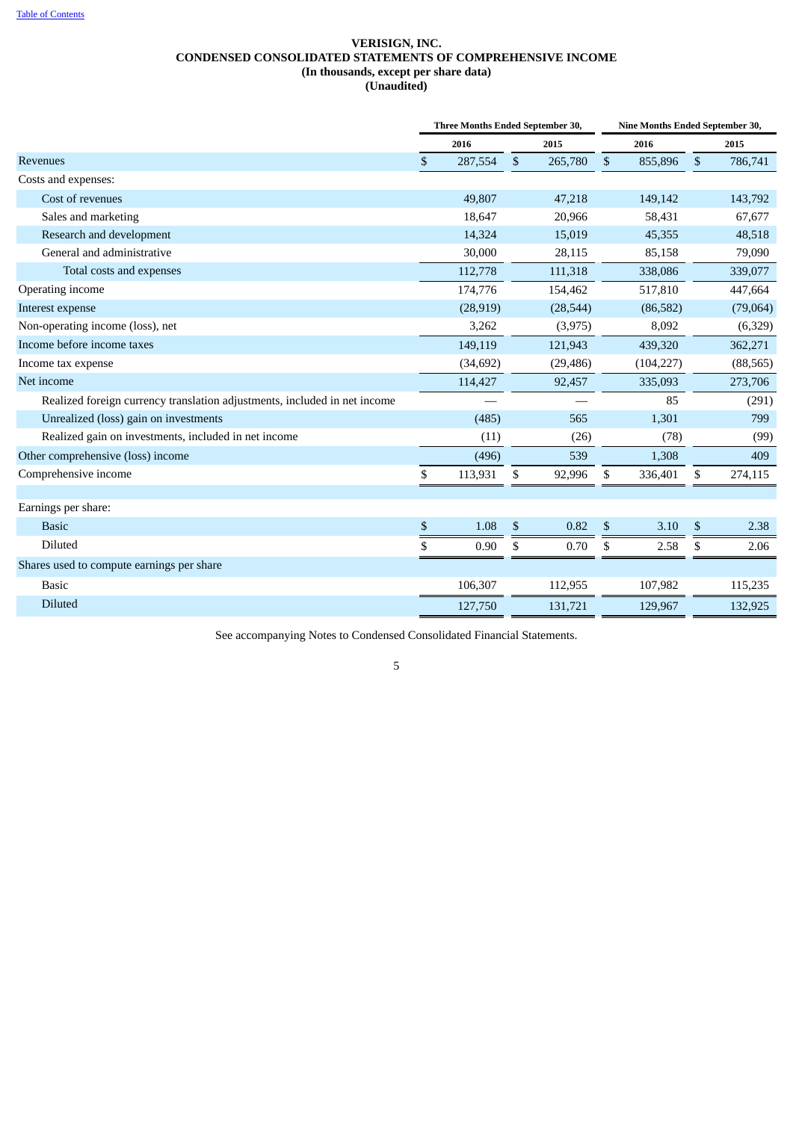# **VERISIGN, INC. CONDENSED CONSOLIDATED STATEMENTS OF COMPREHENSIVE INCOME (In thousands, except per share data) (Unaudited)**

<span id="page-4-0"></span>

|                                                                           | Three Months Ended September 30, |           |                | Nine Months Ended September 30, |                |            |                |           |
|---------------------------------------------------------------------------|----------------------------------|-----------|----------------|---------------------------------|----------------|------------|----------------|-----------|
|                                                                           |                                  | 2016      |                | 2015                            |                | 2016       |                | 2015      |
| Revenues                                                                  | \$                               | 287,554   | $\mathfrak{S}$ | 265,780                         | $\mathfrak{S}$ | 855,896    | $\mathfrak{S}$ | 786,741   |
| Costs and expenses:                                                       |                                  |           |                |                                 |                |            |                |           |
| Cost of revenues                                                          |                                  | 49,807    |                | 47,218                          |                | 149,142    |                | 143,792   |
| Sales and marketing                                                       |                                  | 18,647    |                | 20,966                          |                | 58,431     |                | 67,677    |
| Research and development                                                  |                                  | 14,324    |                | 15,019                          |                | 45,355     |                | 48,518    |
| General and administrative                                                |                                  | 30,000    |                | 28,115                          |                | 85,158     |                | 79,090    |
| Total costs and expenses                                                  |                                  | 112,778   |                | 111,318                         |                | 338,086    |                | 339,077   |
| Operating income                                                          |                                  | 174,776   |                | 154,462                         |                | 517,810    |                | 447,664   |
| Interest expense                                                          |                                  | (28, 919) |                | (28, 544)                       |                | (86, 582)  |                | (79,064)  |
| Non-operating income (loss), net                                          |                                  | 3,262     |                | (3,975)                         |                | 8,092      |                | (6,329)   |
| Income before income taxes                                                |                                  | 149,119   |                | 121,943                         |                | 439,320    |                | 362,271   |
| Income tax expense                                                        |                                  | (34, 692) |                | (29, 486)                       |                | (104, 227) |                | (88, 565) |
| Net income                                                                |                                  | 114,427   |                | 92,457                          |                | 335,093    |                | 273,706   |
| Realized foreign currency translation adjustments, included in net income |                                  |           |                |                                 |                | 85         |                | (291)     |
| Unrealized (loss) gain on investments                                     |                                  | (485)     |                | 565                             |                | 1,301      |                | 799       |
| Realized gain on investments, included in net income                      |                                  | (11)      |                | (26)                            |                | (78)       |                | (99)      |
| Other comprehensive (loss) income                                         |                                  | (496)     |                | 539                             |                | 1,308      |                | 409       |
| Comprehensive income                                                      | \$                               | 113,931   | \$             | 92,996                          | \$             | 336,401    | \$             | 274,115   |
|                                                                           |                                  |           |                |                                 |                |            |                |           |
| Earnings per share:                                                       |                                  |           |                |                                 |                |            |                |           |
| <b>Basic</b>                                                              | \$                               | 1.08      | \$             | 0.82                            | \$             | 3.10       | \$             | 2.38      |
| Diluted                                                                   | \$                               | 0.90      | \$             | 0.70                            | \$             | 2.58       | \$             | 2.06      |
| Shares used to compute earnings per share                                 |                                  |           |                |                                 |                |            |                |           |
| <b>Basic</b>                                                              |                                  | 106,307   |                | 112,955                         |                | 107,982    |                | 115,235   |
| <b>Diluted</b>                                                            |                                  | 127,750   |                | 131,721                         |                | 129,967    |                | 132,925   |

See accompanying Notes to Condensed Consolidated Financial Statements.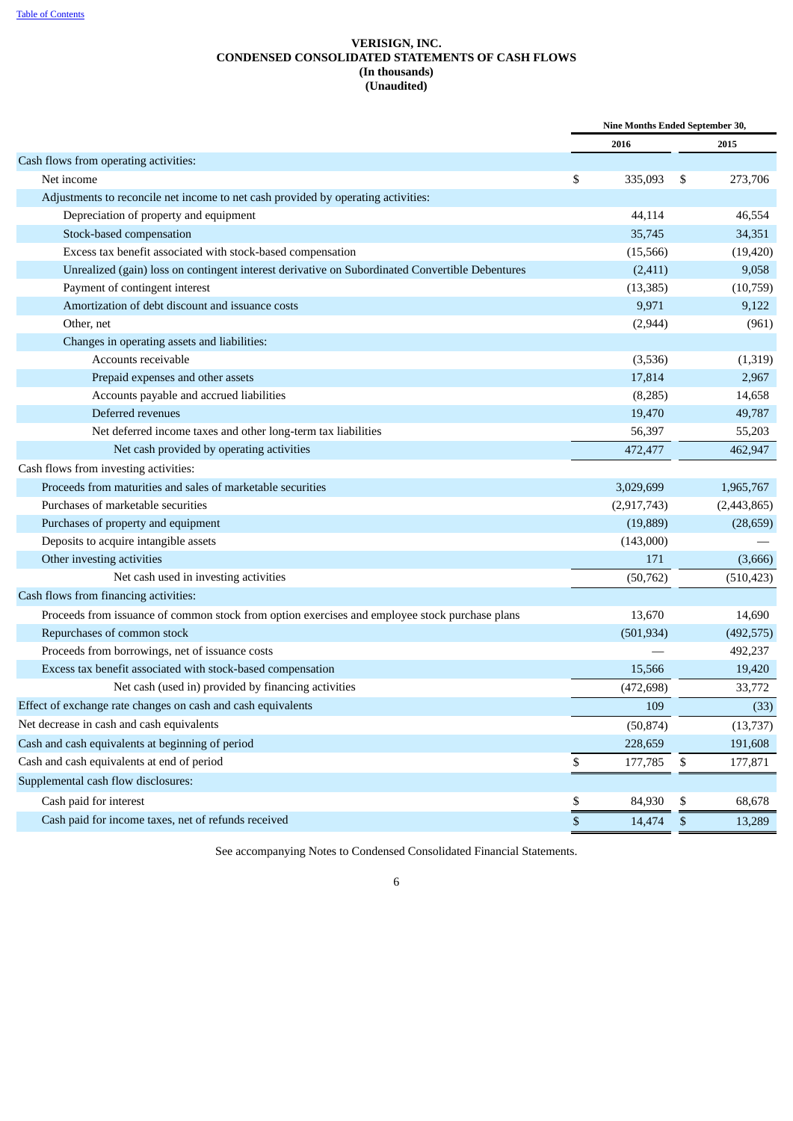# **VERISIGN, INC. CONDENSED CONSOLIDATED STATEMENTS OF CASH FLOWS (In thousands) (Unaudited)**

<span id="page-5-0"></span>

|                                                                                                 |               | Nine Months Ended September 30, |             |  |  |
|-------------------------------------------------------------------------------------------------|---------------|---------------------------------|-------------|--|--|
|                                                                                                 | 2016          |                                 | 2015        |  |  |
| Cash flows from operating activities:                                                           |               |                                 |             |  |  |
| Net income                                                                                      | \$<br>335,093 | \$                              | 273,706     |  |  |
| Adjustments to reconcile net income to net cash provided by operating activities:               |               |                                 |             |  |  |
| Depreciation of property and equipment                                                          | 44,114        |                                 | 46,554      |  |  |
| Stock-based compensation                                                                        | 35,745        |                                 | 34,351      |  |  |
| Excess tax benefit associated with stock-based compensation                                     | (15, 566)     |                                 | (19, 420)   |  |  |
| Unrealized (gain) loss on contingent interest derivative on Subordinated Convertible Debentures | (2, 411)      |                                 | 9,058       |  |  |
| Payment of contingent interest                                                                  | (13, 385)     |                                 | (10, 759)   |  |  |
| Amortization of debt discount and issuance costs                                                | 9,971         |                                 | 9,122       |  |  |
| Other, net                                                                                      | (2,944)       |                                 | (961)       |  |  |
| Changes in operating assets and liabilities:                                                    |               |                                 |             |  |  |
| Accounts receivable                                                                             | (3,536)       |                                 | (1, 319)    |  |  |
| Prepaid expenses and other assets                                                               | 17,814        |                                 | 2,967       |  |  |
| Accounts payable and accrued liabilities                                                        | (8, 285)      |                                 | 14,658      |  |  |
| Deferred revenues                                                                               | 19,470        |                                 | 49,787      |  |  |
| Net deferred income taxes and other long-term tax liabilities                                   | 56,397        |                                 | 55,203      |  |  |
| Net cash provided by operating activities                                                       | 472,477       |                                 | 462,947     |  |  |
| Cash flows from investing activities:                                                           |               |                                 |             |  |  |
| Proceeds from maturities and sales of marketable securities                                     | 3,029,699     |                                 | 1,965,767   |  |  |
| Purchases of marketable securities                                                              | (2,917,743)   |                                 | (2,443,865) |  |  |
| Purchases of property and equipment                                                             | (19, 889)     |                                 | (28, 659)   |  |  |
| Deposits to acquire intangible assets                                                           | (143,000)     |                                 |             |  |  |
| Other investing activities                                                                      | 171           |                                 | (3,666)     |  |  |
| Net cash used in investing activities                                                           | (50, 762)     |                                 | (510, 423)  |  |  |
| Cash flows from financing activities:                                                           |               |                                 |             |  |  |
| Proceeds from issuance of common stock from option exercises and employee stock purchase plans  | 13,670        |                                 | 14,690      |  |  |
| Repurchases of common stock                                                                     | (501, 934)    |                                 | (492, 575)  |  |  |
| Proceeds from borrowings, net of issuance costs                                                 |               |                                 | 492,237     |  |  |
| Excess tax benefit associated with stock-based compensation                                     | 15,566        |                                 | 19,420      |  |  |
| Net cash (used in) provided by financing activities                                             | (472, 698)    |                                 | 33,772      |  |  |
| Effect of exchange rate changes on cash and cash equivalents                                    | 109           |                                 | (33)        |  |  |
| Net decrease in cash and cash equivalents                                                       | (50, 874)     |                                 | (13, 737)   |  |  |
| Cash and cash equivalents at beginning of period                                                | 228,659       |                                 | 191,608     |  |  |
| Cash and cash equivalents at end of period                                                      | \$<br>177,785 | \$                              | 177,871     |  |  |
| Supplemental cash flow disclosures:                                                             |               |                                 |             |  |  |
| Cash paid for interest                                                                          | \$<br>84,930  | \$                              | 68,678      |  |  |
| Cash paid for income taxes, net of refunds received                                             | \$<br>14,474  | $\mathbb{S}$                    | 13,289      |  |  |
|                                                                                                 |               |                                 |             |  |  |

See accompanying Notes to Condensed Consolidated Financial Statements.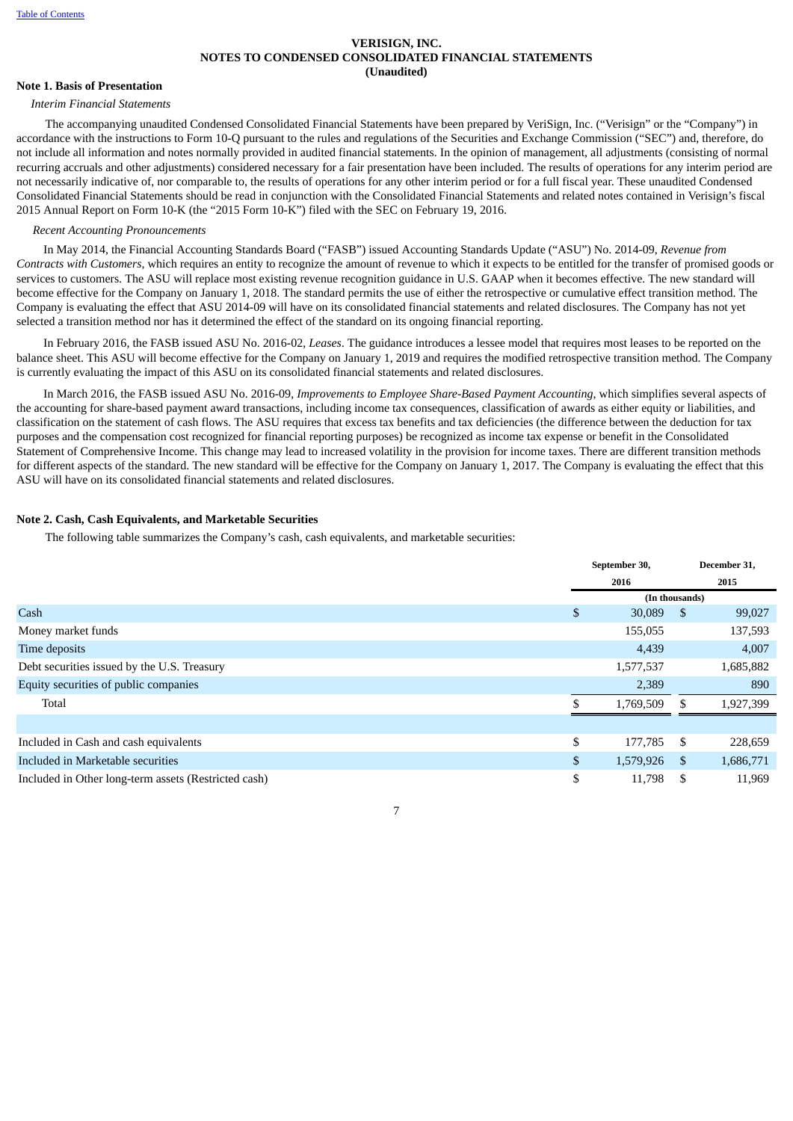# **VERISIGN, INC. NOTES TO CONDENSED CONSOLIDATED FINANCIAL STATEMENTS (Unaudited)**

#### <span id="page-6-0"></span>**Note 1. Basis of Presentation**

#### *Interim Financial Statements*

The accompanying unaudited Condensed Consolidated Financial Statements have been prepared by VeriSign, Inc. ("Verisign" or the "Company") in accordance with the instructions to Form 10-Q pursuant to the rules and regulations of the Securities and Exchange Commission ("SEC") and, therefore, do not include all information and notes normally provided in audited financial statements. In the opinion of management, all adjustments (consisting of normal recurring accruals and other adjustments) considered necessary for a fair presentation have been included. The results of operations for any interim period are not necessarily indicative of, nor comparable to, the results of operations for any other interim period or for a full fiscal year. These unaudited Condensed Consolidated Financial Statements should be read in conjunction with the Consolidated Financial Statements and related notes contained in Verisign's fiscal 2015 Annual Report on Form 10-K (the "2015 Form 10-K") filed with the SEC on February 19, 2016.

#### *Recent Accounting Pronouncements*

In May 2014, the Financial Accounting Standards Board ("FASB") issued Accounting Standards Update ("ASU") No. 2014-09, *Revenue from Contracts with Customers*, which requires an entity to recognize the amount of revenue to which it expects to be entitled for the transfer of promised goods or services to customers. The ASU will replace most existing revenue recognition guidance in U.S. GAAP when it becomes effective. The new standard will become effective for the Company on January 1, 2018. The standard permits the use of either the retrospective or cumulative effect transition method. The Company is evaluating the effect that ASU 2014-09 will have on its consolidated financial statements and related disclosures. The Company has not yet selected a transition method nor has it determined the effect of the standard on its ongoing financial reporting.

In February 2016, the FASB issued ASU No. 2016-02, *Leases*. The guidance introduces a lessee model that requires most leases to be reported on the balance sheet. This ASU will become effective for the Company on January 1, 2019 and requires the modified retrospective transition method. The Company is currently evaluating the impact of this ASU on its consolidated financial statements and related disclosures.

In March 2016, the FASB issued ASU No. 2016-09, *Improvements to Employee Share-Based Payment Accounting*, which simplifies several aspects of the accounting for share-based payment award transactions, including income tax consequences, classification of awards as either equity or liabilities, and classification on the statement of cash flows. The ASU requires that excess tax benefits and tax deficiencies (the difference between the deduction for tax purposes and the compensation cost recognized for financial reporting purposes) be recognized as income tax expense or benefit in the Consolidated Statement of Comprehensive Income. This change may lead to increased volatility in the provision for income taxes. There are different transition methods for different aspects of the standard. The new standard will be effective for the Company on January 1, 2017. The Company is evaluating the effect that this ASU will have on its consolidated financial statements and related disclosures.

# **Note 2. Cash, Cash Equivalents, and Marketable Securities**

The following table summarizes the Company's cash, cash equivalents, and marketable securities:

|                                                      | September 30,   |      | December 31, |
|------------------------------------------------------|-----------------|------|--------------|
|                                                      | 2016            |      | 2015         |
|                                                      | (In thousands)  |      |              |
| Cash                                                 | \$<br>30,089    | - \$ | 99,027       |
| Money market funds                                   | 155,055         |      | 137,593      |
| Time deposits                                        | 4,439           |      | 4,007        |
| Debt securities issued by the U.S. Treasury          | 1,577,537       |      | 1,685,882    |
| Equity securities of public companies                | 2,389           |      | 890          |
| Total                                                | 1,769,509       | S.   | 1,927,399    |
|                                                      |                 |      |              |
| Included in Cash and cash equivalents                | \$<br>177,785   | - \$ | 228,659      |
| Included in Marketable securities                    | \$<br>1,579,926 | - \$ | 1,686,771    |
| Included in Other long-term assets (Restricted cash) | \$<br>11,798    | -S   | 11,969       |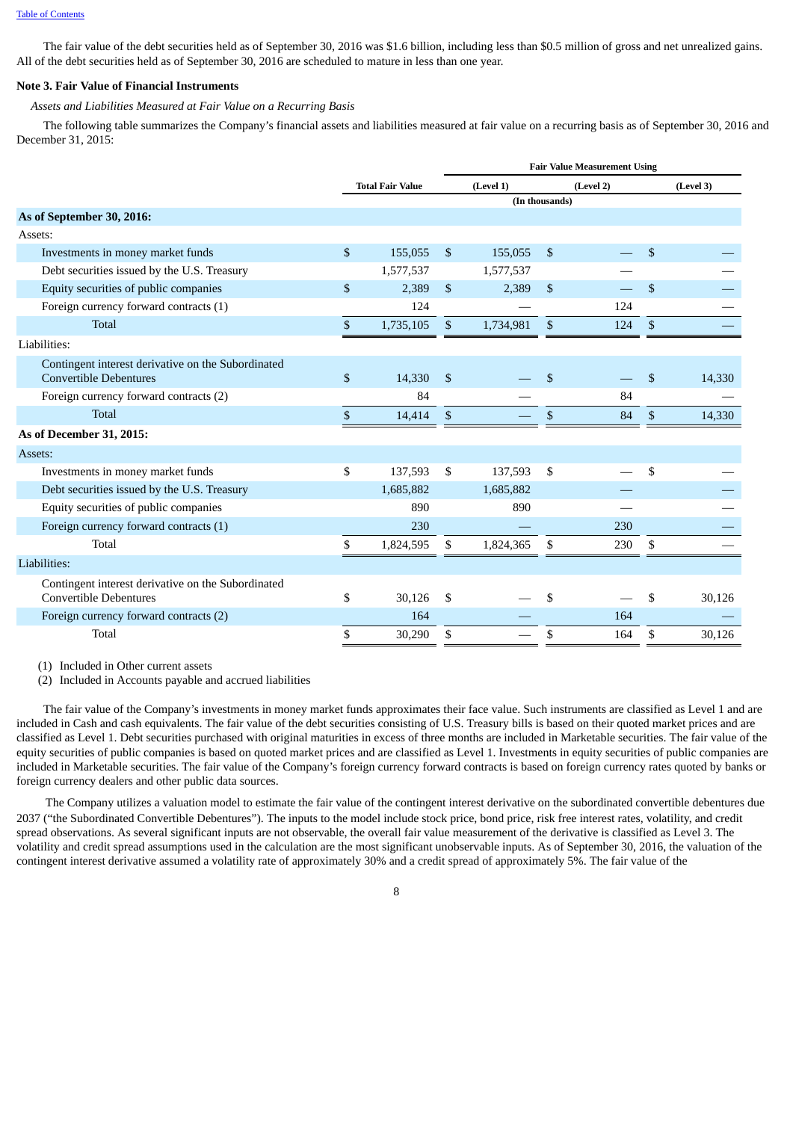The fair value of the debt securities held as of September 30, 2016 was \$1.6 billion, including less than \$0.5 million of gross and net unrealized gains. All of the debt securities held as of September 30, 2016 are scheduled to mature in less than one year.

### **Note 3. Fair Value of Financial Instruments**

*Assets and Liabilities Measured at Fair Value on a Recurring Basis*

The following table summarizes the Company's financial assets and liabilities measured at fair value on a recurring basis as of September 30, 2016 and December 31, 2015:

|                                                                                     |                |                         | <b>Fair Value Measurement Using</b> |                |                |           |                         |           |
|-------------------------------------------------------------------------------------|----------------|-------------------------|-------------------------------------|----------------|----------------|-----------|-------------------------|-----------|
|                                                                                     |                | <b>Total Fair Value</b> |                                     | (Level 1)      |                | (Level 2) |                         | (Level 3) |
|                                                                                     |                |                         |                                     | (In thousands) |                |           |                         |           |
| As of September 30, 2016:                                                           |                |                         |                                     |                |                |           |                         |           |
| Assets:                                                                             |                |                         |                                     |                |                |           |                         |           |
| Investments in money market funds                                                   | \$             | 155,055                 | \$                                  | 155,055        | $\mathfrak{S}$ |           | $\mathbb{S}$            |           |
| Debt securities issued by the U.S. Treasury                                         |                | 1,577,537               |                                     | 1,577,537      |                |           |                         |           |
| Equity securities of public companies                                               | \$             | 2,389                   | $\mathbf{s}$                        | 2,389          | $\mathfrak{S}$ |           | $\mathbf{\mathfrak{L}}$ |           |
| Foreign currency forward contracts (1)                                              |                | 124                     |                                     |                |                | 124       |                         |           |
| <b>Total</b>                                                                        | \$             | 1,735,105               | \$                                  | 1,734,981      | \$             | 124       | \$                      |           |
| Liabilities:                                                                        |                |                         |                                     |                |                |           |                         |           |
| Contingent interest derivative on the Subordinated<br><b>Convertible Debentures</b> | $\mathfrak{S}$ | 14,330                  | <sup>\$</sup>                       |                | \$             |           | $\mathbb{S}$            | 14,330    |
| Foreign currency forward contracts (2)                                              |                | 84                      |                                     |                |                | 84        |                         |           |
| <b>Total</b>                                                                        | $\mathfrak{S}$ | 14,414                  | \$                                  |                | \$             | 84        | \$                      | 14,330    |
| As of December 31, 2015:                                                            |                |                         |                                     |                |                |           |                         |           |
| Assets:                                                                             |                |                         |                                     |                |                |           |                         |           |
| Investments in money market funds                                                   | \$             | 137,593                 | \$                                  | 137,593        | \$             |           | \$                      |           |
| Debt securities issued by the U.S. Treasury                                         |                | 1,685,882               |                                     | 1,685,882      |                |           |                         |           |
| Equity securities of public companies                                               |                | 890                     |                                     | 890            |                |           |                         |           |
| Foreign currency forward contracts (1)                                              |                | 230                     |                                     |                |                | 230       |                         |           |
| Total                                                                               | \$             | 1,824,595               | \$                                  | 1,824,365      | \$             | 230       | \$                      |           |
| Liabilities:                                                                        |                |                         |                                     |                |                |           |                         |           |
| Contingent interest derivative on the Subordinated<br><b>Convertible Debentures</b> | \$             | 30,126                  | \$                                  |                | \$             |           | \$                      | 30,126    |
| Foreign currency forward contracts (2)                                              |                | 164                     |                                     |                |                | 164       |                         |           |
| Total                                                                               | \$             | 30,290                  | \$                                  |                | \$             | 164       | \$                      | 30,126    |

(1) Included in Other current assets

(2) Included in Accounts payable and accrued liabilities

The fair value of the Company's investments in money market funds approximates their face value. Such instruments are classified as Level 1 and are included in Cash and cash equivalents. The fair value of the debt securities consisting of U.S. Treasury bills is based on their quoted market prices and are classified as Level 1. Debt securities purchased with original maturities in excess of three months are included in Marketable securities. The fair value of the equity securities of public companies is based on quoted market prices and are classified as Level 1. Investments in equity securities of public companies are included in Marketable securities. The fair value of the Company's foreign currency forward contracts is based on foreign currency rates quoted by banks or foreign currency dealers and other public data sources.

The Company utilizes a valuation model to estimate the fair value of the contingent interest derivative on the subordinated convertible debentures due 2037 ("the Subordinated Convertible Debentures"). The inputs to the model include stock price, bond price, risk free interest rates, volatility, and credit spread observations. As several significant inputs are not observable, the overall fair value measurement of the derivative is classified as Level 3. The volatility and credit spread assumptions used in the calculation are the most significant unobservable inputs. As of September 30, 2016, the valuation of the contingent interest derivative assumed a volatility rate of approximately 30% and a credit spread of approximately 5%. The fair value of the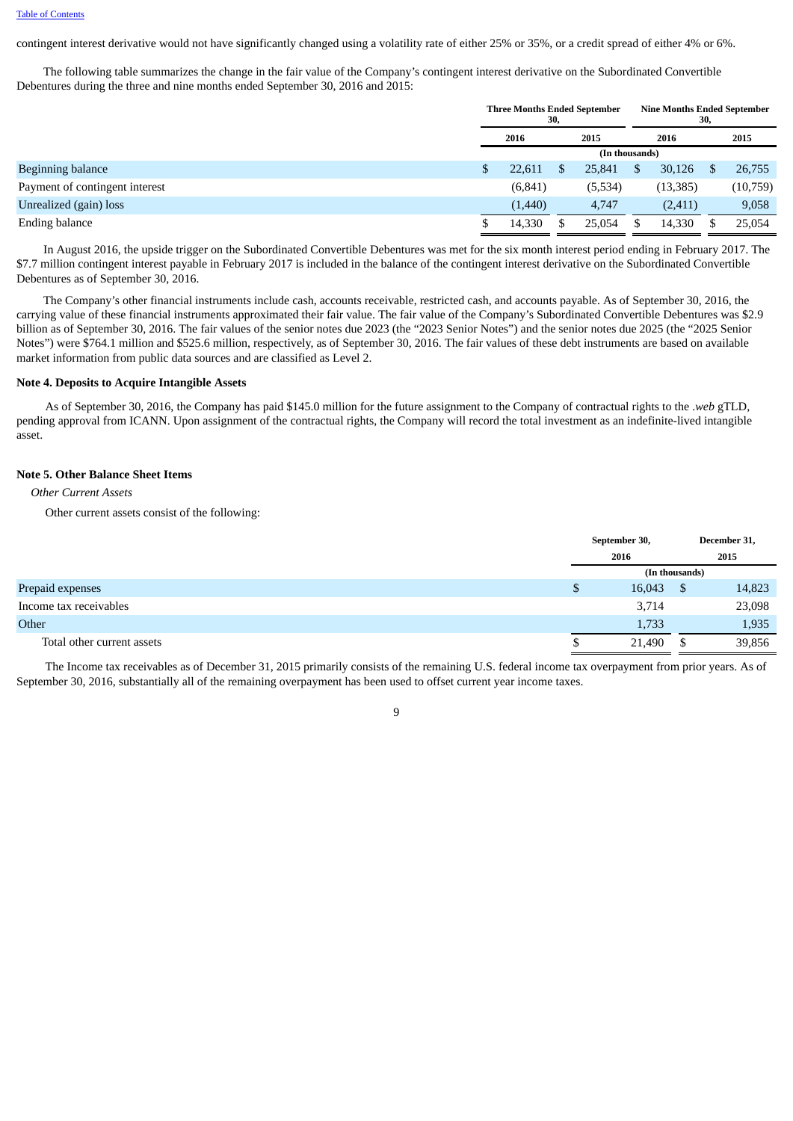contingent interest derivative would not have significantly changed using a volatility rate of either 25% or 35%, or a credit spread of either 4% or 6%.

The following table summarizes the change in the fair value of the Company's contingent interest derivative on the Subordinated Convertible Debentures during the three and nine months ended September 30, 2016 and 2015:

|                                | <b>Three Months Ended September</b><br>30, |          |  |                |     | 30,       | <b>Nine Months Ended September</b> |          |  |  |  |  |  |  |      |  |      |
|--------------------------------|--------------------------------------------|----------|--|----------------|-----|-----------|------------------------------------|----------|--|--|--|--|--|--|------|--|------|
|                                | 2016<br>2015                               |          |  |                |     |           |                                    |          |  |  |  |  |  |  | 2016 |  | 2015 |
|                                |                                            |          |  | (In thousands) |     |           |                                    |          |  |  |  |  |  |  |      |  |      |
| Beginning balance              | \$                                         | 22,611   |  | 25,841         | \$. | 30,126    |                                    | 26,755   |  |  |  |  |  |  |      |  |      |
| Payment of contingent interest |                                            | (6, 841) |  | (5,534)        |     | (13, 385) |                                    | (10,759) |  |  |  |  |  |  |      |  |      |
| Unrealized (gain) loss         |                                            | (1,440)  |  | 4,747          |     | (2,411)   |                                    | 9,058    |  |  |  |  |  |  |      |  |      |
| Ending balance                 |                                            | 14.330   |  | 25.054         |     | 14.330    |                                    | 25,054   |  |  |  |  |  |  |      |  |      |

In August 2016, the upside trigger on the Subordinated Convertible Debentures was met for the six month interest period ending in February 2017. The \$7.7 million contingent interest payable in February 2017 is included in the balance of the contingent interest derivative on the Subordinated Convertible Debentures as of September 30, 2016.

The Company's other financial instruments include cash, accounts receivable, restricted cash, and accounts payable. As of September 30, 2016, the carrying value of these financial instruments approximated their fair value. The fair value of the Company's Subordinated Convertible Debentures was \$2.9 billion as of September 30, 2016. The fair values of the senior notes due 2023 (the "2023 Senior Notes") and the senior notes due 2025 (the "2025 Senior Notes") were \$764.1 million and \$525.6 million, respectively, as of September 30, 2016. The fair values of these debt instruments are based on available market information from public data sources and are classified as Level 2.

#### **Note 4. Deposits to Acquire Intangible Assets**

As of September 30, 2016, the Company has paid \$145.0 million for the future assignment to the Company of contractual rights to the .*web* gTLD, pending approval from ICANN. Upon assignment of the contractual rights, the Company will record the total investment as an indefinite-lived intangible asset.

# **Note 5. Other Balance Sheet Items**

*Other Current Assets*

Other current assets consist of the following:

|                            | September 30,  |      | December 31, |
|----------------------------|----------------|------|--------------|
|                            | 2016           |      | 2015         |
|                            | (In thousands) |      |              |
| Prepaid expenses           | \$<br>16,043   | - \$ | 14,823       |
| Income tax receivables     | 3,714          |      | 23,098       |
| Other                      | 1,733          |      | 1,935        |
| Total other current assets | 21,490         |      | 39,856       |

The Income tax receivables as of December 31, 2015 primarily consists of the remaining U.S. federal income tax overpayment from prior years. As of September 30, 2016, substantially all of the remaining overpayment has been used to offset current year income taxes.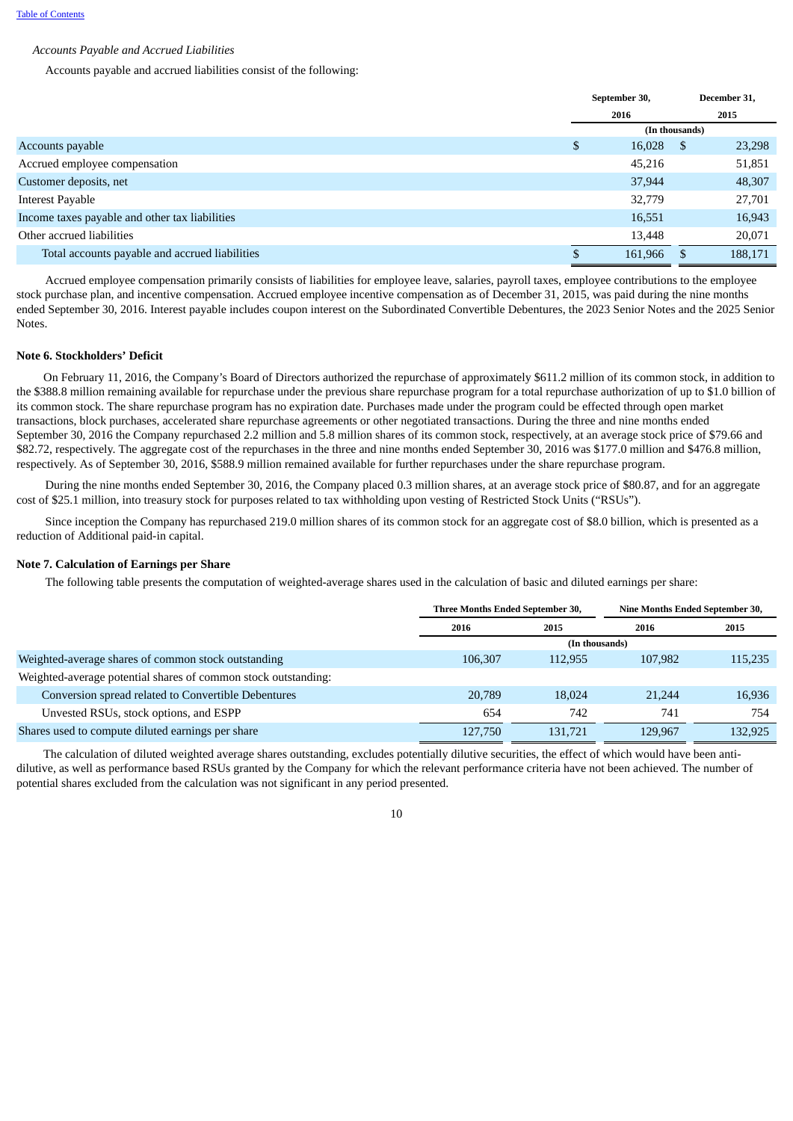*Accounts Payable and Accrued Liabilities*

Accounts payable and accrued liabilities consist of the following:

|                                                |                | September 30, |      | December 31, |
|------------------------------------------------|----------------|---------------|------|--------------|
|                                                |                | 2016          |      | 2015         |
|                                                | (In thousands) |               |      |              |
| Accounts payable                               | \$             | 16,028        | - \$ | 23,298       |
| Accrued employee compensation                  |                | 45,216        |      | 51,851       |
| Customer deposits, net                         |                | 37,944        |      | 48,307       |
| Interest Payable                               |                | 32,779        |      | 27,701       |
| Income taxes payable and other tax liabilities |                | 16,551        |      | 16,943       |
| Other accrued liabilities                      |                | 13,448        |      | 20,071       |
| Total accounts payable and accrued liabilities |                | 161,966       |      | 188,171      |

Accrued employee compensation primarily consists of liabilities for employee leave, salaries, payroll taxes, employee contributions to the employee stock purchase plan, and incentive compensation. Accrued employee incentive compensation as of December 31, 2015, was paid during the nine months ended September 30, 2016. Interest payable includes coupon interest on the Subordinated Convertible Debentures, the 2023 Senior Notes and the 2025 Senior Notes.

#### **Note 6. Stockholders' Deficit**

On February 11, 2016, the Company's Board of Directors authorized the repurchase of approximately \$611.2 million of its common stock, in addition to the \$388.8 million remaining available for repurchase under the previous share repurchase program for a total repurchase authorization of up to \$1.0 billion of its common stock. The share repurchase program has no expiration date. Purchases made under the program could be effected through open market transactions, block purchases, accelerated share repurchase agreements or other negotiated transactions. During the three and nine months ended September 30, 2016 the Company repurchased 2.2 million and 5.8 million shares of its common stock, respectively, at an average stock price of \$79.66 and \$82.72, respectively. The aggregate cost of the repurchases in the three and nine months ended September 30, 2016 was \$177.0 million and \$476.8 million, respectively. As of September 30, 2016, \$588.9 million remained available for further repurchases under the share repurchase program.

During the nine months ended September 30, 2016, the Company placed 0.3 million shares, at an average stock price of \$80.87, and for an aggregate cost of \$25.1 million, into treasury stock for purposes related to tax withholding upon vesting of Restricted Stock Units ("RSUs").

Since inception the Company has repurchased 219.0 million shares of its common stock for an aggregate cost of \$8.0 billion, which is presented as a reduction of Additional paid-in capital.

# **Note 7. Calculation of Earnings per Share**

The following table presents the computation of weighted-average shares used in the calculation of basic and diluted earnings per share:

|                                                                | <b>Three Months Ended September 30,</b> |         | Nine Months Ended September 30, |         |  |  |
|----------------------------------------------------------------|-----------------------------------------|---------|---------------------------------|---------|--|--|
|                                                                | 2015<br>2016                            |         | 2016                            | 2015    |  |  |
|                                                                | (In thousands)                          |         |                                 |         |  |  |
| Weighted-average shares of common stock outstanding            | 106,307                                 | 112,955 | 107,982                         | 115,235 |  |  |
| Weighted-average potential shares of common stock outstanding: |                                         |         |                                 |         |  |  |
| Conversion spread related to Convertible Debentures            | 20,789                                  | 18.024  | 21,244                          | 16,936  |  |  |
| Unvested RSUs, stock options, and ESPP                         | 654                                     | 742     | 741                             | 754     |  |  |
| Shares used to compute diluted earnings per share              | 127,750                                 | 131,721 | 129.967                         | 132,925 |  |  |

The calculation of diluted weighted average shares outstanding, excludes potentially dilutive securities, the effect of which would have been antidilutive, as well as performance based RSUs granted by the Company for which the relevant performance criteria have not been achieved. The number of potential shares excluded from the calculation was not significant in any period presented.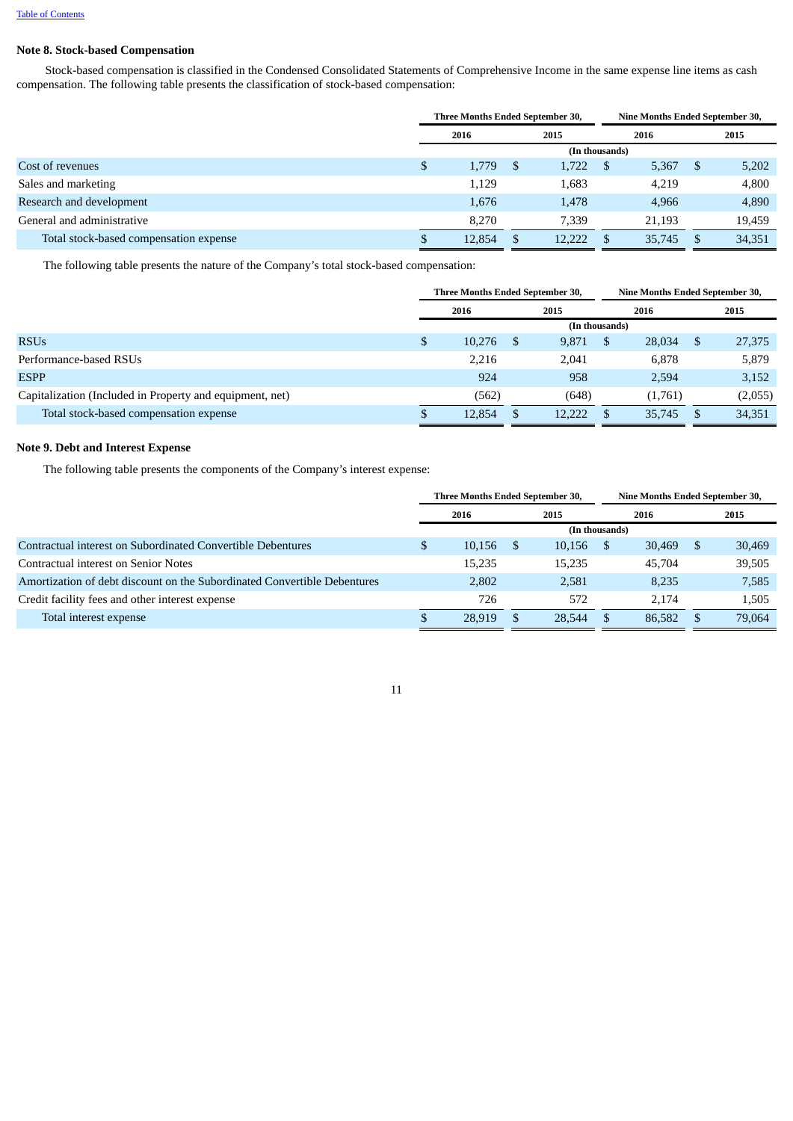# **Note 8. Stock-based Compensation**

Stock-based compensation is classified in the Condensed Consolidated Statements of Comprehensive Income in the same expense line items as cash compensation. The following table presents the classification of stock-based compensation:

|                                        | <b>Three Months Ended September 30,</b> |        |      |        |  | Nine Months Ended September 30, |  |        |
|----------------------------------------|-----------------------------------------|--------|------|--------|--|---------------------------------|--|--------|
|                                        |                                         | 2016   | 2015 |        |  | 2016                            |  | 2015   |
|                                        | (In thousands)                          |        |      |        |  |                                 |  |        |
| Cost of revenues                       | \$                                      | 1,779  |      | 1,722  |  | 5,367                           |  | 5,202  |
| Sales and marketing                    |                                         | 1,129  |      | 1,683  |  | 4,219                           |  | 4,800  |
| Research and development               |                                         | 1,676  |      | 1,478  |  | 4,966                           |  | 4,890  |
| General and administrative             |                                         | 8.270  |      | 7.339  |  | 21,193                          |  | 19,459 |
| Total stock-based compensation expense |                                         | 12,854 |      | 12.222 |  | 35,745                          |  | 34,351 |

The following table presents the nature of the Company's total stock-based compensation:

|                                                          | Three Months Ended September 30, |  | Nine Months Ended September 30, |    |         |   |         |
|----------------------------------------------------------|----------------------------------|--|---------------------------------|----|---------|---|---------|
|                                                          | 2016                             |  | 2015                            |    | 2016    |   | 2015    |
|                                                          |                                  |  |                                 |    |         |   |         |
| <b>RSUs</b>                                              | \$<br>10.276                     |  | 9,871                           | \$ | 28,034  | S | 27,375  |
| Performance-based RSUs                                   | 2,216                            |  | 2,041                           |    | 6,878   |   | 5,879   |
| <b>ESPP</b>                                              | 924                              |  | 958                             |    | 2.594   |   | 3,152   |
| Capitalization (Included in Property and equipment, net) | (562)                            |  | (648)                           |    | (1,761) |   | (2,055) |
| Total stock-based compensation expense                   | 12,854                           |  | 12.222                          |    | 35,745  |   | 34,351  |

# **Note 9. Debt and Interest Expense**

The following table presents the components of the Company's interest expense:

|                                                                          |  | <b>Three Months Ended September 30,</b> |        |        | <b>Nine Months Ended September 30,</b> |        |  |
|--------------------------------------------------------------------------|--|-----------------------------------------|--------|--------|----------------------------------------|--------|--|
|                                                                          |  | 2016                                    | 2015   | 2016   |                                        | 2015   |  |
|                                                                          |  |                                         |        |        |                                        |        |  |
| Contractual interest on Subordinated Convertible Debentures              |  | 10,156                                  | 10,156 | 30,469 |                                        | 30,469 |  |
| Contractual interest on Senior Notes                                     |  | 15,235                                  | 15.235 | 45,704 |                                        | 39,505 |  |
| Amortization of debt discount on the Subordinated Convertible Debentures |  | 2.802                                   | 2.581  | 8.235  |                                        | 7,585  |  |
| Credit facility fees and other interest expense                          |  | 726                                     | 572    | 2.174  |                                        | 1,505  |  |
| Total interest expense                                                   |  | 28.919                                  | 28,544 | 86,582 |                                        | 79,064 |  |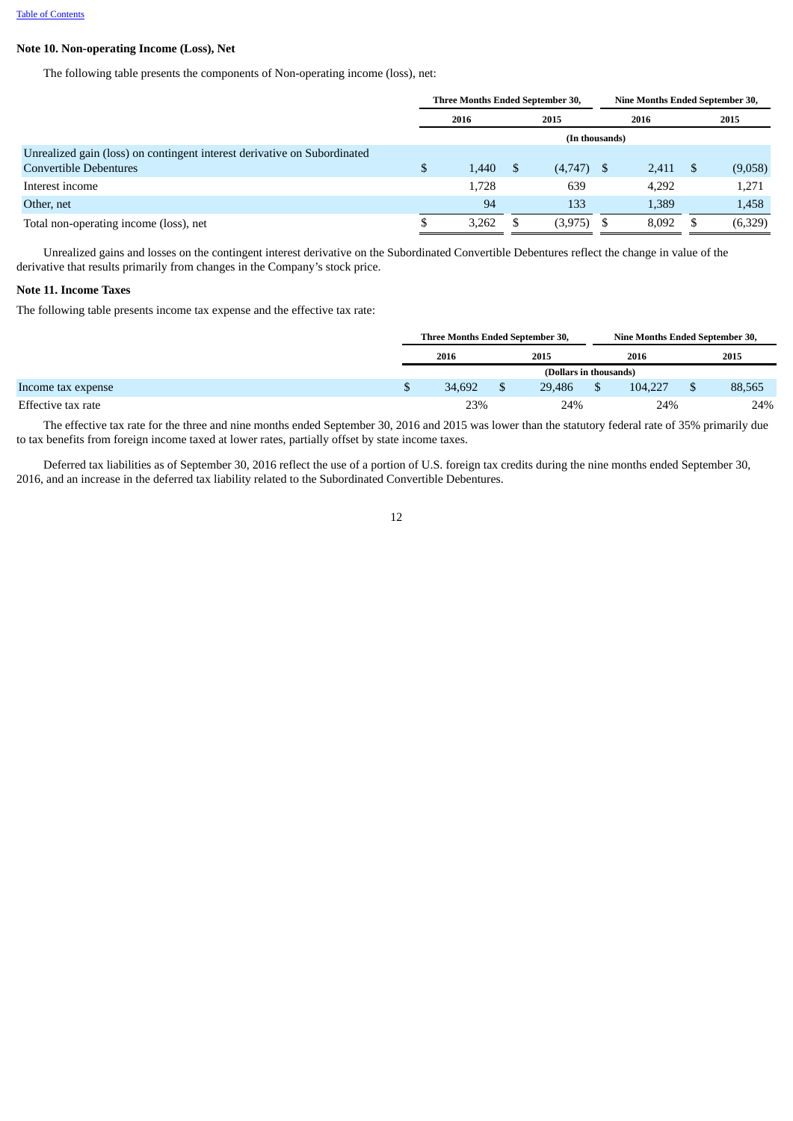### **Note 10. Non-operating Income (Loss), Net**

The following table presents the components of Non-operating income (loss), net:

|                                                                                                    | <b>Three Months Ended September 30,</b> |       |                |          |  | Nine Months Ended September 30, |  |         |  |  |
|----------------------------------------------------------------------------------------------------|-----------------------------------------|-------|----------------|----------|--|---------------------------------|--|---------|--|--|
|                                                                                                    |                                         | 2016  |                | 2015     |  | 2016                            |  | 2015    |  |  |
|                                                                                                    |                                         |       | (In thousands) |          |  |                                 |  |         |  |  |
| Unrealized gain (loss) on contingent interest derivative on Subordinated<br>Convertible Debentures | \$                                      | 1,440 |                | (4,747)  |  | 2,411                           |  | (9,058) |  |  |
| Interest income                                                                                    |                                         | 1.728 |                | 639      |  | 4.292                           |  | 1,271   |  |  |
| Other, net                                                                                         |                                         | 94    |                | 133      |  | 1,389                           |  | 1,458   |  |  |
| Total non-operating income (loss), net                                                             | ኌ                                       | 3.262 |                | (3, 975) |  | 8.092                           |  | (6,329) |  |  |

Unrealized gains and losses on the contingent interest derivative on the Subordinated Convertible Debentures reflect the change in value of the derivative that results primarily from changes in the Company's stock price.

#### **Note 11. Income Taxes**

The following table presents income tax expense and the effective tax rate:

|                    |  | Three Months Ended September 30, |  |                        | Nine Months Ended September 30, |      |  |        |  |     |
|--------------------|--|----------------------------------|--|------------------------|---------------------------------|------|--|--------|--|-----|
|                    |  | 2016                             |  | 2015                   |                                 | 2016 |  | 2015   |  |     |
|                    |  |                                  |  | (Dollars in thousands) |                                 |      |  |        |  |     |
| Income tax expense |  | 34,692                           |  | 29,486                 | 104.227                         |      |  | 88,565 |  |     |
| Effective tax rate |  | 23%                              |  |                        |                                 | 24%  |  | 24%    |  | 24% |

The effective tax rate for the three and nine months ended September 30, 2016 and 2015 was lower than the statutory federal rate of 35% primarily due to tax benefits from foreign income taxed at lower rates, partially offset by state income taxes.

Deferred tax liabilities as of September 30, 2016 reflect the use of a portion of U.S. foreign tax credits during the nine months ended September 30, 2016, and an increase in the deferred tax liability related to the Subordinated Convertible Debentures.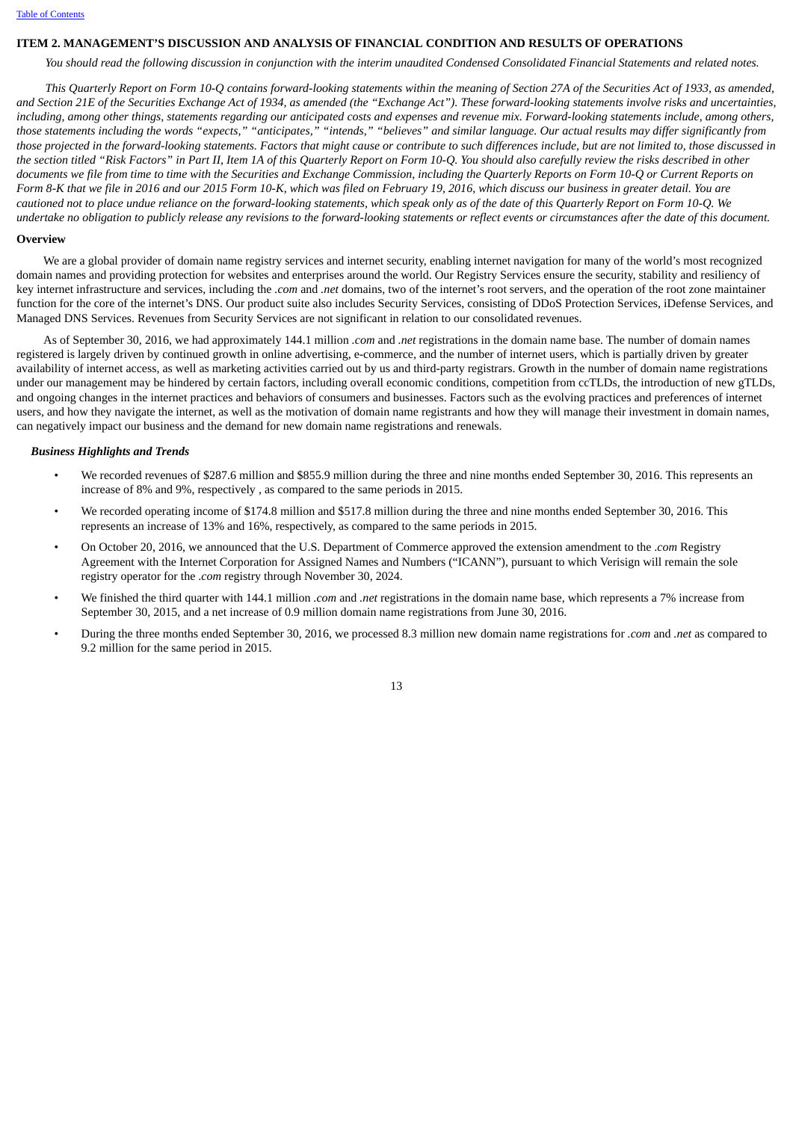## <span id="page-12-0"></span>**ITEM 2. MANAGEMENT'S DISCUSSION AND ANALYSIS OF FINANCIAL CONDITION AND RESULTS OF OPERATIONS**

You should read the following discussion in conjunction with the interim unaudited Condensed Consolidated Financial Statements and related notes.

This Quarterly Report on Form 10-Q contains forward-looking statements within the meaning of Section 27A of the Securities Act of 1933, as amended, and Section 21E of the Securities Exchange Act of 1934, as amended (the "Exchange Act"). These forward-looking statements involve risks and uncertainties, including, among other things, statements regarding our anticipated costs and expenses and revenue mix. Forward-looking statements include, among others, those statements including the words "expects." "anticipates." "intends." "believes" and similar language. Our actual results may differ significantly from those projected in the forward-looking statements. Factors that might cause or contribute to such differences include, but are not limited to, those discussed in the section titled "Risk Factors" in Part II, Item 1A of this Quarterly Report on Form 10-Q. You should also carefully review the risks described in other documents we file from time to time with the Securities and Exchange Commission, including the Quarterly Reports on Form 10-Q or Current Reports on Form 8-K that we file in 2016 and our 2015 Form 10-K, which was filed on February 19, 2016, which discuss our business in greater detail. You are cautioned not to place undue reliance on the forward-looking statements, which speak only as of the date of this Quarterly Report on Form 10-Q. We undertake no obligation to publicly release any revisions to the forward-looking statements or reflect events or circumstances after the date of this document.

#### **Overview**

We are a global provider of domain name registry services and internet security, enabling internet navigation for many of the world's most recognized domain names and providing protection for websites and enterprises around the world. Our Registry Services ensure the security, stability and resiliency of key internet infrastructure and services, including the *.com* and *.net* domains, two of the internet's root servers, and the operation of the root zone maintainer function for the core of the internet's DNS. Our product suite also includes Security Services, consisting of DDoS Protection Services, iDefense Services, and Managed DNS Services. Revenues from Security Services are not significant in relation to our consolidated revenues.

As of September 30, 2016, we had approximately 144.1 million *.com* and *.net* registrations in the domain name base. The number of domain names registered is largely driven by continued growth in online advertising, e-commerce, and the number of internet users, which is partially driven by greater availability of internet access, as well as marketing activities carried out by us and third-party registrars. Growth in the number of domain name registrations under our management may be hindered by certain factors, including overall economic conditions, competition from ccTLDs, the introduction of new gTLDs, and ongoing changes in the internet practices and behaviors of consumers and businesses. Factors such as the evolving practices and preferences of internet users, and how they navigate the internet, as well as the motivation of domain name registrants and how they will manage their investment in domain names, can negatively impact our business and the demand for new domain name registrations and renewals.

#### *Business Highlights and Trends*

- We recorded revenues of \$287.6 million and \$855.9 million during the three and nine months ended September 30, 2016. This represents an increase of 8% and 9%, respectively , as compared to the same periods in 2015.
- We recorded operating income of \$174.8 million and \$517.8 million during the three and nine months ended September 30, 2016. This represents an increase of 13% and 16%, respectively, as compared to the same periods in 2015.
- On October 20, 2016, we announced that the U.S. Department of Commerce approved the extension amendment to the .*com* Registry Agreement with the Internet Corporation for Assigned Names and Numbers ("ICANN"), pursuant to which Verisign will remain the sole registry operator for the .*com* registry through November 30, 2024.
- We finished the third quarter with 144.1 million *.com* and *.net* registrations in the domain name base, which represents a 7% increase from September 30, 2015, and a net increase of 0.9 million domain name registrations from June 30, 2016.
- During the three months ended September 30, 2016, we processed 8.3 million new domain name registrations for *.com* and *.net* as compared to 9.2 million for the same period in 2015.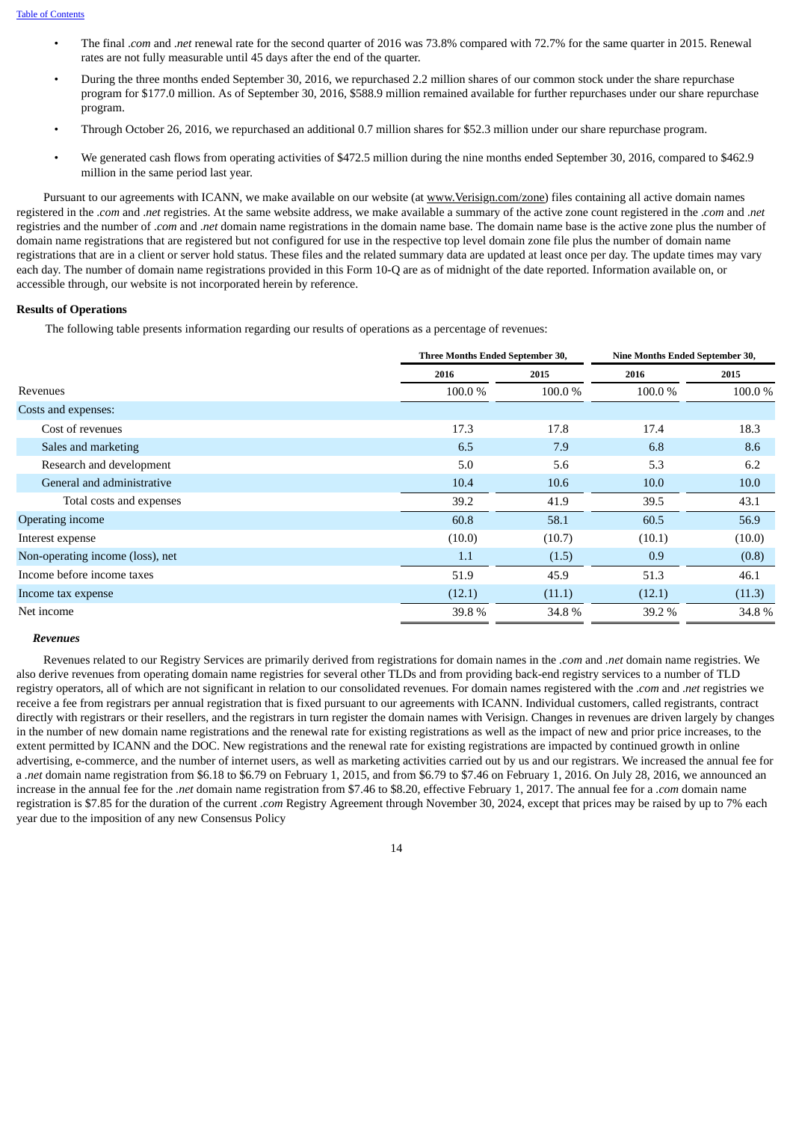- The final .*com* and .*net* renewal rate for the second quarter of 2016 was 73.8% compared with 72.7% for the same quarter in 2015. Renewal rates are not fully measurable until 45 days after the end of the quarter.
- During the three months ended September 30, 2016, we repurchased 2.2 million shares of our common stock under the share repurchase program for \$177.0 million. As of September 30, 2016, \$588.9 million remained available for further repurchases under our share repurchase program.
- Through October 26, 2016, we repurchased an additional 0.7 million shares for \$52.3 million under our share repurchase program.
- We generated cash flows from operating activities of \$472.5 million during the nine months ended September 30, 2016, compared to \$462.9 million in the same period last year.

Pursuant to our agreements with ICANN, we make available on our website (at www.Verisign.com/zone) files containing all active domain names registered in the .*com* and .*net* registries. At the same website address, we make available a summary of the active zone count registered in the .*com* and .*net* registries and the number of .*com* and .*net* domain name registrations in the domain name base. The domain name base is the active zone plus the number of domain name registrations that are registered but not configured for use in the respective top level domain zone file plus the number of domain name registrations that are in a client or server hold status. These files and the related summary data are updated at least once per day. The update times may vary each day. The number of domain name registrations provided in this Form 10-Q are as of midnight of the date reported. Information available on, or accessible through, our website is not incorporated herein by reference.

#### **Results of Operations**

The following table presents information regarding our results of operations as a percentage of revenues:

|                                  | Three Months Ended September 30, |        | Nine Months Ended September 30, |        |  |  |
|----------------------------------|----------------------------------|--------|---------------------------------|--------|--|--|
|                                  | 2016                             | 2015   | 2016                            | 2015   |  |  |
| Revenues                         | 100.0%                           | 100.0% | 100.0%                          | 100.0% |  |  |
| Costs and expenses:              |                                  |        |                                 |        |  |  |
| Cost of revenues                 | 17.3                             | 17.8   | 17.4                            | 18.3   |  |  |
| Sales and marketing              | 6.5                              | 7.9    | 6.8                             | 8.6    |  |  |
| Research and development         | 5.0                              | 5.6    | 5.3                             | 6.2    |  |  |
| General and administrative       | 10.4                             | 10.6   | 10.0                            | 10.0   |  |  |
| Total costs and expenses         | 39.2                             | 41.9   | 39.5                            | 43.1   |  |  |
| Operating income                 | 60.8                             | 58.1   | 60.5                            | 56.9   |  |  |
| Interest expense                 | (10.0)                           | (10.7) | (10.1)                          | (10.0) |  |  |
| Non-operating income (loss), net | 1.1                              | (1.5)  | 0.9                             | (0.8)  |  |  |
| Income before income taxes       | 51.9                             | 45.9   | 51.3                            | 46.1   |  |  |
| Income tax expense               | (12.1)                           | (11.1) | (12.1)                          | (11.3) |  |  |
| Net income                       | 39.8%                            | 34.8%  | 39.2 %                          | 34.8%  |  |  |

#### *Revenues*

Revenues related to our Registry Services are primarily derived from registrations for domain names in the *.com* and *.net* domain name registries. We also derive revenues from operating domain name registries for several other TLDs and from providing back-end registry services to a number of TLD registry operators, all of which are not significant in relation to our consolidated revenues. For domain names registered with the .*com* and .*net* registries we receive a fee from registrars per annual registration that is fixed pursuant to our agreements with ICANN. Individual customers, called registrants, contract directly with registrars or their resellers, and the registrars in turn register the domain names with Verisign. Changes in revenues are driven largely by changes in the number of new domain name registrations and the renewal rate for existing registrations as well as the impact of new and prior price increases, to the extent permitted by ICANN and the DOC. New registrations and the renewal rate for existing registrations are impacted by continued growth in online advertising, e-commerce, and the number of internet users, as well as marketing activities carried out by us and our registrars. We increased the annual fee for a *.net* domain name registration from \$6.18 to \$6.79 on February 1, 2015, and from \$6.79 to \$7.46 on February 1, 2016. On July 28, 2016, we announced an increase in the annual fee for the *.net* domain name registration from \$7.46 to \$8.20, effective February 1, 2017. The annual fee for a *.com* domain name registration is \$7.85 for the duration of the current *.com* Registry Agreement through November 30, 2024, except that prices may be raised by up to 7% each year due to the imposition of any new Consensus Policy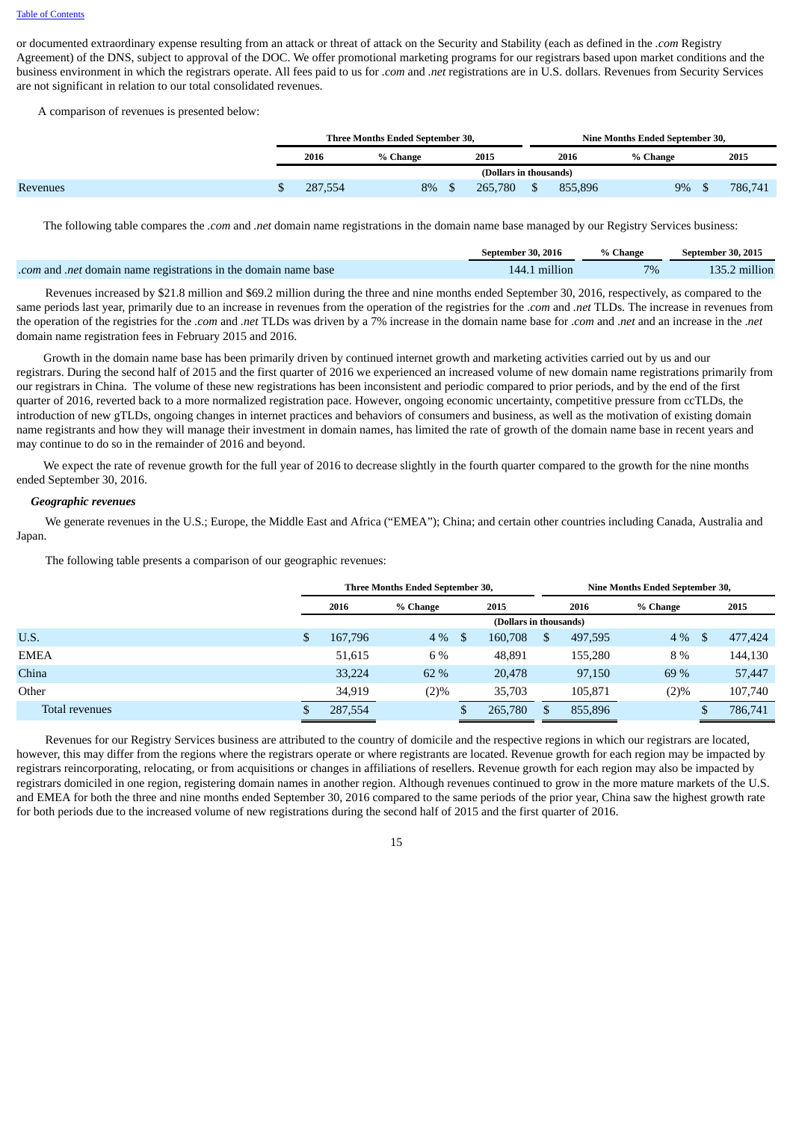or documented extraordinary expense resulting from an attack or threat of attack on the Security and Stability (each as defined in the *.com* Registry Agreement) of the DNS, subject to approval of the DOC. We offer promotional marketing programs for our registrars based upon market conditions and the business environment in which the registrars operate. All fees paid to us for *.com* and *.net* registrations are in U.S. dollars. Revenues from Security Services are not significant in relation to our total consolidated revenues.

A comparison of revenues is presented below:

|                 | <b>Three Months Ended September 30,</b> |         |          |    |  |                        |  | Nine Months Ended September 30, |          |       |      |         |  |  |
|-----------------|-----------------------------------------|---------|----------|----|--|------------------------|--|---------------------------------|----------|-------|------|---------|--|--|
|                 |                                         | 2016    | % Change |    |  | 2015                   |  | 2016                            | % Change |       |      | 2015    |  |  |
|                 |                                         |         |          |    |  | (Dollars in thousands) |  |                                 |          |       |      |         |  |  |
| <b>Revenues</b> |                                         | 287,554 |          | 8% |  | 265,780                |  | 855.896                         |          | $9\%$ | - \$ | 786,741 |  |  |
|                 |                                         |         |          |    |  |                        |  |                                 |          |       |      |         |  |  |

The following table compares the *.com* and *.net* domain name registrations in the domain name base managed by our Registry Services business:

|                                                                             | September 30, 2016 | % Change | September 30, 2015 |
|-----------------------------------------------------------------------------|--------------------|----------|--------------------|
| <i>com</i> and <i>net</i> domain name registrations in the domain name base | 144.1 million      | $7\%$    | 2 million<br>' 35' |

Revenues increased by \$21.8 million and \$69.2 million during the three and nine months ended September 30, 2016, respectively, as compared to the same periods last year, primarily due to an increase in revenues from the operation of the registries for the .*com* and *.net* TLDs. The increase in revenues from the operation of the registries for the *.com* and *.net* TLDs was driven by a 7% increase in the domain name base for .*com* and .*net* and an increase in the .*net* domain name registration fees in February 2015 and 2016.

Growth in the domain name base has been primarily driven by continued internet growth and marketing activities carried out by us and our registrars. During the second half of 2015 and the first quarter of 2016 we experienced an increased volume of new domain name registrations primarily from our registrars in China. The volume of these new registrations has been inconsistent and periodic compared to prior periods, and by the end of the first quarter of 2016, reverted back to a more normalized registration pace. However, ongoing economic uncertainty, competitive pressure from ccTLDs, the introduction of new gTLDs, ongoing changes in internet practices and behaviors of consumers and business, as well as the motivation of existing domain name registrants and how they will manage their investment in domain names, has limited the rate of growth of the domain name base in recent years and may continue to do so in the remainder of 2016 and beyond.

We expect the rate of revenue growth for the full year of 2016 to decrease slightly in the fourth quarter compared to the growth for the nine months ended September 30, 2016.

#### *Geographic revenues*

We generate revenues in the U.S.; Europe, the Middle East and Africa ("EMEA"); China; and certain other countries including Canada, Australia and Japan.

The following table presents a comparison of our geographic revenues:

|                |               | <b>Three Months Ended September 30,</b> |    |                        | Nine Months Ended September 30, |         |          |  |         |  |
|----------------|---------------|-----------------------------------------|----|------------------------|---------------------------------|---------|----------|--|---------|--|
|                | 2016          | % Change                                |    | 2015                   |                                 | 2016    | % Change |  | 2015    |  |
|                |               |                                         |    | (Dollars in thousands) |                                 |         |          |  |         |  |
| U.S.           | \$<br>167,796 | $4\%$                                   | S  | 160,708                | \$                              | 497,595 | 4 %      |  | 477,424 |  |
| EMEA           | 51,615        | 6 %                                     |    | 48,891                 |                                 | 155,280 | 8 %      |  | 144,130 |  |
| China          | 33,224        | 62 %                                    |    | 20,478                 |                                 | 97,150  | 69 %     |  | 57,447  |  |
| Other          | 34,919        | (2)%                                    |    | 35,703                 |                                 | 105,871 | (2)%     |  | 107,740 |  |
| Total revenues | 287,554       |                                         | \$ | 265,780                | S.                              | 855,896 |          |  | 786,741 |  |

Revenues for our Registry Services business are attributed to the country of domicile and the respective regions in which our registrars are located, however, this may differ from the regions where the registrars operate or where registrants are located. Revenue growth for each region may be impacted by registrars reincorporating, relocating, or from acquisitions or changes in affiliations of resellers. Revenue growth for each region may also be impacted by registrars domiciled in one region, registering domain names in another region. Although revenues continued to grow in the more mature markets of the U.S. and EMEA for both the three and nine months ended September 30, 2016 compared to the same periods of the prior year, China saw the highest growth rate for both periods due to the increased volume of new registrations during the second half of 2015 and the first quarter of 2016.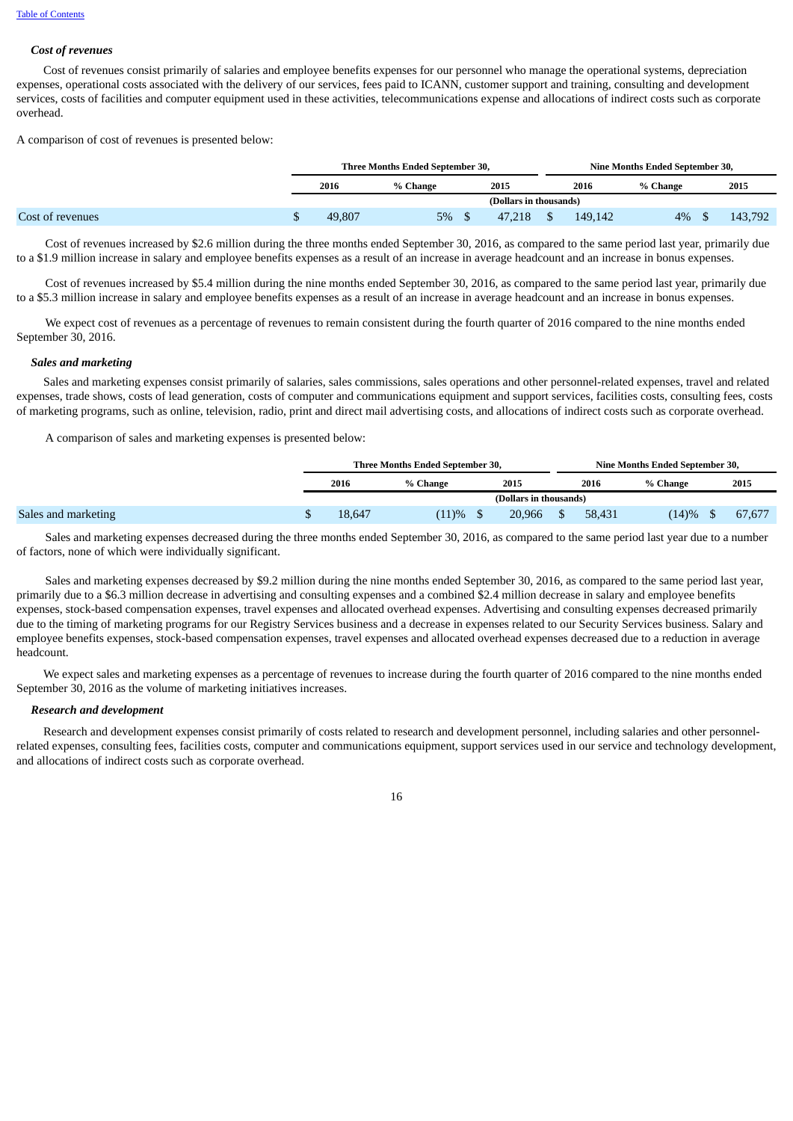# *Cost of revenues*

Cost of revenues consist primarily of salaries and employee benefits expenses for our personnel who manage the operational systems, depreciation expenses, operational costs associated with the delivery of our services, fees paid to ICANN, customer support and training, consulting and development services, costs of facilities and computer equipment used in these activities, telecommunications expense and allocations of indirect costs such as corporate overhead.

A comparison of cost of revenues is presented below:

|                  |        | Three Months Ended September 30, |          |  | Nine Months Ended September 30. |  |         |          |  |         |  |
|------------------|--------|----------------------------------|----------|--|---------------------------------|--|---------|----------|--|---------|--|
|                  | 2016   |                                  | % Change |  | 2015                            |  | 2016    | % Change |  |         |  |
|                  |        |                                  |          |  | (Dollars in thousands)          |  |         |          |  |         |  |
| Cost of revenues | 49.807 |                                  | $5\%$    |  | 47.218                          |  | 149.142 | $4\%$    |  | 143.792 |  |

Cost of revenues increased by \$2.6 million during the three months ended September 30, 2016, as compared to the same period last year, primarily due to a \$1.9 million increase in salary and employee benefits expenses as a result of an increase in average headcount and an increase in bonus expenses.

Cost of revenues increased by \$5.4 million during the nine months ended September 30, 2016, as compared to the same period last year, primarily due to a \$5.3 million increase in salary and employee benefits expenses as a result of an increase in average headcount and an increase in bonus expenses.

We expect cost of revenues as a percentage of revenues to remain consistent during the fourth quarter of 2016 compared to the nine months ended September 30, 2016.

#### *Sales and marketing*

Sales and marketing expenses consist primarily of salaries, sales commissions, sales operations and other personnel-related expenses, travel and related expenses, trade shows, costs of lead generation, costs of computer and communications equipment and support services, facilities costs, consulting fees, costs of marketing programs, such as online, television, radio, print and direct mail advertising costs, and allocations of indirect costs such as corporate overhead.

A comparison of sales and marketing expenses is presented below:

|                     |        | <b>Three Months Ended September 30,</b> |  |                        | Nine Months Ended September 30, |        |          |  |        |
|---------------------|--------|-----------------------------------------|--|------------------------|---------------------------------|--------|----------|--|--------|
|                     | 2016   | % Change                                |  |                        |                                 | 2016   | % Change |  | 2015   |
|                     |        |                                         |  | (Dollars in thousands) |                                 |        |          |  |        |
| Sales and marketing | 18.647 | (11)%                                   |  | 20,966                 | - \$                            | 58.431 | (14)%    |  | 67,677 |

Sales and marketing expenses decreased during the three months ended September 30, 2016, as compared to the same period last year due to a number of factors, none of which were individually significant.

Sales and marketing expenses decreased by \$9.2 million during the nine months ended September 30, 2016, as compared to the same period last year, primarily due to a \$6.3 million decrease in advertising and consulting expenses and a combined \$2.4 million decrease in salary and employee benefits expenses, stock-based compensation expenses, travel expenses and allocated overhead expenses. Advertising and consulting expenses decreased primarily due to the timing of marketing programs for our Registry Services business and a decrease in expenses related to our Security Services business. Salary and employee benefits expenses, stock-based compensation expenses, travel expenses and allocated overhead expenses decreased due to a reduction in average headcount.

We expect sales and marketing expenses as a percentage of revenues to increase during the fourth quarter of 2016 compared to the nine months ended September 30, 2016 as the volume of marketing initiatives increases.

# *Research and development*

Research and development expenses consist primarily of costs related to research and development personnel, including salaries and other personnelrelated expenses, consulting fees, facilities costs, computer and communications equipment, support services used in our service and technology development, and allocations of indirect costs such as corporate overhead.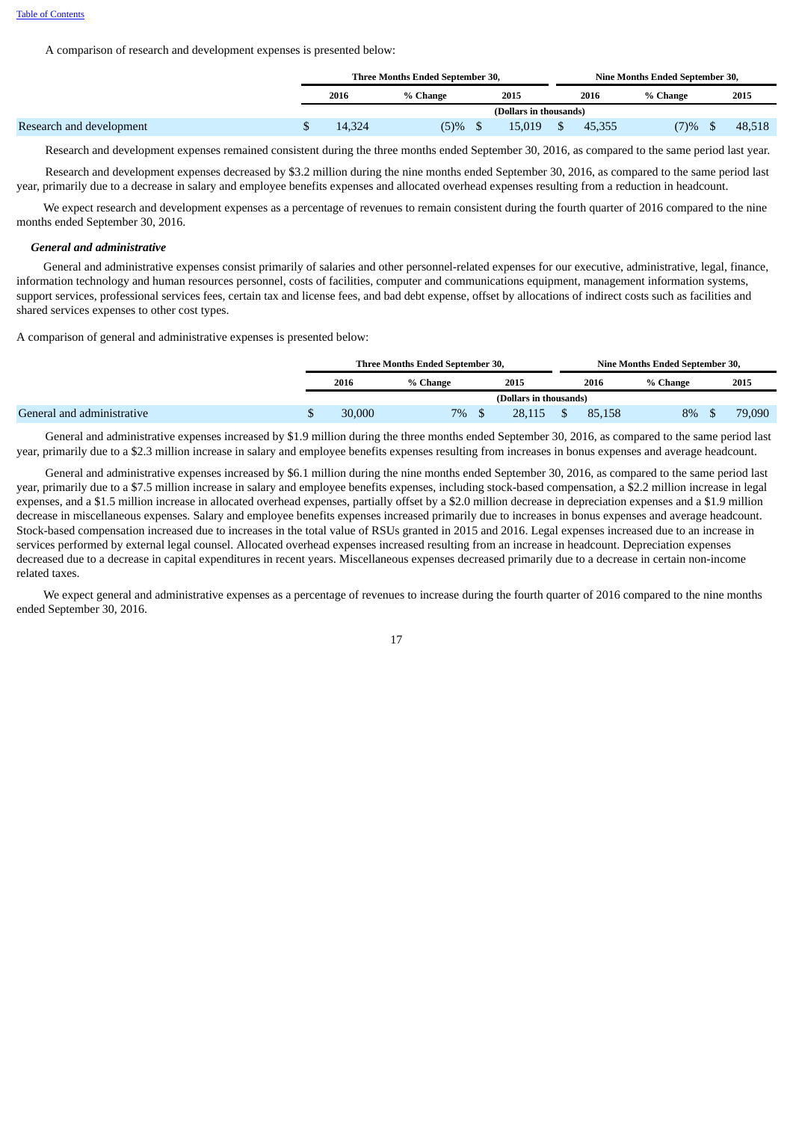A comparison of research and development expenses is presented below:

|                          | Three Months Ended September 30, |          |      |  |                        |  | Nine Months Ended September 30, |          |  |        |  |  |  |
|--------------------------|----------------------------------|----------|------|--|------------------------|--|---------------------------------|----------|--|--------|--|--|--|
|                          | 2016                             | % Change |      |  | 2015                   |  | 2016                            | % Change |  | 2015   |  |  |  |
|                          |                                  |          |      |  | (Dollars in thousands) |  |                                 |          |  |        |  |  |  |
| Research and development | 14,324                           |          | (5)% |  | 15.019                 |  | 45,355                          | (7)%     |  | 48,518 |  |  |  |

Research and development expenses remained consistent during the three months ended September 30, 2016, as compared to the same period last year.

Research and development expenses decreased by \$3.2 million during the nine months ended September 30, 2016, as compared to the same period last year, primarily due to a decrease in salary and employee benefits expenses and allocated overhead expenses resulting from a reduction in headcount.

We expect research and development expenses as a percentage of revenues to remain consistent during the fourth quarter of 2016 compared to the nine months ended September 30, 2016.

# *General and administrative*

General and administrative expenses consist primarily of salaries and other personnel-related expenses for our executive, administrative, legal, finance, information technology and human resources personnel, costs of facilities, computer and communications equipment, management information systems, support services, professional services fees, certain tax and license fees, and bad debt expense, offset by allocations of indirect costs such as facilities and shared services expenses to other cost types.

A comparison of general and administrative expenses is presented below:

|                            | Three Months Ended September 30, |        |          |      |                        |  |        | Nine Months Ended September 30, |  |        |  |
|----------------------------|----------------------------------|--------|----------|------|------------------------|--|--------|---------------------------------|--|--------|--|
|                            |                                  | 2016   | % Change | 2015 |                        |  |        | % Change                        |  |        |  |
|                            |                                  |        |          |      | (Dollars in thousands) |  |        |                                 |  |        |  |
| General and administrative |                                  | 30,000 | 7%       |      | 28,115                 |  | 85,158 | 8%                              |  | 79,090 |  |

General and administrative expenses increased by \$1.9 million during the three months ended September 30, 2016, as compared to the same period last year, primarily due to a \$2.3 million increase in salary and employee benefits expenses resulting from increases in bonus expenses and average headcount.

General and administrative expenses increased by \$6.1 million during the nine months ended September 30, 2016, as compared to the same period last year, primarily due to a \$7.5 million increase in salary and employee benefits expenses, including stock-based compensation, a \$2.2 million increase in legal expenses, and a \$1.5 million increase in allocated overhead expenses, partially offset by a \$2.0 million decrease in depreciation expenses and a \$1.9 million decrease in miscellaneous expenses. Salary and employee benefits expenses increased primarily due to increases in bonus expenses and average headcount. Stock-based compensation increased due to increases in the total value of RSUs granted in 2015 and 2016. Legal expenses increased due to an increase in services performed by external legal counsel. Allocated overhead expenses increased resulting from an increase in headcount. Depreciation expenses decreased due to a decrease in capital expenditures in recent years. Miscellaneous expenses decreased primarily due to a decrease in certain non-income related taxes.

We expect general and administrative expenses as a percentage of revenues to increase during the fourth quarter of 2016 compared to the nine months ended September 30, 2016.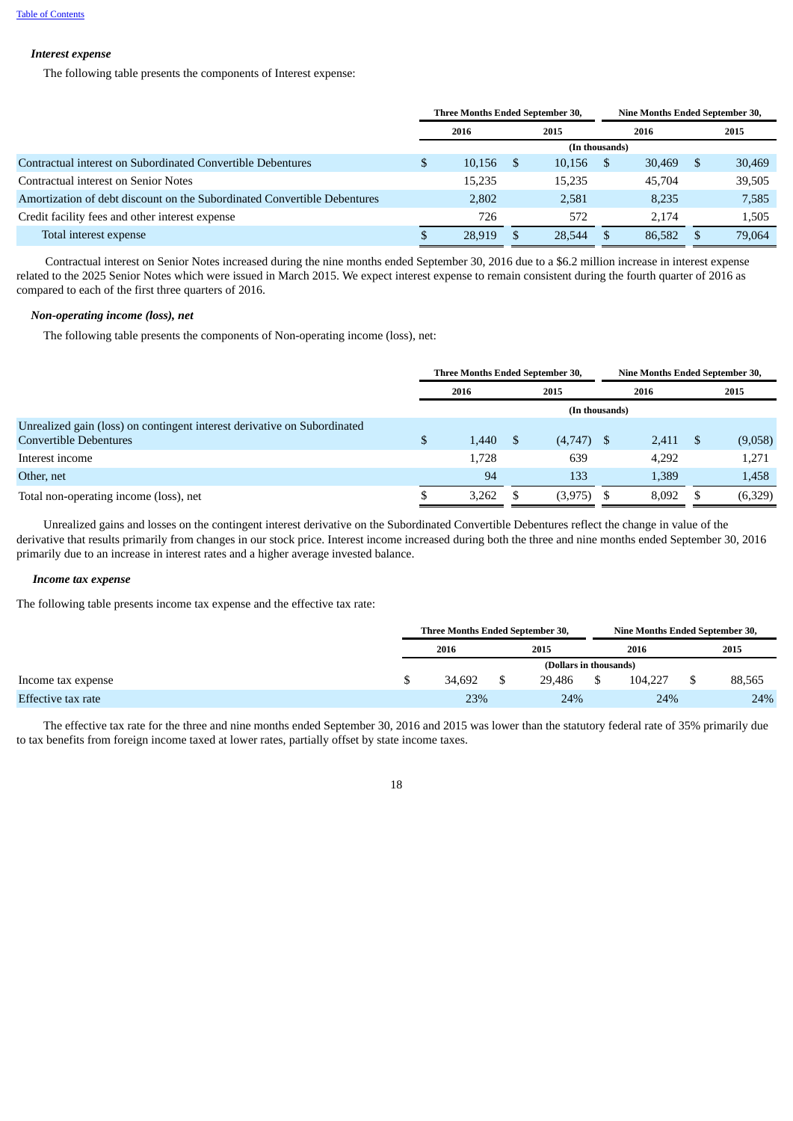# *Interest expense*

The following table presents the components of Interest expense:

|                                                                          |      | Three Months Ended September 30, |  |        |  | Nine Months Ended September 30, |  |        |  |
|--------------------------------------------------------------------------|------|----------------------------------|--|--------|--|---------------------------------|--|--------|--|
|                                                                          | 2016 |                                  |  | 2015   |  | 2016                            |  | 2015   |  |
|                                                                          |      | (In thousands)                   |  |        |  |                                 |  |        |  |
| Contractual interest on Subordinated Convertible Debentures              | S    | 10,156                           |  | 10,156 |  | 30,469                          |  | 30,469 |  |
| Contractual interest on Senior Notes                                     |      | 15.235                           |  | 15.235 |  | 45,704                          |  | 39,505 |  |
| Amortization of debt discount on the Subordinated Convertible Debentures |      | 2,802                            |  | 2,581  |  | 8,235                           |  | 7,585  |  |
| Credit facility fees and other interest expense                          |      | 726                              |  | 572    |  | 2.174                           |  | 1,505  |  |
| Total interest expense                                                   |      | 28.919                           |  | 28,544 |  | 86,582                          |  | 79,064 |  |

Contractual interest on Senior Notes increased during the nine months ended September 30, 2016 due to a \$6.2 million increase in interest expense related to the 2025 Senior Notes which were issued in March 2015. We expect interest expense to remain consistent during the fourth quarter of 2016 as compared to each of the first three quarters of 2016.

# *Non-operating income (loss), net*

The following table presents the components of Non-operating income (loss), net:

|                                                                                                           | Three Months Ended September 30, |  |                |  |       | <b>Nine Months Ended September 30,</b> |         |  |  |
|-----------------------------------------------------------------------------------------------------------|----------------------------------|--|----------------|--|-------|----------------------------------------|---------|--|--|
|                                                                                                           | 2016                             |  | 2015           |  | 2016  |                                        | 2015    |  |  |
|                                                                                                           |                                  |  | (In thousands) |  |       |                                        |         |  |  |
| Unrealized gain (loss) on contingent interest derivative on Subordinated<br><b>Convertible Debentures</b> | \$<br>1,440                      |  | $(4,747)$ \$   |  | 2,411 |                                        | (9,058) |  |  |
| Interest income                                                                                           | 1,728                            |  | 639            |  | 4,292 |                                        | 1,271   |  |  |
| Other, net                                                                                                | 94                               |  | 133            |  | 1,389 |                                        | 1,458   |  |  |
| Total non-operating income (loss), net                                                                    | 3,262                            |  | (3, 975)       |  | 8,092 |                                        | (6,329) |  |  |

Unrealized gains and losses on the contingent interest derivative on the Subordinated Convertible Debentures reflect the change in value of the derivative that results primarily from changes in our stock price. Interest income increased during both the three and nine months ended September 30, 2016 primarily due to an increase in interest rates and a higher average invested balance.

# *Income tax expense*

The following table presents income tax expense and the effective tax rate:

|                    |   | Three Months Ended September 30, |  |        |  | Nine Months Ended September 30, |      |        |
|--------------------|---|----------------------------------|--|--------|--|---------------------------------|------|--------|
|                    |   | 2016                             |  | 2015   |  | 2016                            | 2015 |        |
|                    |   | (Dollars in thousands)           |  |        |  |                                 |      |        |
| Income tax expense | P | 34.692                           |  | 29.486 |  | 104.227                         |      | 88,565 |
| Effective tax rate |   | 23%                              |  | 24%    |  | 24%                             | 24%  |        |

The effective tax rate for the three and nine months ended September 30, 2016 and 2015 was lower than the statutory federal rate of 35% primarily due to tax benefits from foreign income taxed at lower rates, partially offset by state income taxes.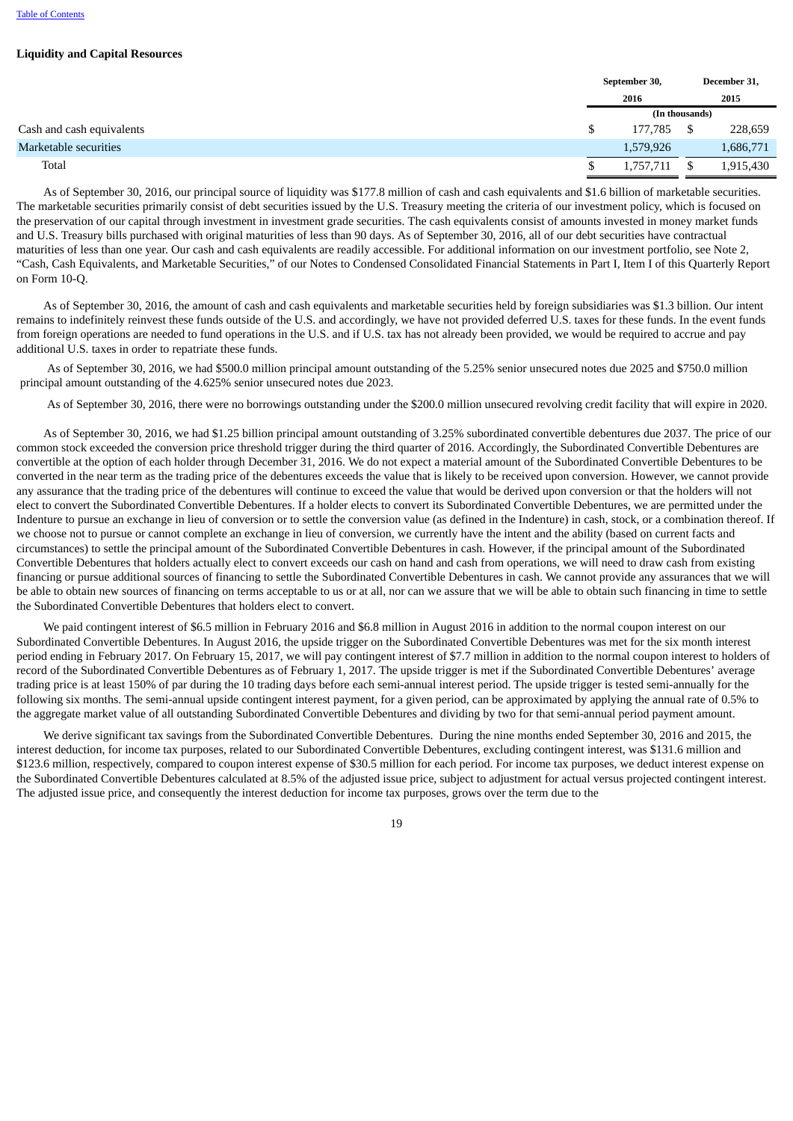# **Liquidity and Capital Resources**

|                           | September 30,  | December 31, |
|---------------------------|----------------|--------------|
|                           | 2016           | 2015         |
|                           | (In thousands) |              |
| Cash and cash equivalents | 177.785        | 228,659      |
| Marketable securities     | 1,579,926      | 1,686,771    |
| Total                     | 1,757,711      | 1,915,430    |

As of September 30, 2016, our principal source of liquidity was \$177.8 million of cash and cash equivalents and \$1.6 billion of marketable securities. The marketable securities primarily consist of debt securities issued by the U.S. Treasury meeting the criteria of our investment policy, which is focused on the preservation of our capital through investment in investment grade securities. The cash equivalents consist of amounts invested in money market funds and U.S. Treasury bills purchased with original maturities of less than 90 days. As of September 30, 2016, all of our debt securities have contractual maturities of less than one year. Our cash and cash equivalents are readily accessible. For additional information on our investment portfolio, see Note 2, "Cash, Cash Equivalents, and Marketable Securities," of our Notes to Condensed Consolidated Financial Statements in Part I, Item I of this Quarterly Report on Form 10-Q.

As of September 30, 2016, the amount of cash and cash equivalents and marketable securities held by foreign subsidiaries was \$1.3 billion. Our intent remains to indefinitely reinvest these funds outside of the U.S. and accordingly, we have not provided deferred U.S. taxes for these funds. In the event funds from foreign operations are needed to fund operations in the U.S. and if U.S. tax has not already been provided, we would be required to accrue and pay additional U.S. taxes in order to repatriate these funds.

As of September 30, 2016, we had \$500.0 million principal amount outstanding of the 5.25% senior unsecured notes due 2025 and \$750.0 million principal amount outstanding of the 4.625% senior unsecured notes due 2023.

As of September 30, 2016, there were no borrowings outstanding under the \$200.0 million unsecured revolving credit facility that will expire in 2020.

As of September 30, 2016, we had \$1.25 billion principal amount outstanding of 3.25% subordinated convertible debentures due 2037. The price of our common stock exceeded the conversion price threshold trigger during the third quarter of 2016. Accordingly, the Subordinated Convertible Debentures are convertible at the option of each holder through December 31, 2016. We do not expect a material amount of the Subordinated Convertible Debentures to be converted in the near term as the trading price of the debentures exceeds the value that is likely to be received upon conversion. However, we cannot provide any assurance that the trading price of the debentures will continue to exceed the value that would be derived upon conversion or that the holders will not elect to convert the Subordinated Convertible Debentures. If a holder elects to convert its Subordinated Convertible Debentures, we are permitted under the Indenture to pursue an exchange in lieu of conversion or to settle the conversion value (as defined in the Indenture) in cash, stock, or a combination thereof. If we choose not to pursue or cannot complete an exchange in lieu of conversion, we currently have the intent and the ability (based on current facts and circumstances) to settle the principal amount of the Subordinated Convertible Debentures in cash. However, if the principal amount of the Subordinated Convertible Debentures that holders actually elect to convert exceeds our cash on hand and cash from operations, we will need to draw cash from existing financing or pursue additional sources of financing to settle the Subordinated Convertible Debentures in cash. We cannot provide any assurances that we will be able to obtain new sources of financing on terms acceptable to us or at all, nor can we assure that we will be able to obtain such financing in time to settle the Subordinated Convertible Debentures that holders elect to convert.

We paid contingent interest of \$6.5 million in February 2016 and \$6.8 million in August 2016 in addition to the normal coupon interest on our Subordinated Convertible Debentures. In August 2016, the upside trigger on the Subordinated Convertible Debentures was met for the six month interest period ending in February 2017. On February 15, 2017, we will pay contingent interest of \$7.7 million in addition to the normal coupon interest to holders of record of the Subordinated Convertible Debentures as of February 1, 2017. The upside trigger is met if the Subordinated Convertible Debentures' average trading price is at least 150% of par during the 10 trading days before each semi-annual interest period. The upside trigger is tested semi-annually for the following six months. The semi-annual upside contingent interest payment, for a given period, can be approximated by applying the annual rate of 0.5% to the aggregate market value of all outstanding Subordinated Convertible Debentures and dividing by two for that semi-annual period payment amount.

We derive significant tax savings from the Subordinated Convertible Debentures. During the nine months ended September 30, 2016 and 2015, the interest deduction, for income tax purposes, related to our Subordinated Convertible Debentures, excluding contingent interest, was \$131.6 million and \$123.6 million, respectively, compared to coupon interest expense of \$30.5 million for each period. For income tax purposes, we deduct interest expense on the Subordinated Convertible Debentures calculated at 8.5% of the adjusted issue price, subject to adjustment for actual versus projected contingent interest. The adjusted issue price, and consequently the interest deduction for income tax purposes, grows over the term due to the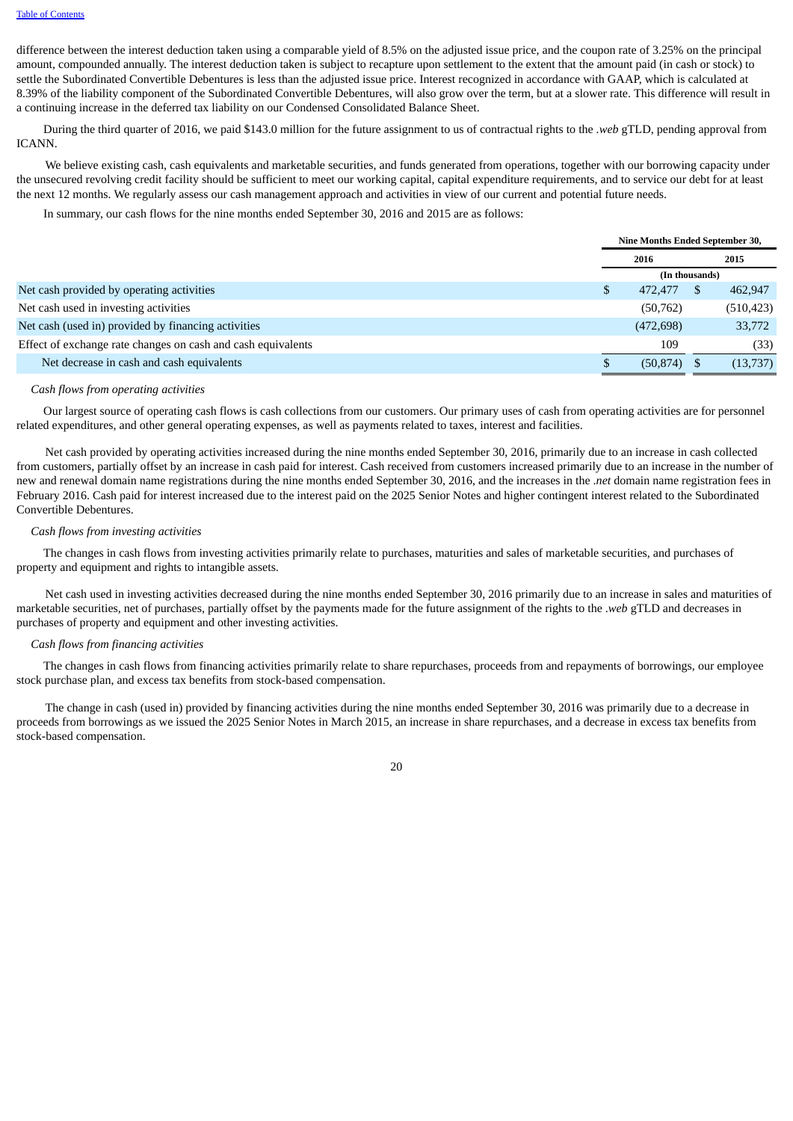difference between the interest deduction taken using a comparable yield of 8.5% on the adjusted issue price, and the coupon rate of 3.25% on the principal amount, compounded annually. The interest deduction taken is subject to recapture upon settlement to the extent that the amount paid (in cash or stock) to settle the Subordinated Convertible Debentures is less than the adjusted issue price. Interest recognized in accordance with GAAP, which is calculated at 8.39% of the liability component of the Subordinated Convertible Debentures, will also grow over the term, but at a slower rate. This difference will result in a continuing increase in the deferred tax liability on our Condensed Consolidated Balance Sheet.

During the third quarter of 2016, we paid \$143.0 million for the future assignment to us of contractual rights to the *.web* gTLD, pending approval from ICANN.

We believe existing cash, cash equivalents and marketable securities, and funds generated from operations, together with our borrowing capacity under the unsecured revolving credit facility should be sufficient to meet our working capital, capital expenditure requirements, and to service our debt for at least the next 12 months. We regularly assess our cash management approach and activities in view of our current and potential future needs.

In summary, our cash flows for the nine months ended September 30, 2016 and 2015 are as follows:

|                                                              | Nine Months Ended September 30, |                |  |            |  |
|--------------------------------------------------------------|---------------------------------|----------------|--|------------|--|
|                                                              | 2016                            |                |  | 2015       |  |
|                                                              |                                 | (In thousands) |  |            |  |
| Net cash provided by operating activities                    |                                 | 472,477        |  | 462,947    |  |
| Net cash used in investing activities                        |                                 | (50, 762)      |  | (510, 423) |  |
| Net cash (used in) provided by financing activities          |                                 | (472, 698)     |  | 33,772     |  |
| Effect of exchange rate changes on cash and cash equivalents |                                 | 109            |  | (33)       |  |
| Net decrease in cash and cash equivalents                    |                                 | (50, 874)      |  | (13,737)   |  |
|                                                              |                                 |                |  |            |  |

## *Cash flows from operating activities*

Our largest source of operating cash flows is cash collections from our customers. Our primary uses of cash from operating activities are for personnel related expenditures, and other general operating expenses, as well as payments related to taxes, interest and facilities.

Net cash provided by operating activities increased during the nine months ended September 30, 2016, primarily due to an increase in cash collected from customers, partially offset by an increase in cash paid for interest. Cash received from customers increased primarily due to an increase in the number of new and renewal domain name registrations during the nine months ended September 30, 2016, and the increases in the .*net* domain name registration fees in February 2016. Cash paid for interest increased due to the interest paid on the 2025 Senior Notes and higher contingent interest related to the Subordinated Convertible Debentures.

# *Cash flows from investing activities*

The changes in cash flows from investing activities primarily relate to purchases, maturities and sales of marketable securities, and purchases of property and equipment and rights to intangible assets.

Net cash used in investing activities decreased during the nine months ended September 30, 2016 primarily due to an increase in sales and maturities of marketable securities, net of purchases, partially offset by the payments made for the future assignment of the rights to the .*web* gTLD and decreases in purchases of property and equipment and other investing activities.

#### *Cash flows from financing activities*

The changes in cash flows from financing activities primarily relate to share repurchases, proceeds from and repayments of borrowings, our employee stock purchase plan, and excess tax benefits from stock-based compensation.

The change in cash (used in) provided by financing activities during the nine months ended September 30, 2016 was primarily due to a decrease in proceeds from borrowings as we issued the 2025 Senior Notes in March 2015, an increase in share repurchases, and a decrease in excess tax benefits from stock-based compensation.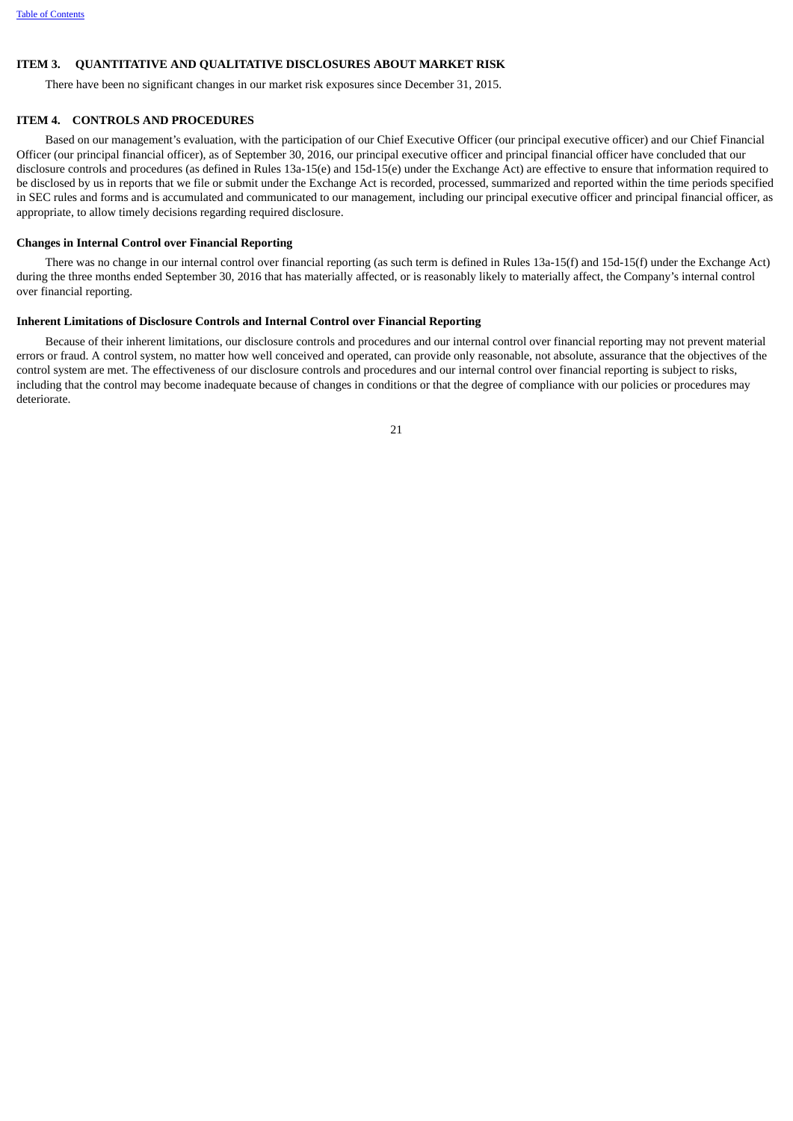# <span id="page-20-0"></span>**ITEM 3. QUANTITATIVE AND QUALITATIVE DISCLOSURES ABOUT MARKET RISK**

There have been no significant changes in our market risk exposures since December 31, 2015.

#### <span id="page-20-1"></span>**ITEM 4. CONTROLS AND PROCEDURES**

Based on our management's evaluation, with the participation of our Chief Executive Officer (our principal executive officer) and our Chief Financial Officer (our principal financial officer), as of September 30, 2016, our principal executive officer and principal financial officer have concluded that our disclosure controls and procedures (as defined in Rules 13a-15(e) and 15d-15(e) under the Exchange Act) are effective to ensure that information required to be disclosed by us in reports that we file or submit under the Exchange Act is recorded, processed, summarized and reported within the time periods specified in SEC rules and forms and is accumulated and communicated to our management, including our principal executive officer and principal financial officer, as appropriate, to allow timely decisions regarding required disclosure.

# **Changes in Internal Control over Financial Reporting**

There was no change in our internal control over financial reporting (as such term is defined in Rules 13a-15(f) and 15d-15(f) under the Exchange Act) during the three months ended September 30, 2016 that has materially affected, or is reasonably likely to materially affect, the Company's internal control over financial reporting.

#### **Inherent Limitations of Disclosure Controls and Internal Control over Financial Reporting**

Because of their inherent limitations, our disclosure controls and procedures and our internal control over financial reporting may not prevent material errors or fraud. A control system, no matter how well conceived and operated, can provide only reasonable, not absolute, assurance that the objectives of the control system are met. The effectiveness of our disclosure controls and procedures and our internal control over financial reporting is subject to risks, including that the control may become inadequate because of changes in conditions or that the degree of compliance with our policies or procedures may deteriorate.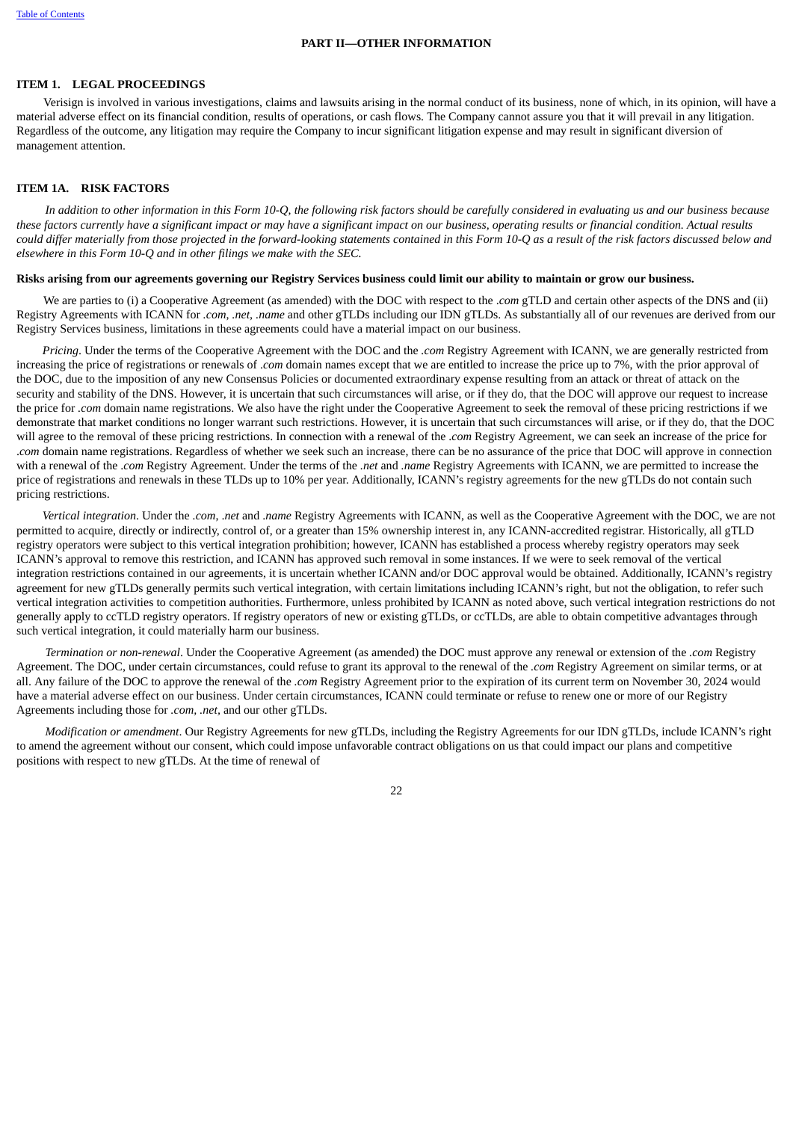# **PART II—OTHER INFORMATION**

#### <span id="page-21-1"></span><span id="page-21-0"></span>**ITEM 1. LEGAL PROCEEDINGS**

Verisign is involved in various investigations, claims and lawsuits arising in the normal conduct of its business, none of which, in its opinion, will have a material adverse effect on its financial condition, results of operations, or cash flows. The Company cannot assure you that it will prevail in any litigation. Regardless of the outcome, any litigation may require the Company to incur significant litigation expense and may result in significant diversion of management attention.

#### <span id="page-21-2"></span>**ITEM 1A. RISK FACTORS**

In addition to other information in this Form 10-Q, the following risk factors should be carefully considered in evaluating us and our business because these factors currently have a significant impact or may have a significant impact on our business, operating results or financial condition. Actual results could differ materially from those projected in the forward-looking statements contained in this Form 10-Q as a result of the risk factors discussed below and *elsewhere in this Form 10-Q and in other filings we make with the SEC.*

#### Risks arising from our agreements governing our Registry Services business could limit our ability to maintain or grow our business.

We are parties to (i) a Cooperative Agreement (as amended) with the DOC with respect to the .*com* gTLD and certain other aspects of the DNS and (ii) Registry Agreements with ICANN for *.com*, *.net, .name* and other gTLDs including our IDN gTLDs. As substantially all of our revenues are derived from our Registry Services business, limitations in these agreements could have a material impact on our business.

*Pricing*. Under the terms of the Cooperative Agreement with the DOC and the *.com* Registry Agreement with ICANN, we are generally restricted from increasing the price of registrations or renewals of .*com* domain names except that we are entitled to increase the price up to 7%, with the prior approval of the DOC, due to the imposition of any new Consensus Policies or documented extraordinary expense resulting from an attack or threat of attack on the security and stability of the DNS. However, it is uncertain that such circumstances will arise, or if they do, that the DOC will approve our request to increase the price for *.com* domain name registrations. We also have the right under the Cooperative Agreement to seek the removal of these pricing restrictions if we demonstrate that market conditions no longer warrant such restrictions. However, it is uncertain that such circumstances will arise, or if they do, that the DOC will agree to the removal of these pricing restrictions. In connection with a renewal of the .*com* Registry Agreement, we can seek an increase of the price for .*com* domain name registrations. Regardless of whether we seek such an increase, there can be no assurance of the price that DOC will approve in connection with a renewal of the .*com* Registry Agreement. Under the terms of the *.net* and *.name* Registry Agreements with ICANN, we are permitted to increase the price of registrations and renewals in these TLDs up to 10% per year. Additionally, ICANN's registry agreements for the new gTLDs do not contain such pricing restrictions.

*Vertical integration*. Under the *.com*, .*net* and .*name* Registry Agreements with ICANN, as well as the Cooperative Agreement with the DOC, we are not permitted to acquire, directly or indirectly, control of, or a greater than 15% ownership interest in, any ICANN-accredited registrar. Historically, all gTLD registry operators were subject to this vertical integration prohibition; however, ICANN has established a process whereby registry operators may seek ICANN's approval to remove this restriction, and ICANN has approved such removal in some instances. If we were to seek removal of the vertical integration restrictions contained in our agreements, it is uncertain whether ICANN and/or DOC approval would be obtained. Additionally, ICANN's registry agreement for new gTLDs generally permits such vertical integration, with certain limitations including ICANN's right, but not the obligation, to refer such vertical integration activities to competition authorities. Furthermore, unless prohibited by ICANN as noted above, such vertical integration restrictions do not generally apply to ccTLD registry operators. If registry operators of new or existing gTLDs, or ccTLDs, are able to obtain competitive advantages through such vertical integration, it could materially harm our business.

*Termination or non-renewal*. Under the Cooperative Agreement (as amended) the DOC must approve any renewal or extension of the *.com* Registry Agreement. The DOC, under certain circumstances, could refuse to grant its approval to the renewal of the *.com* Registry Agreement on similar terms, or at all. Any failure of the DOC to approve the renewal of the *.com* Registry Agreement prior to the expiration of its current term on November 30, 2024 would have a material adverse effect on our business. Under certain circumstances, ICANN could terminate or refuse to renew one or more of our Registry Agreements including those for *.com, .net,* and our other gTLDs.

*Modification or amendment*. Our Registry Agreements for new gTLDs, including the Registry Agreements for our IDN gTLDs, include ICANN's right to amend the agreement without our consent, which could impose unfavorable contract obligations on us that could impact our plans and competitive positions with respect to new gTLDs. At the time of renewal of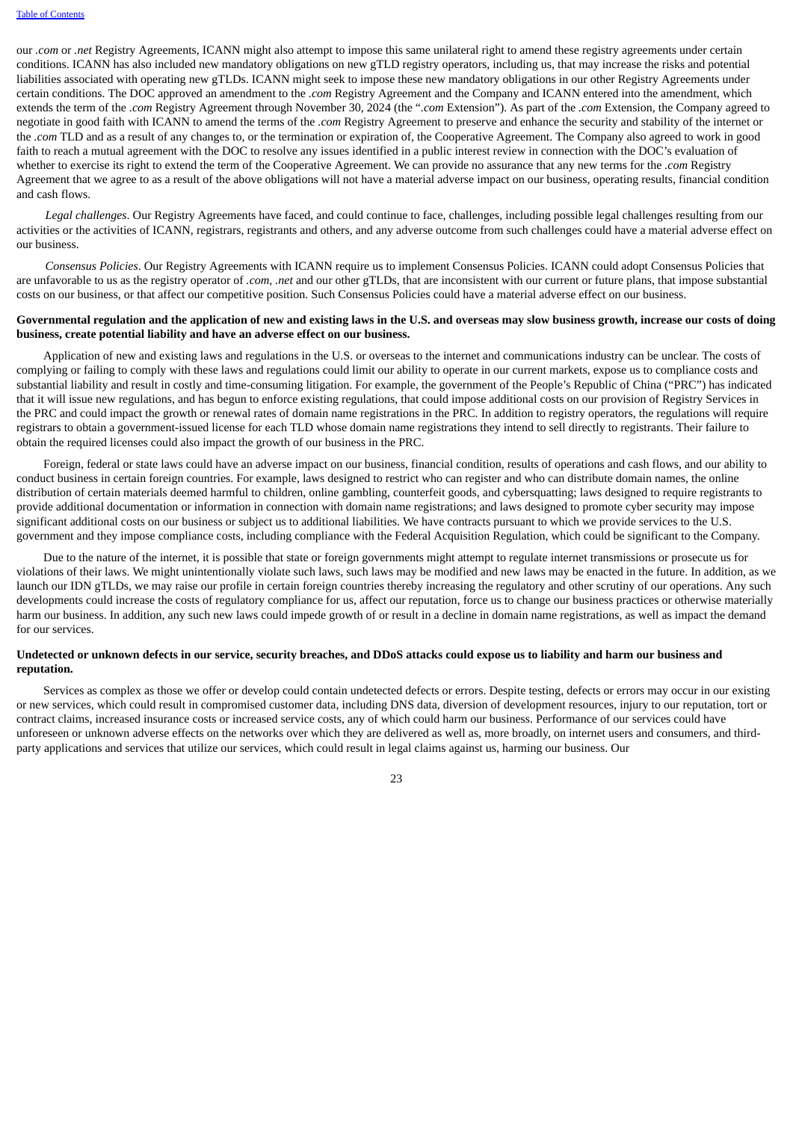our *.com* or *.net* Registry Agreements, ICANN might also attempt to impose this same unilateral right to amend these registry agreements under certain conditions. ICANN has also included new mandatory obligations on new gTLD registry operators, including us, that may increase the risks and potential liabilities associated with operating new gTLDs. ICANN might seek to impose these new mandatory obligations in our other Registry Agreements under certain conditions. The DOC approved an amendment to the *.com* Registry Agreement and the Company and ICANN entered into the amendment, which extends the term of the *.com* Registry Agreement through November 30, 2024 (the "*.com* Extension"). As part of the *.com* Extension, the Company agreed to negotiate in good faith with ICANN to amend the terms of the *.com* Registry Agreement to preserve and enhance the security and stability of the internet or the *.com* TLD and as a result of any changes to, or the termination or expiration of, the Cooperative Agreement. The Company also agreed to work in good faith to reach a mutual agreement with the DOC to resolve any issues identified in a public interest review in connection with the DOC's evaluation of whether to exercise its right to extend the term of the Cooperative Agreement. We can provide no assurance that any new terms for the *.com* Registry Agreement that we agree to as a result of the above obligations will not have a material adverse impact on our business, operating results, financial condition and cash flows.

*Legal challenges*. Our Registry Agreements have faced, and could continue to face, challenges, including possible legal challenges resulting from our activities or the activities of ICANN, registrars, registrants and others, and any adverse outcome from such challenges could have a material adverse effect on our business.

*Consensus Policies*. Our Registry Agreements with ICANN require us to implement Consensus Policies. ICANN could adopt Consensus Policies that are unfavorable to us as the registry operator of *.com*, *.net* and our other gTLDs, that are inconsistent with our current or future plans, that impose substantial costs on our business, or that affect our competitive position. Such Consensus Policies could have a material adverse effect on our business.

#### Governmental regulation and the application of new and existing laws in the U.S. and overseas may slow business growth, increase our costs of doing **business, create potential liability and have an adverse effect on our business.**

Application of new and existing laws and regulations in the U.S. or overseas to the internet and communications industry can be unclear. The costs of complying or failing to comply with these laws and regulations could limit our ability to operate in our current markets, expose us to compliance costs and substantial liability and result in costly and time-consuming litigation. For example, the government of the People's Republic of China ("PRC") has indicated that it will issue new regulations, and has begun to enforce existing regulations, that could impose additional costs on our provision of Registry Services in the PRC and could impact the growth or renewal rates of domain name registrations in the PRC. In addition to registry operators, the regulations will require registrars to obtain a government-issued license for each TLD whose domain name registrations they intend to sell directly to registrants. Their failure to obtain the required licenses could also impact the growth of our business in the PRC.

Foreign, federal or state laws could have an adverse impact on our business, financial condition, results of operations and cash flows, and our ability to conduct business in certain foreign countries. For example, laws designed to restrict who can register and who can distribute domain names, the online distribution of certain materials deemed harmful to children, online gambling, counterfeit goods, and cybersquatting; laws designed to require registrants to provide additional documentation or information in connection with domain name registrations; and laws designed to promote cyber security may impose significant additional costs on our business or subject us to additional liabilities. We have contracts pursuant to which we provide services to the U.S. government and they impose compliance costs, including compliance with the Federal Acquisition Regulation, which could be significant to the Company.

Due to the nature of the internet, it is possible that state or foreign governments might attempt to regulate internet transmissions or prosecute us for violations of their laws. We might unintentionally violate such laws, such laws may be modified and new laws may be enacted in the future. In addition, as we launch our IDN gTLDs, we may raise our profile in certain foreign countries thereby increasing the regulatory and other scrutiny of our operations. Any such developments could increase the costs of regulatory compliance for us, affect our reputation, force us to change our business practices or otherwise materially harm our business. In addition, any such new laws could impede growth of or result in a decline in domain name registrations, as well as impact the demand for our services.

# Undetected or unknown defects in our service, security breaches, and DDoS attacks could expose us to liability and harm our business and **reputation.**

Services as complex as those we offer or develop could contain undetected defects or errors. Despite testing, defects or errors may occur in our existing or new services, which could result in compromised customer data, including DNS data, diversion of development resources, injury to our reputation, tort or contract claims, increased insurance costs or increased service costs, any of which could harm our business. Performance of our services could have unforeseen or unknown adverse effects on the networks over which they are delivered as well as, more broadly, on internet users and consumers, and thirdparty applications and services that utilize our services, which could result in legal claims against us, harming our business. Our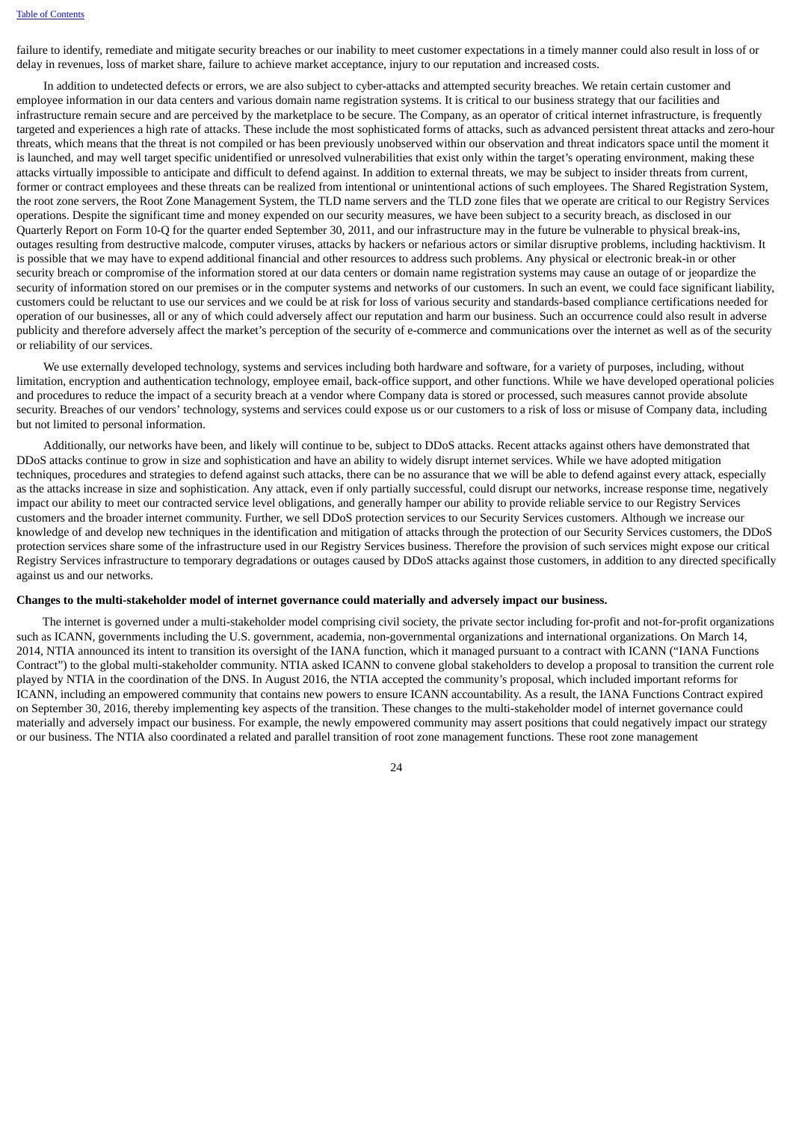failure to identify, remediate and mitigate security breaches or our inability to meet customer expectations in a timely manner could also result in loss of or delay in revenues, loss of market share, failure to achieve market acceptance, injury to our reputation and increased costs.

In addition to undetected defects or errors, we are also subject to cyber-attacks and attempted security breaches. We retain certain customer and employee information in our data centers and various domain name registration systems. It is critical to our business strategy that our facilities and infrastructure remain secure and are perceived by the marketplace to be secure. The Company, as an operator of critical internet infrastructure, is frequently targeted and experiences a high rate of attacks. These include the most sophisticated forms of attacks, such as advanced persistent threat attacks and zero-hour threats, which means that the threat is not compiled or has been previously unobserved within our observation and threat indicators space until the moment it is launched, and may well target specific unidentified or unresolved vulnerabilities that exist only within the target's operating environment, making these attacks virtually impossible to anticipate and difficult to defend against. In addition to external threats, we may be subject to insider threats from current, former or contract employees and these threats can be realized from intentional or unintentional actions of such employees. The Shared Registration System, the root zone servers, the Root Zone Management System, the TLD name servers and the TLD zone files that we operate are critical to our Registry Services operations. Despite the significant time and money expended on our security measures, we have been subject to a security breach, as disclosed in our Quarterly Report on Form 10-Q for the quarter ended September 30, 2011, and our infrastructure may in the future be vulnerable to physical break-ins, outages resulting from destructive malcode, computer viruses, attacks by hackers or nefarious actors or similar disruptive problems, including hacktivism. It is possible that we may have to expend additional financial and other resources to address such problems. Any physical or electronic break-in or other security breach or compromise of the information stored at our data centers or domain name registration systems may cause an outage of or jeopardize the security of information stored on our premises or in the computer systems and networks of our customers. In such an event, we could face significant liability, customers could be reluctant to use our services and we could be at risk for loss of various security and standards-based compliance certifications needed for operation of our businesses, all or any of which could adversely affect our reputation and harm our business. Such an occurrence could also result in adverse publicity and therefore adversely affect the market's perception of the security of e-commerce and communications over the internet as well as of the security or reliability of our services.

We use externally developed technology, systems and services including both hardware and software, for a variety of purposes, including, without limitation, encryption and authentication technology, employee email, back-office support, and other functions. While we have developed operational policies and procedures to reduce the impact of a security breach at a vendor where Company data is stored or processed, such measures cannot provide absolute security. Breaches of our vendors' technology, systems and services could expose us or our customers to a risk of loss or misuse of Company data, including but not limited to personal information.

Additionally, our networks have been, and likely will continue to be, subject to DDoS attacks. Recent attacks against others have demonstrated that DDoS attacks continue to grow in size and sophistication and have an ability to widely disrupt internet services. While we have adopted mitigation techniques, procedures and strategies to defend against such attacks, there can be no assurance that we will be able to defend against every attack, especially as the attacks increase in size and sophistication. Any attack, even if only partially successful, could disrupt our networks, increase response time, negatively impact our ability to meet our contracted service level obligations, and generally hamper our ability to provide reliable service to our Registry Services customers and the broader internet community. Further, we sell DDoS protection services to our Security Services customers. Although we increase our knowledge of and develop new techniques in the identification and mitigation of attacks through the protection of our Security Services customers, the DDoS protection services share some of the infrastructure used in our Registry Services business. Therefore the provision of such services might expose our critical Registry Services infrastructure to temporary degradations or outages caused by DDoS attacks against those customers, in addition to any directed specifically against us and our networks.

#### **Changes to the multi-stakeholder model of internet governance could materially and adversely impact our business.**

The internet is governed under a multi-stakeholder model comprising civil society, the private sector including for-profit and not-for-profit organizations such as ICANN, governments including the U.S. government, academia, non-governmental organizations and international organizations. On March 14, 2014, NTIA announced its intent to transition its oversight of the IANA function, which it managed pursuant to a contract with ICANN ("IANA Functions Contract") to the global multi-stakeholder community. NTIA asked ICANN to convene global stakeholders to develop a proposal to transition the current role played by NTIA in the coordination of the DNS. In August 2016, the NTIA accepted the community's proposal, which included important reforms for ICANN, including an empowered community that contains new powers to ensure ICANN accountability. As a result, the IANA Functions Contract expired on September 30, 2016, thereby implementing key aspects of the transition. These changes to the multi-stakeholder model of internet governance could materially and adversely impact our business. For example, the newly empowered community may assert positions that could negatively impact our strategy or our business. The NTIA also coordinated a related and parallel transition of root zone management functions. These root zone management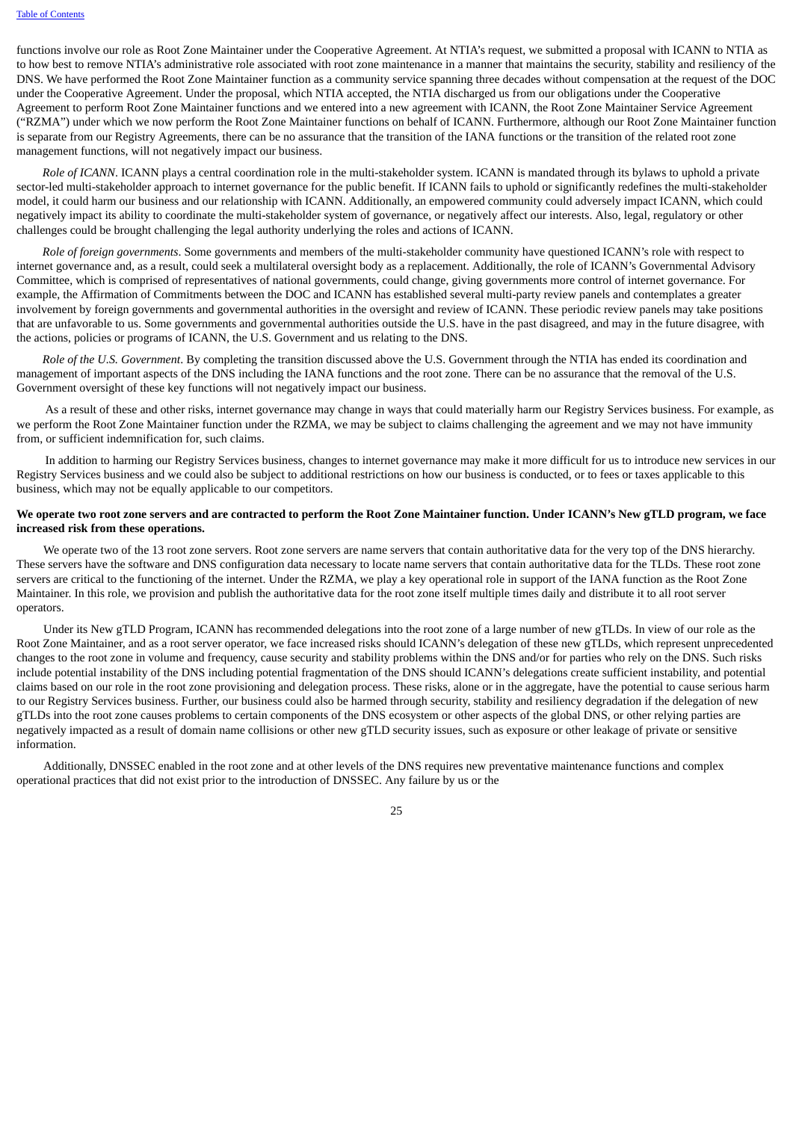functions involve our role as Root Zone Maintainer under the Cooperative Agreement. At NTIA's request, we submitted a proposal with ICANN to NTIA as to how best to remove NTIA's administrative role associated with root zone maintenance in a manner that maintains the security, stability and resiliency of the DNS. We have performed the Root Zone Maintainer function as a community service spanning three decades without compensation at the request of the DOC under the Cooperative Agreement. Under the proposal, which NTIA accepted, the NTIA discharged us from our obligations under the Cooperative Agreement to perform Root Zone Maintainer functions and we entered into a new agreement with ICANN, the Root Zone Maintainer Service Agreement ("RZMA") under which we now perform the Root Zone Maintainer functions on behalf of ICANN. Furthermore, although our Root Zone Maintainer function is separate from our Registry Agreements, there can be no assurance that the transition of the IANA functions or the transition of the related root zone management functions, will not negatively impact our business.

*Role of ICANN*. ICANN plays a central coordination role in the multi-stakeholder system. ICANN is mandated through its bylaws to uphold a private sector-led multi-stakeholder approach to internet governance for the public benefit. If ICANN fails to uphold or significantly redefines the multi-stakeholder model, it could harm our business and our relationship with ICANN. Additionally, an empowered community could adversely impact ICANN, which could negatively impact its ability to coordinate the multi-stakeholder system of governance, or negatively affect our interests. Also, legal, regulatory or other challenges could be brought challenging the legal authority underlying the roles and actions of ICANN.

*Role of foreign governments*. Some governments and members of the multi-stakeholder community have questioned ICANN's role with respect to internet governance and, as a result, could seek a multilateral oversight body as a replacement. Additionally, the role of ICANN's Governmental Advisory Committee, which is comprised of representatives of national governments, could change, giving governments more control of internet governance. For example, the Affirmation of Commitments between the DOC and ICANN has established several multi-party review panels and contemplates a greater involvement by foreign governments and governmental authorities in the oversight and review of ICANN. These periodic review panels may take positions that are unfavorable to us. Some governments and governmental authorities outside the U.S. have in the past disagreed, and may in the future disagree, with the actions, policies or programs of ICANN, the U.S. Government and us relating to the DNS.

*Role of the U.S. Government*. By completing the transition discussed above the U.S. Government through the NTIA has ended its coordination and management of important aspects of the DNS including the IANA functions and the root zone. There can be no assurance that the removal of the U.S. Government oversight of these key functions will not negatively impact our business.

As a result of these and other risks, internet governance may change in ways that could materially harm our Registry Services business. For example, as we perform the Root Zone Maintainer function under the RZMA, we may be subject to claims challenging the agreement and we may not have immunity from, or sufficient indemnification for, such claims.

In addition to harming our Registry Services business, changes to internet governance may make it more difficult for us to introduce new services in our Registry Services business and we could also be subject to additional restrictions on how our business is conducted, or to fees or taxes applicable to this business, which may not be equally applicable to our competitors.

# We operate two root zone servers and are contracted to perform the Root Zone Maintainer function. Under ICANN's New gTLD program, we face **increased risk from these operations.**

We operate two of the 13 root zone servers. Root zone servers are name servers that contain authoritative data for the very top of the DNS hierarchy. These servers have the software and DNS configuration data necessary to locate name servers that contain authoritative data for the TLDs. These root zone servers are critical to the functioning of the internet. Under the RZMA, we play a key operational role in support of the IANA function as the Root Zone Maintainer. In this role, we provision and publish the authoritative data for the root zone itself multiple times daily and distribute it to all root server operators.

Under its New gTLD Program, ICANN has recommended delegations into the root zone of a large number of new gTLDs. In view of our role as the Root Zone Maintainer, and as a root server operator, we face increased risks should ICANN's delegation of these new gTLDs, which represent unprecedented changes to the root zone in volume and frequency, cause security and stability problems within the DNS and/or for parties who rely on the DNS. Such risks include potential instability of the DNS including potential fragmentation of the DNS should ICANN's delegations create sufficient instability, and potential claims based on our role in the root zone provisioning and delegation process. These risks, alone or in the aggregate, have the potential to cause serious harm to our Registry Services business. Further, our business could also be harmed through security, stability and resiliency degradation if the delegation of new gTLDs into the root zone causes problems to certain components of the DNS ecosystem or other aspects of the global DNS, or other relying parties are negatively impacted as a result of domain name collisions or other new gTLD security issues, such as exposure or other leakage of private or sensitive information.

Additionally, DNSSEC enabled in the root zone and at other levels of the DNS requires new preventative maintenance functions and complex operational practices that did not exist prior to the introduction of DNSSEC. Any failure by us or the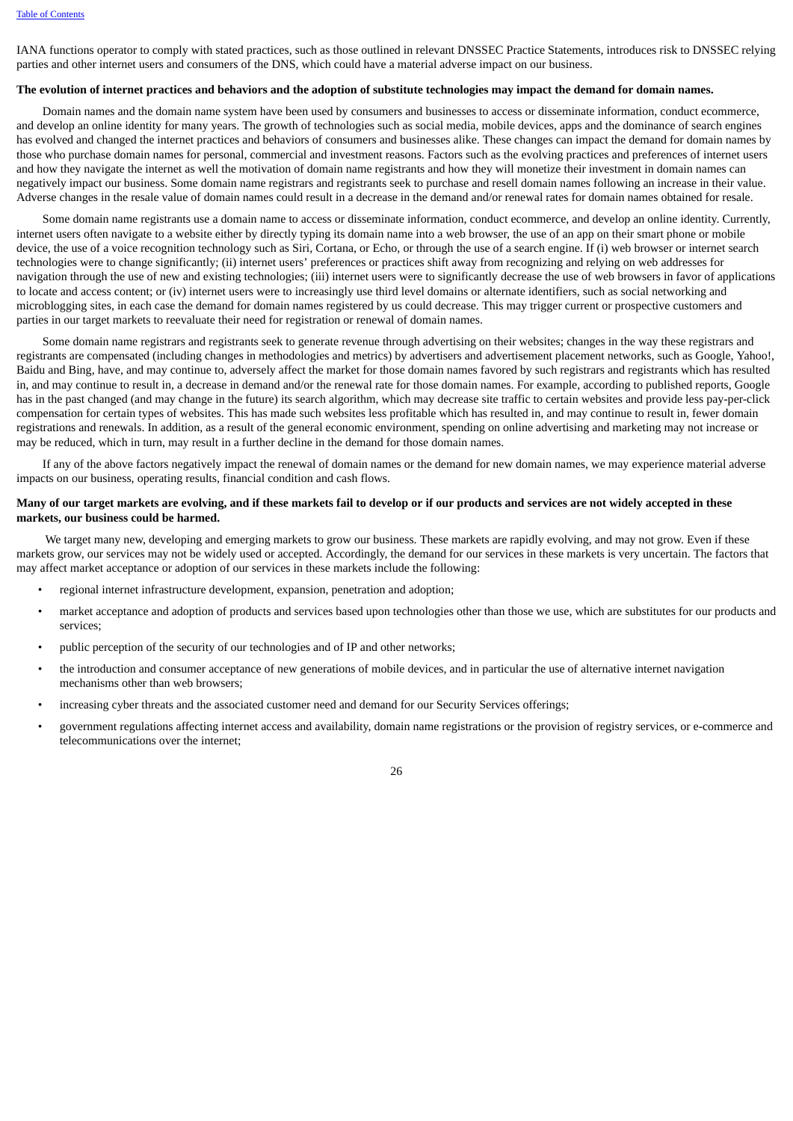IANA functions operator to comply with stated practices, such as those outlined in relevant DNSSEC Practice Statements, introduces risk to DNSSEC relying parties and other internet users and consumers of the DNS, which could have a material adverse impact on our business.

#### The evolution of internet practices and behaviors and the adoption of substitute technologies may impact the demand for domain names.

Domain names and the domain name system have been used by consumers and businesses to access or disseminate information, conduct ecommerce, and develop an online identity for many years. The growth of technologies such as social media, mobile devices, apps and the dominance of search engines has evolved and changed the internet practices and behaviors of consumers and businesses alike. These changes can impact the demand for domain names by those who purchase domain names for personal, commercial and investment reasons. Factors such as the evolving practices and preferences of internet users and how they navigate the internet as well the motivation of domain name registrants and how they will monetize their investment in domain names can negatively impact our business. Some domain name registrars and registrants seek to purchase and resell domain names following an increase in their value. Adverse changes in the resale value of domain names could result in a decrease in the demand and/or renewal rates for domain names obtained for resale.

Some domain name registrants use a domain name to access or disseminate information, conduct ecommerce, and develop an online identity. Currently, internet users often navigate to a website either by directly typing its domain name into a web browser, the use of an app on their smart phone or mobile device, the use of a voice recognition technology such as Siri, Cortana, or Echo, or through the use of a search engine. If (i) web browser or internet search technologies were to change significantly; (ii) internet users' preferences or practices shift away from recognizing and relying on web addresses for navigation through the use of new and existing technologies; (iii) internet users were to significantly decrease the use of web browsers in favor of applications to locate and access content; or (iv) internet users were to increasingly use third level domains or alternate identifiers, such as social networking and microblogging sites, in each case the demand for domain names registered by us could decrease. This may trigger current or prospective customers and parties in our target markets to reevaluate their need for registration or renewal of domain names.

Some domain name registrars and registrants seek to generate revenue through advertising on their websites; changes in the way these registrars and registrants are compensated (including changes in methodologies and metrics) by advertisers and advertisement placement networks, such as Google, Yahoo!, Baidu and Bing, have, and may continue to, adversely affect the market for those domain names favored by such registrars and registrants which has resulted in, and may continue to result in, a decrease in demand and/or the renewal rate for those domain names. For example, according to published reports, Google has in the past changed (and may change in the future) its search algorithm, which may decrease site traffic to certain websites and provide less pay-per-click compensation for certain types of websites. This has made such websites less profitable which has resulted in, and may continue to result in, fewer domain registrations and renewals. In addition, as a result of the general economic environment, spending on online advertising and marketing may not increase or may be reduced, which in turn, may result in a further decline in the demand for those domain names.

If any of the above factors negatively impact the renewal of domain names or the demand for new domain names, we may experience material adverse impacts on our business, operating results, financial condition and cash flows.

## Many of our target markets are evolving, and if these markets fail to develop or if our products and services are not widely accepted in these **markets, our business could be harmed.**

We target many new, developing and emerging markets to grow our business. These markets are rapidly evolving, and may not grow. Even if these markets grow, our services may not be widely used or accepted. Accordingly, the demand for our services in these markets is very uncertain. The factors that may affect market acceptance or adoption of our services in these markets include the following:

- regional internet infrastructure development, expansion, penetration and adoption;
- market acceptance and adoption of products and services based upon technologies other than those we use, which are substitutes for our products and services;
- public perception of the security of our technologies and of IP and other networks;
- the introduction and consumer acceptance of new generations of mobile devices, and in particular the use of alternative internet navigation mechanisms other than web browsers;
- increasing cyber threats and the associated customer need and demand for our Security Services offerings;
- government regulations affecting internet access and availability, domain name registrations or the provision of registry services, or e-commerce and telecommunications over the internet;

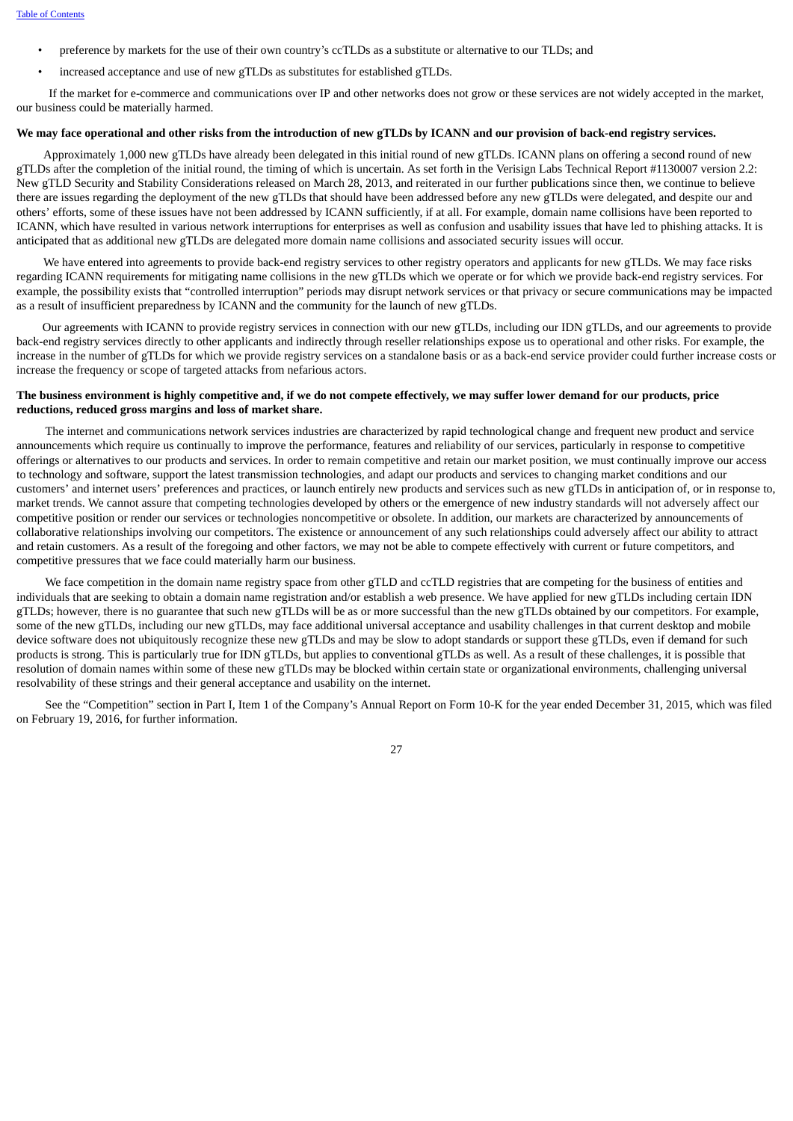- preference by markets for the use of their own country's ccTLDs as a substitute or alternative to our TLDs; and
- increased acceptance and use of new gTLDs as substitutes for established gTLDs.

If the market for e-commerce and communications over IP and other networks does not grow or these services are not widely accepted in the market, our business could be materially harmed.

#### We may face operational and other risks from the introduction of new gTLDs by ICANN and our provision of back-end registry services.

Approximately 1,000 new gTLDs have already been delegated in this initial round of new gTLDs. ICANN plans on offering a second round of new gTLDs after the completion of the initial round, the timing of which is uncertain. As set forth in the Verisign Labs Technical Report #1130007 version 2.2: New gTLD Security and Stability Considerations released on March 28, 2013, and reiterated in our further publications since then, we continue to believe there are issues regarding the deployment of the new gTLDs that should have been addressed before any new gTLDs were delegated, and despite our and others' efforts, some of these issues have not been addressed by ICANN sufficiently, if at all. For example, domain name collisions have been reported to ICANN, which have resulted in various network interruptions for enterprises as well as confusion and usability issues that have led to phishing attacks. It is anticipated that as additional new gTLDs are delegated more domain name collisions and associated security issues will occur.

We have entered into agreements to provide back-end registry services to other registry operators and applicants for new gTLDs. We may face risks regarding ICANN requirements for mitigating name collisions in the new gTLDs which we operate or for which we provide back-end registry services. For example, the possibility exists that "controlled interruption" periods may disrupt network services or that privacy or secure communications may be impacted as a result of insufficient preparedness by ICANN and the community for the launch of new gTLDs.

Our agreements with ICANN to provide registry services in connection with our new gTLDs, including our IDN gTLDs, and our agreements to provide back-end registry services directly to other applicants and indirectly through reseller relationships expose us to operational and other risks. For example, the increase in the number of gTLDs for which we provide registry services on a standalone basis or as a back-end service provider could further increase costs or increase the frequency or scope of targeted attacks from nefarious actors.

## The business environment is highly competitive and, if we do not compete effectively, we may suffer lower demand for our products, price **reductions, reduced gross margins and loss of market share.**

The internet and communications network services industries are characterized by rapid technological change and frequent new product and service announcements which require us continually to improve the performance, features and reliability of our services, particularly in response to competitive offerings or alternatives to our products and services. In order to remain competitive and retain our market position, we must continually improve our access to technology and software, support the latest transmission technologies, and adapt our products and services to changing market conditions and our customers' and internet users' preferences and practices, or launch entirely new products and services such as new gTLDs in anticipation of, or in response to, market trends. We cannot assure that competing technologies developed by others or the emergence of new industry standards will not adversely affect our competitive position or render our services or technologies noncompetitive or obsolete. In addition, our markets are characterized by announcements of collaborative relationships involving our competitors. The existence or announcement of any such relationships could adversely affect our ability to attract and retain customers. As a result of the foregoing and other factors, we may not be able to compete effectively with current or future competitors, and competitive pressures that we face could materially harm our business.

We face competition in the domain name registry space from other gTLD and ccTLD registries that are competing for the business of entities and individuals that are seeking to obtain a domain name registration and/or establish a web presence. We have applied for new gTLDs including certain IDN gTLDs; however, there is no guarantee that such new gTLDs will be as or more successful than the new gTLDs obtained by our competitors. For example, some of the new gTLDs, including our new gTLDs, may face additional universal acceptance and usability challenges in that current desktop and mobile device software does not ubiquitously recognize these new gTLDs and may be slow to adopt standards or support these gTLDs, even if demand for such products is strong. This is particularly true for IDN gTLDs, but applies to conventional gTLDs as well. As a result of these challenges, it is possible that resolution of domain names within some of these new gTLDs may be blocked within certain state or organizational environments, challenging universal resolvability of these strings and their general acceptance and usability on the internet.

See the "Competition" section in Part I, Item 1 of the Company's Annual Report on Form 10-K for the year ended December 31, 2015, which was filed on February 19, 2016, for further information.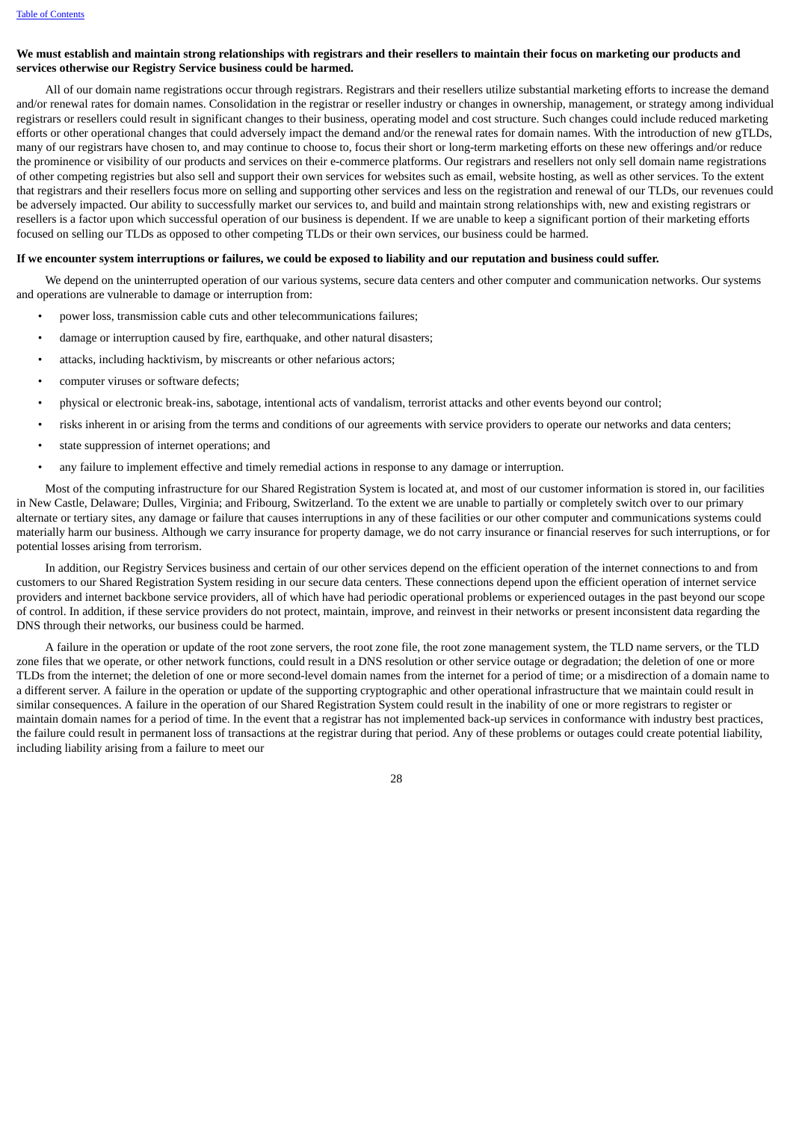# We must establish and maintain strong relationships with registrars and their resellers to maintain their focus on marketing our products and **services otherwise our Registry Service business could be harmed.**

All of our domain name registrations occur through registrars. Registrars and their resellers utilize substantial marketing efforts to increase the demand and/or renewal rates for domain names. Consolidation in the registrar or reseller industry or changes in ownership, management, or strategy among individual registrars or resellers could result in significant changes to their business, operating model and cost structure. Such changes could include reduced marketing efforts or other operational changes that could adversely impact the demand and/or the renewal rates for domain names. With the introduction of new gTLDs, many of our registrars have chosen to, and may continue to choose to, focus their short or long-term marketing efforts on these new offerings and/or reduce the prominence or visibility of our products and services on their e-commerce platforms. Our registrars and resellers not only sell domain name registrations of other competing registries but also sell and support their own services for websites such as email, website hosting, as well as other services. To the extent that registrars and their resellers focus more on selling and supporting other services and less on the registration and renewal of our TLDs, our revenues could be adversely impacted. Our ability to successfully market our services to, and build and maintain strong relationships with, new and existing registrars or resellers is a factor upon which successful operation of our business is dependent. If we are unable to keep a significant portion of their marketing efforts focused on selling our TLDs as opposed to other competing TLDs or their own services, our business could be harmed.

#### If we encounter system interruptions or failures, we could be exposed to liability and our reputation and business could suffer.

We depend on the uninterrupted operation of our various systems, secure data centers and other computer and communication networks. Our systems and operations are vulnerable to damage or interruption from:

- power loss, transmission cable cuts and other telecommunications failures;
- damage or interruption caused by fire, earthquake, and other natural disasters;
- attacks, including hacktivism, by miscreants or other nefarious actors;
- computer viruses or software defects;
- physical or electronic break-ins, sabotage, intentional acts of vandalism, terrorist attacks and other events beyond our control;
- risks inherent in or arising from the terms and conditions of our agreements with service providers to operate our networks and data centers;
- state suppression of internet operations; and
- any failure to implement effective and timely remedial actions in response to any damage or interruption.

Most of the computing infrastructure for our Shared Registration System is located at, and most of our customer information is stored in, our facilities in New Castle, Delaware; Dulles, Virginia; and Fribourg, Switzerland. To the extent we are unable to partially or completely switch over to our primary alternate or tertiary sites, any damage or failure that causes interruptions in any of these facilities or our other computer and communications systems could materially harm our business. Although we carry insurance for property damage, we do not carry insurance or financial reserves for such interruptions, or for potential losses arising from terrorism.

In addition, our Registry Services business and certain of our other services depend on the efficient operation of the internet connections to and from customers to our Shared Registration System residing in our secure data centers. These connections depend upon the efficient operation of internet service providers and internet backbone service providers, all of which have had periodic operational problems or experienced outages in the past beyond our scope of control. In addition, if these service providers do not protect, maintain, improve, and reinvest in their networks or present inconsistent data regarding the DNS through their networks, our business could be harmed.

A failure in the operation or update of the root zone servers, the root zone file, the root zone management system, the TLD name servers, or the TLD zone files that we operate, or other network functions, could result in a DNS resolution or other service outage or degradation; the deletion of one or more TLDs from the internet; the deletion of one or more second-level domain names from the internet for a period of time; or a misdirection of a domain name to a different server. A failure in the operation or update of the supporting cryptographic and other operational infrastructure that we maintain could result in similar consequences. A failure in the operation of our Shared Registration System could result in the inability of one or more registrars to register or maintain domain names for a period of time. In the event that a registrar has not implemented back-up services in conformance with industry best practices, the failure could result in permanent loss of transactions at the registrar during that period. Any of these problems or outages could create potential liability, including liability arising from a failure to meet our

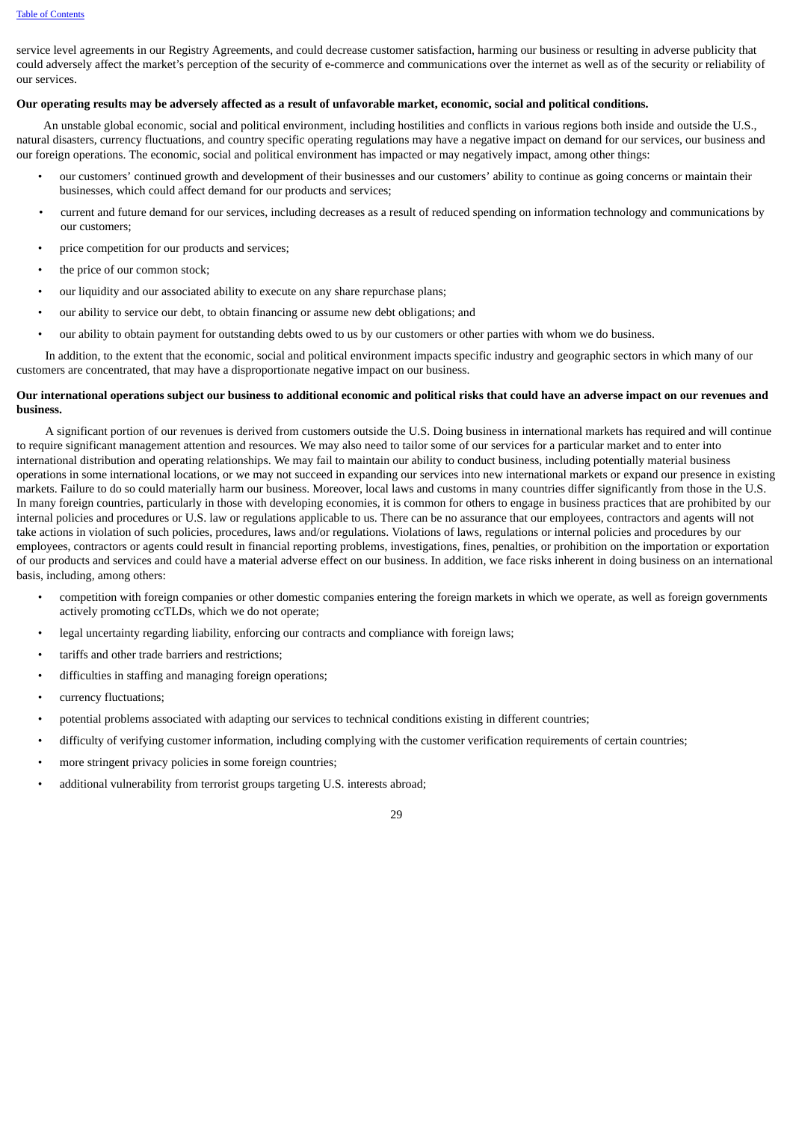service level agreements in our Registry Agreements, and could decrease customer satisfaction, harming our business or resulting in adverse publicity that could adversely affect the market's perception of the security of e-commerce and communications over the internet as well as of the security or reliability of our services.

#### Our operating results may be adversely affected as a result of unfavorable market, economic, social and political conditions.

An unstable global economic, social and political environment, including hostilities and conflicts in various regions both inside and outside the U.S., natural disasters, currency fluctuations, and country specific operating regulations may have a negative impact on demand for our services, our business and our foreign operations. The economic, social and political environment has impacted or may negatively impact, among other things:

- our customers' continued growth and development of their businesses and our customers' ability to continue as going concerns or maintain their businesses, which could affect demand for our products and services;
- current and future demand for our services, including decreases as a result of reduced spending on information technology and communications by our customers;
- price competition for our products and services;
- the price of our common stock;
- our liquidity and our associated ability to execute on any share repurchase plans;
- our ability to service our debt, to obtain financing or assume new debt obligations; and
- our ability to obtain payment for outstanding debts owed to us by our customers or other parties with whom we do business.

In addition, to the extent that the economic, social and political environment impacts specific industry and geographic sectors in which many of our customers are concentrated, that may have a disproportionate negative impact on our business.

# Our international operations subject our business to additional economic and political risks that could have an adverse impact on our revenues and **business.**

A significant portion of our revenues is derived from customers outside the U.S. Doing business in international markets has required and will continue to require significant management attention and resources. We may also need to tailor some of our services for a particular market and to enter into international distribution and operating relationships. We may fail to maintain our ability to conduct business, including potentially material business operations in some international locations, or we may not succeed in expanding our services into new international markets or expand our presence in existing markets. Failure to do so could materially harm our business. Moreover, local laws and customs in many countries differ significantly from those in the U.S. In many foreign countries, particularly in those with developing economies, it is common for others to engage in business practices that are prohibited by our internal policies and procedures or U.S. law or regulations applicable to us. There can be no assurance that our employees, contractors and agents will not take actions in violation of such policies, procedures, laws and/or regulations. Violations of laws, regulations or internal policies and procedures by our employees, contractors or agents could result in financial reporting problems, investigations, fines, penalties, or prohibition on the importation or exportation of our products and services and could have a material adverse effect on our business. In addition, we face risks inherent in doing business on an international basis, including, among others:

- competition with foreign companies or other domestic companies entering the foreign markets in which we operate, as well as foreign governments actively promoting ccTLDs, which we do not operate;
- legal uncertainty regarding liability, enforcing our contracts and compliance with foreign laws;
- tariffs and other trade barriers and restrictions:
- difficulties in staffing and managing foreign operations;
- currency fluctuations;
- potential problems associated with adapting our services to technical conditions existing in different countries;
- difficulty of verifying customer information, including complying with the customer verification requirements of certain countries;
- more stringent privacy policies in some foreign countries;
- additional vulnerability from terrorist groups targeting U.S. interests abroad: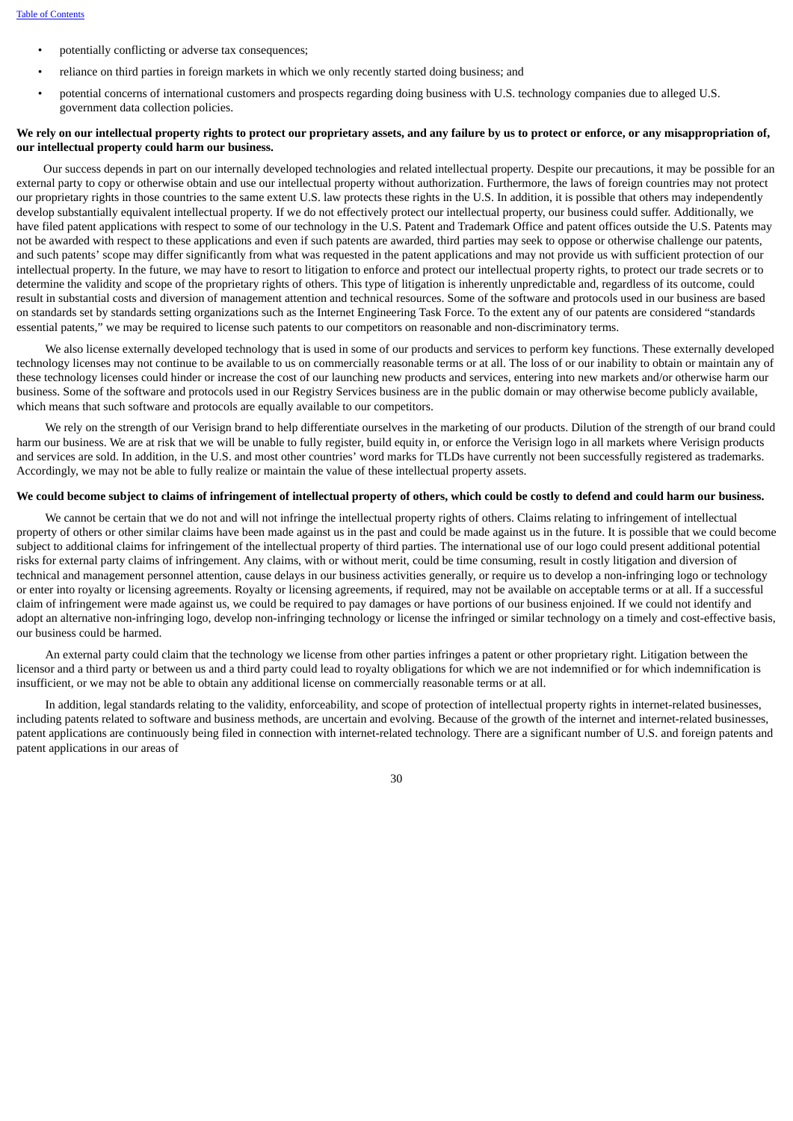- potentially conflicting or adverse tax consequences;
- reliance on third parties in foreign markets in which we only recently started doing business; and
- potential concerns of international customers and prospects regarding doing business with U.S. technology companies due to alleged U.S. government data collection policies.

# We rely on our intellectual property rights to protect our proprietary assets, and any failure by us to protect or enforce, or any misappropriation of, **our intellectual property could harm our business.**

Our success depends in part on our internally developed technologies and related intellectual property. Despite our precautions, it may be possible for an external party to copy or otherwise obtain and use our intellectual property without authorization. Furthermore, the laws of foreign countries may not protect our proprietary rights in those countries to the same extent U.S. law protects these rights in the U.S. In addition, it is possible that others may independently develop substantially equivalent intellectual property. If we do not effectively protect our intellectual property, our business could suffer. Additionally, we have filed patent applications with respect to some of our technology in the U.S. Patent and Trademark Office and patent offices outside the U.S. Patents may not be awarded with respect to these applications and even if such patents are awarded, third parties may seek to oppose or otherwise challenge our patents, and such patents' scope may differ significantly from what was requested in the patent applications and may not provide us with sufficient protection of our intellectual property. In the future, we may have to resort to litigation to enforce and protect our intellectual property rights, to protect our trade secrets or to determine the validity and scope of the proprietary rights of others. This type of litigation is inherently unpredictable and, regardless of its outcome, could result in substantial costs and diversion of management attention and technical resources. Some of the software and protocols used in our business are based on standards set by standards setting organizations such as the Internet Engineering Task Force. To the extent any of our patents are considered "standards essential patents," we may be required to license such patents to our competitors on reasonable and non-discriminatory terms.

We also license externally developed technology that is used in some of our products and services to perform key functions. These externally developed technology licenses may not continue to be available to us on commercially reasonable terms or at all. The loss of or our inability to obtain or maintain any of these technology licenses could hinder or increase the cost of our launching new products and services, entering into new markets and/or otherwise harm our business. Some of the software and protocols used in our Registry Services business are in the public domain or may otherwise become publicly available, which means that such software and protocols are equally available to our competitors.

We rely on the strength of our Verisign brand to help differentiate ourselves in the marketing of our products. Dilution of the strength of our brand could harm our business. We are at risk that we will be unable to fully register, build equity in, or enforce the Verisign logo in all markets where Verisign products and services are sold. In addition, in the U.S. and most other countries' word marks for TLDs have currently not been successfully registered as trademarks. Accordingly, we may not be able to fully realize or maintain the value of these intellectual property assets.

#### We could become subject to claims of infringement of intellectual property of others, which could be costly to defend and could harm our business.

We cannot be certain that we do not and will not infringe the intellectual property rights of others. Claims relating to infringement of intellectual property of others or other similar claims have been made against us in the past and could be made against us in the future. It is possible that we could become subject to additional claims for infringement of the intellectual property of third parties. The international use of our logo could present additional potential risks for external party claims of infringement. Any claims, with or without merit, could be time consuming, result in costly litigation and diversion of technical and management personnel attention, cause delays in our business activities generally, or require us to develop a non-infringing logo or technology or enter into royalty or licensing agreements. Royalty or licensing agreements, if required, may not be available on acceptable terms or at all. If a successful claim of infringement were made against us, we could be required to pay damages or have portions of our business enjoined. If we could not identify and adopt an alternative non-infringing logo, develop non-infringing technology or license the infringed or similar technology on a timely and cost-effective basis, our business could be harmed.

An external party could claim that the technology we license from other parties infringes a patent or other proprietary right. Litigation between the licensor and a third party or between us and a third party could lead to royalty obligations for which we are not indemnified or for which indemnification is insufficient, or we may not be able to obtain any additional license on commercially reasonable terms or at all.

In addition, legal standards relating to the validity, enforceability, and scope of protection of intellectual property rights in internet-related businesses, including patents related to software and business methods, are uncertain and evolving. Because of the growth of the internet and internet-related businesses, patent applications are continuously being filed in connection with internet-related technology. There are a significant number of U.S. and foreign patents and patent applications in our areas of

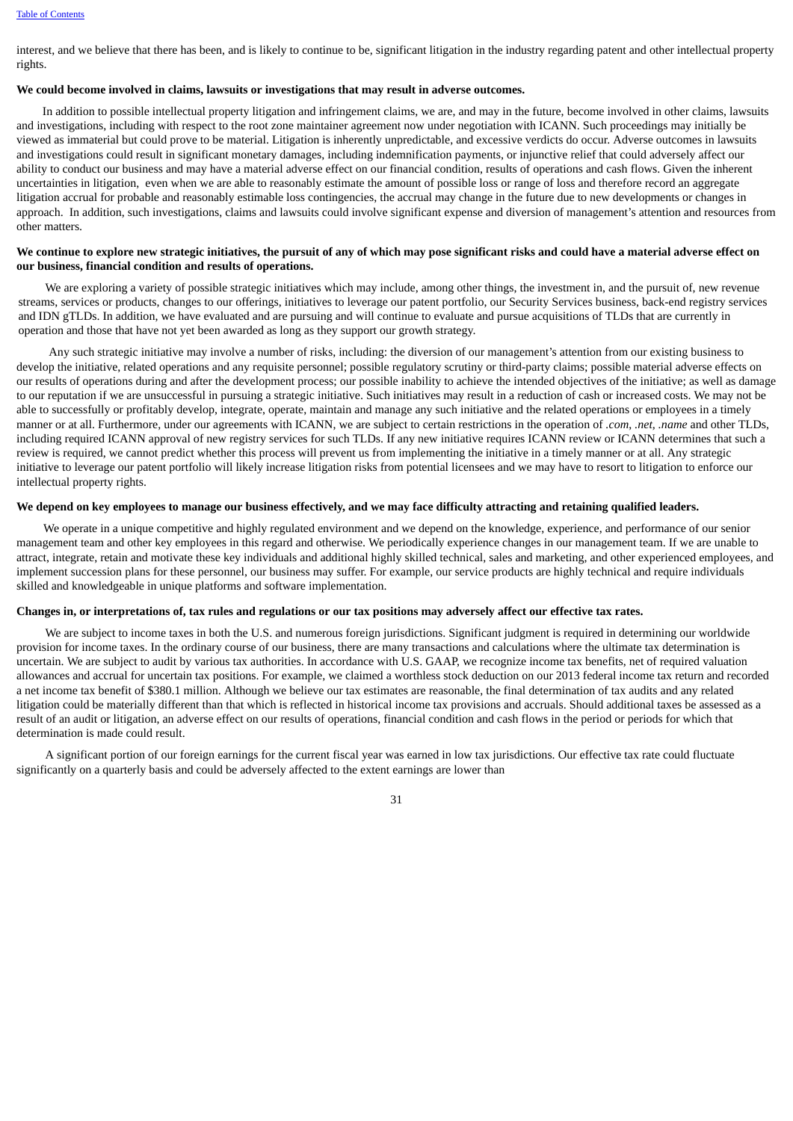interest, and we believe that there has been, and is likely to continue to be, significant litigation in the industry regarding patent and other intellectual property rights.

#### **We could become involved in claims, lawsuits or investigations that may result in adverse outcomes.**

In addition to possible intellectual property litigation and infringement claims, we are, and may in the future, become involved in other claims, lawsuits and investigations, including with respect to the root zone maintainer agreement now under negotiation with ICANN. Such proceedings may initially be viewed as immaterial but could prove to be material. Litigation is inherently unpredictable, and excessive verdicts do occur. Adverse outcomes in lawsuits and investigations could result in significant monetary damages, including indemnification payments, or injunctive relief that could adversely affect our ability to conduct our business and may have a material adverse effect on our financial condition, results of operations and cash flows. Given the inherent uncertainties in litigation, even when we are able to reasonably estimate the amount of possible loss or range of loss and therefore record an aggregate litigation accrual for probable and reasonably estimable loss contingencies, the accrual may change in the future due to new developments or changes in approach. In addition, such investigations, claims and lawsuits could involve significant expense and diversion of management's attention and resources from other matters.

# We continue to explore new strategic initiatives, the pursuit of any of which may pose significant risks and could have a material adverse effect on **our business, financial condition and results of operations.**

We are exploring a variety of possible strategic initiatives which may include, among other things, the investment in, and the pursuit of, new revenue streams, services or products, changes to our offerings, initiatives to leverage our patent portfolio, our Security Services business, back-end registry services and IDN gTLDs. In addition, we have evaluated and are pursuing and will continue to evaluate and pursue acquisitions of TLDs that are currently in operation and those that have not yet been awarded as long as they support our growth strategy.

Any such strategic initiative may involve a number of risks, including: the diversion of our management's attention from our existing business to develop the initiative, related operations and any requisite personnel; possible regulatory scrutiny or third-party claims; possible material adverse effects on our results of operations during and after the development process; our possible inability to achieve the intended objectives of the initiative; as well as damage to our reputation if we are unsuccessful in pursuing a strategic initiative. Such initiatives may result in a reduction of cash or increased costs. We may not be able to successfully or profitably develop, integrate, operate, maintain and manage any such initiative and the related operations or employees in a timely manner or at all. Furthermore, under our agreements with ICANN, we are subject to certain restrictions in the operation of *.com*, *.net, .name* and other TLDs, including required ICANN approval of new registry services for such TLDs. If any new initiative requires ICANN review or ICANN determines that such a review is required, we cannot predict whether this process will prevent us from implementing the initiative in a timely manner or at all. Any strategic initiative to leverage our patent portfolio will likely increase litigation risks from potential licensees and we may have to resort to litigation to enforce our intellectual property rights.

#### We depend on key employees to manage our business effectively, and we may face difficulty attracting and retaining qualified leaders.

We operate in a unique competitive and highly regulated environment and we depend on the knowledge, experience, and performance of our senior management team and other key employees in this regard and otherwise. We periodically experience changes in our management team. If we are unable to attract, integrate, retain and motivate these key individuals and additional highly skilled technical, sales and marketing, and other experienced employees, and implement succession plans for these personnel, our business may suffer. For example, our service products are highly technical and require individuals skilled and knowledgeable in unique platforms and software implementation.

#### Changes in, or interpretations of, tax rules and regulations or our tax positions may adversely affect our effective tax rates.

We are subject to income taxes in both the U.S. and numerous foreign jurisdictions. Significant judgment is required in determining our worldwide provision for income taxes. In the ordinary course of our business, there are many transactions and calculations where the ultimate tax determination is uncertain. We are subject to audit by various tax authorities. In accordance with U.S. GAAP, we recognize income tax benefits, net of required valuation allowances and accrual for uncertain tax positions. For example, we claimed a worthless stock deduction on our 2013 federal income tax return and recorded a net income tax benefit of \$380.1 million. Although we believe our tax estimates are reasonable, the final determination of tax audits and any related litigation could be materially different than that which is reflected in historical income tax provisions and accruals. Should additional taxes be assessed as a result of an audit or litigation, an adverse effect on our results of operations, financial condition and cash flows in the period or periods for which that determination is made could result.

A significant portion of our foreign earnings for the current fiscal year was earned in low tax jurisdictions. Our effective tax rate could fluctuate significantly on a quarterly basis and could be adversely affected to the extent earnings are lower than

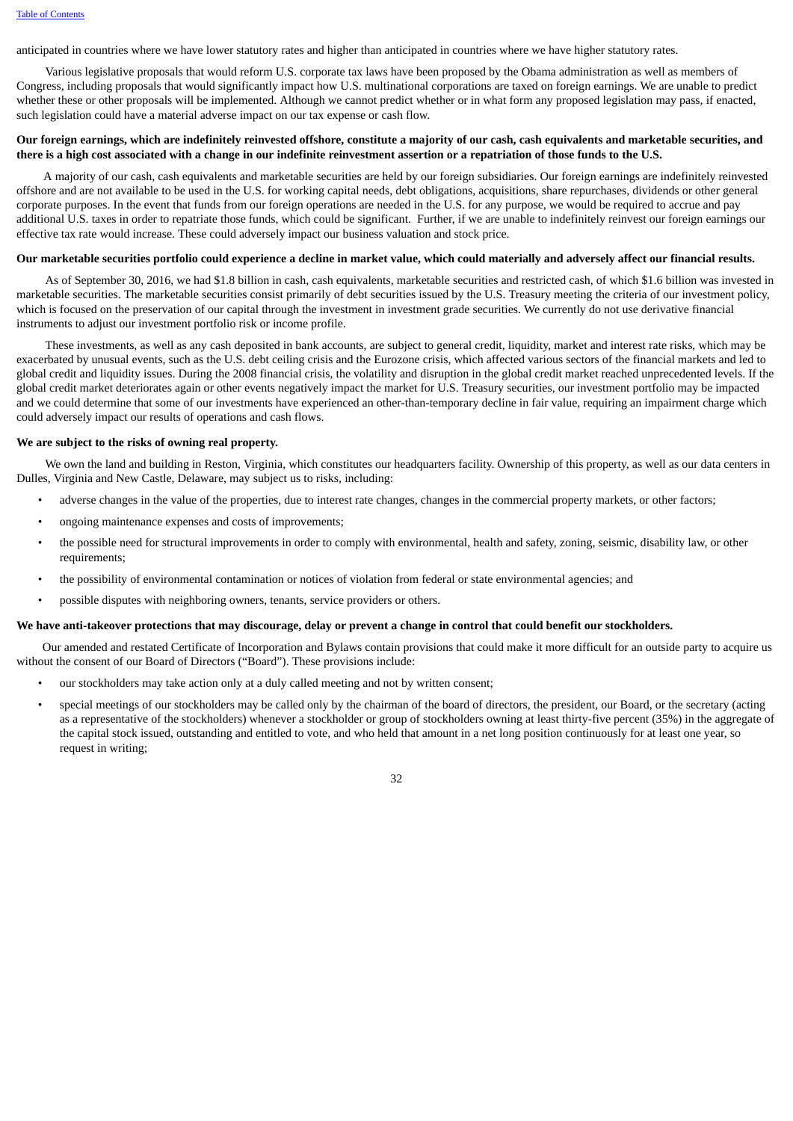anticipated in countries where we have lower statutory rates and higher than anticipated in countries where we have higher statutory rates.

Various legislative proposals that would reform U.S. corporate tax laws have been proposed by the Obama administration as well as members of Congress, including proposals that would significantly impact how U.S. multinational corporations are taxed on foreign earnings. We are unable to predict whether these or other proposals will be implemented. Although we cannot predict whether or in what form any proposed legislation may pass, if enacted, such legislation could have a material adverse impact on our tax expense or cash flow.

# Our foreign earnings, which are indefinitely reinvested offshore, constitute a majority of our cash, cash equivalents and marketable securities, and there is a high cost associated with a change in our indefinite reinvestment assertion or a repatriation of those funds to the U.S.

A majority of our cash, cash equivalents and marketable securities are held by our foreign subsidiaries. Our foreign earnings are indefinitely reinvested offshore and are not available to be used in the U.S. for working capital needs, debt obligations, acquisitions, share repurchases, dividends or other general corporate purposes. In the event that funds from our foreign operations are needed in the U.S. for any purpose, we would be required to accrue and pay additional U.S. taxes in order to repatriate those funds, which could be significant. Further, if we are unable to indefinitely reinvest our foreign earnings our effective tax rate would increase. These could adversely impact our business valuation and stock price.

## Our marketable securities portfolio could experience a decline in market value, which could materially and adversely affect our financial results.

As of September 30, 2016, we had \$1.8 billion in cash, cash equivalents, marketable securities and restricted cash, of which \$1.6 billion was invested in marketable securities. The marketable securities consist primarily of debt securities issued by the U.S. Treasury meeting the criteria of our investment policy, which is focused on the preservation of our capital through the investment in investment grade securities. We currently do not use derivative financial instruments to adjust our investment portfolio risk or income profile.

These investments, as well as any cash deposited in bank accounts, are subject to general credit, liquidity, market and interest rate risks, which may be exacerbated by unusual events, such as the U.S. debt ceiling crisis and the Eurozone crisis, which affected various sectors of the financial markets and led to global credit and liquidity issues. During the 2008 financial crisis, the volatility and disruption in the global credit market reached unprecedented levels. If the global credit market deteriorates again or other events negatively impact the market for U.S. Treasury securities, our investment portfolio may be impacted and we could determine that some of our investments have experienced an other-than-temporary decline in fair value, requiring an impairment charge which could adversely impact our results of operations and cash flows.

# **We are subject to the risks of owning real property.**

We own the land and building in Reston, Virginia, which constitutes our headquarters facility. Ownership of this property, as well as our data centers in Dulles, Virginia and New Castle, Delaware, may subject us to risks, including:

- adverse changes in the value of the properties, due to interest rate changes, changes in the commercial property markets, or other factors;
- ongoing maintenance expenses and costs of improvements;
- the possible need for structural improvements in order to comply with environmental, health and safety, zoning, seismic, disability law, or other requirements;
- the possibility of environmental contamination or notices of violation from federal or state environmental agencies; and
- possible disputes with neighboring owners, tenants, service providers or others.

#### We have anti-takeover protections that may discourage, delay or prevent a change in control that could benefit our stockholders.

Our amended and restated Certificate of Incorporation and Bylaws contain provisions that could make it more difficult for an outside party to acquire us without the consent of our Board of Directors ("Board"). These provisions include:

- our stockholders may take action only at a duly called meeting and not by written consent;
- special meetings of our stockholders may be called only by the chairman of the board of directors, the president, our Board, or the secretary (acting as a representative of the stockholders) whenever a stockholder or group of stockholders owning at least thirty-five percent (35%) in the aggregate of the capital stock issued, outstanding and entitled to vote, and who held that amount in a net long position continuously for at least one year, so request in writing;

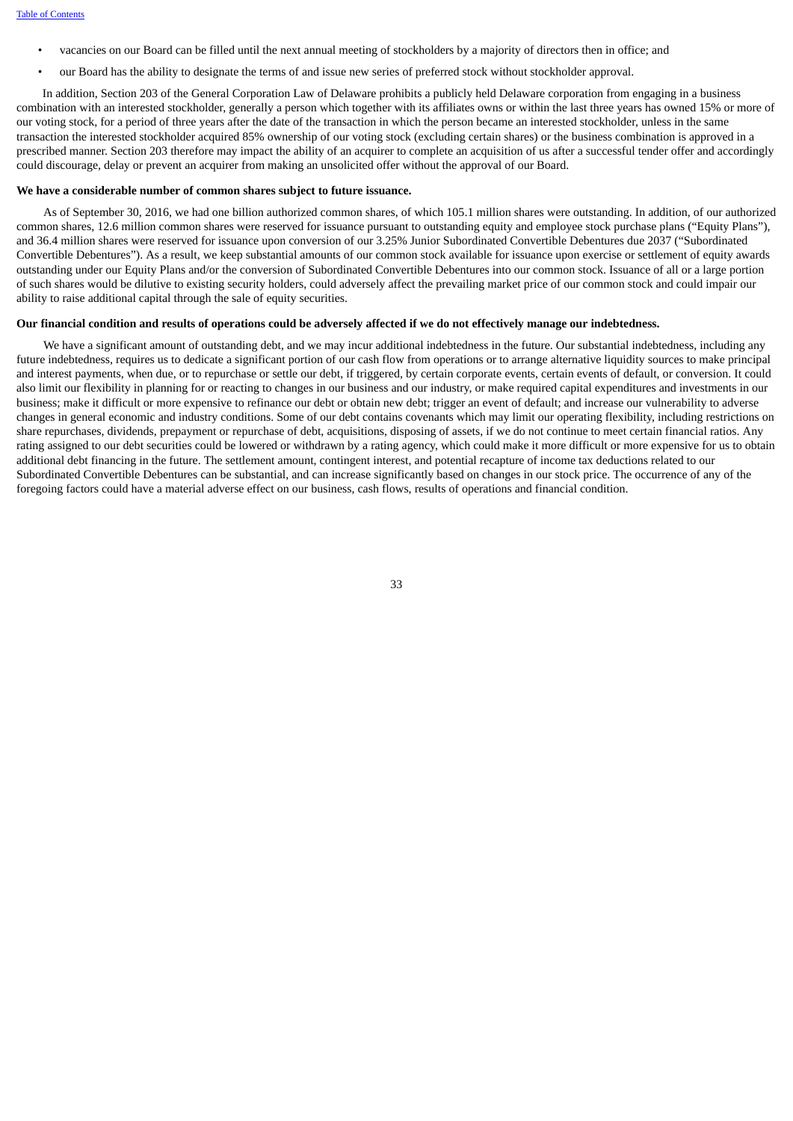- vacancies on our Board can be filled until the next annual meeting of stockholders by a majority of directors then in office; and
- our Board has the ability to designate the terms of and issue new series of preferred stock without stockholder approval.

In addition, Section 203 of the General Corporation Law of Delaware prohibits a publicly held Delaware corporation from engaging in a business combination with an interested stockholder, generally a person which together with its affiliates owns or within the last three years has owned 15% or more of our voting stock, for a period of three years after the date of the transaction in which the person became an interested stockholder, unless in the same transaction the interested stockholder acquired 85% ownership of our voting stock (excluding certain shares) or the business combination is approved in a prescribed manner. Section 203 therefore may impact the ability of an acquirer to complete an acquisition of us after a successful tender offer and accordingly could discourage, delay or prevent an acquirer from making an unsolicited offer without the approval of our Board.

#### **We have a considerable number of common shares subject to future issuance.**

As of September 30, 2016, we had one billion authorized common shares, of which 105.1 million shares were outstanding. In addition, of our authorized common shares, 12.6 million common shares were reserved for issuance pursuant to outstanding equity and employee stock purchase plans ("Equity Plans"), and 36.4 million shares were reserved for issuance upon conversion of our 3.25% Junior Subordinated Convertible Debentures due 2037 ("Subordinated Convertible Debentures"). As a result, we keep substantial amounts of our common stock available for issuance upon exercise or settlement of equity awards outstanding under our Equity Plans and/or the conversion of Subordinated Convertible Debentures into our common stock. Issuance of all or a large portion of such shares would be dilutive to existing security holders, could adversely affect the prevailing market price of our common stock and could impair our ability to raise additional capital through the sale of equity securities.

#### Our financial condition and results of operations could be adversely affected if we do not effectively manage our indebtedness.

We have a significant amount of outstanding debt, and we may incur additional indebtedness in the future. Our substantial indebtedness, including any future indebtedness, requires us to dedicate a significant portion of our cash flow from operations or to arrange alternative liquidity sources to make principal and interest payments, when due, or to repurchase or settle our debt, if triggered, by certain corporate events, certain events of default, or conversion. It could also limit our flexibility in planning for or reacting to changes in our business and our industry, or make required capital expenditures and investments in our business; make it difficult or more expensive to refinance our debt or obtain new debt; trigger an event of default; and increase our vulnerability to adverse changes in general economic and industry conditions. Some of our debt contains covenants which may limit our operating flexibility, including restrictions on share repurchases, dividends, prepayment or repurchase of debt, acquisitions, disposing of assets, if we do not continue to meet certain financial ratios. Any rating assigned to our debt securities could be lowered or withdrawn by a rating agency, which could make it more difficult or more expensive for us to obtain additional debt financing in the future. The settlement amount, contingent interest, and potential recapture of income tax deductions related to our Subordinated Convertible Debentures can be substantial, and can increase significantly based on changes in our stock price. The occurrence of any of the foregoing factors could have a material adverse effect on our business, cash flows, results of operations and financial condition.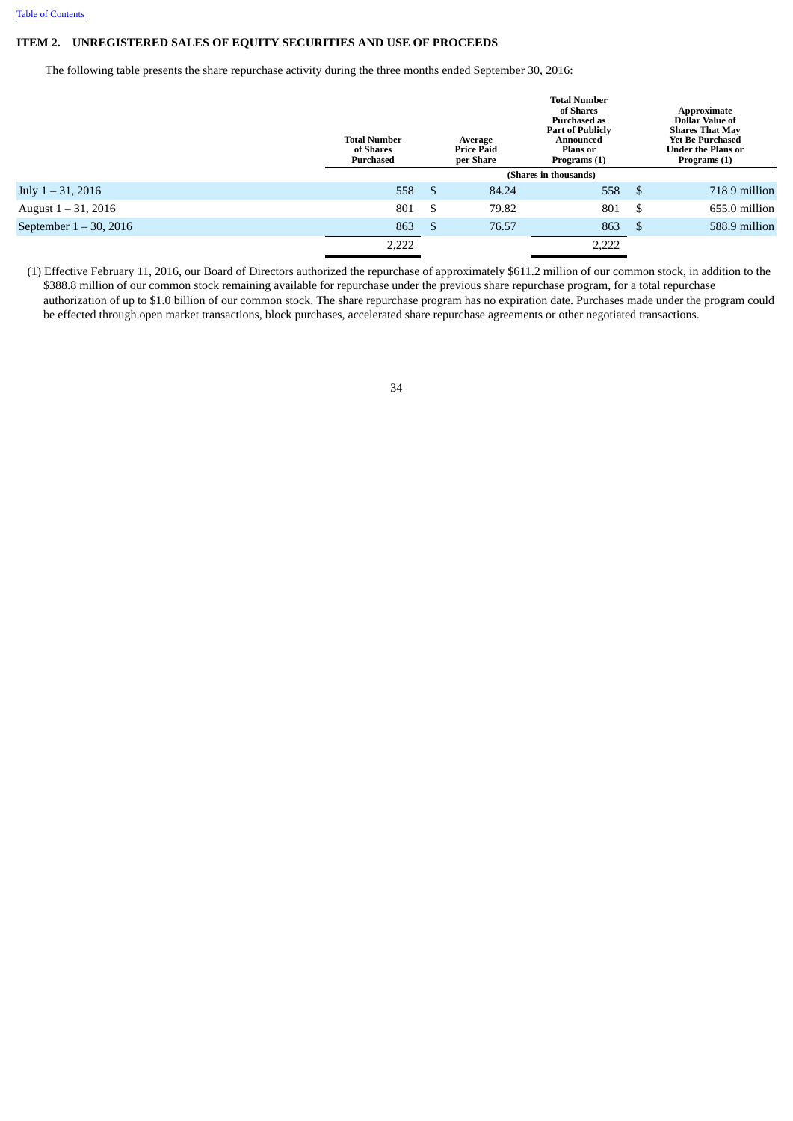# <span id="page-33-0"></span>**ITEM 2. UNREGISTERED SALES OF EQUITY SECURITIES AND USE OF PROCEEDS**

The following table presents the share repurchase activity during the three months ended September 30, 2016:

|                        | <b>Total Number</b><br>of Shares<br>Purchased | Average<br><b>Price Paid</b><br>per Share |                       | <b>Total Number</b><br>of Shares<br><b>Purchased as</b><br><b>Part of Publicly</b><br>Announced<br><b>Plans</b> or<br>Programs (1) |      |               |  | Approximate<br>Dollar Value of<br><b>Shares That May</b><br><b>Yet Be Purchased</b><br><b>Under the Plans or</b><br>Programs (1) |
|------------------------|-----------------------------------------------|-------------------------------------------|-----------------------|------------------------------------------------------------------------------------------------------------------------------------|------|---------------|--|----------------------------------------------------------------------------------------------------------------------------------|
|                        |                                               |                                           | (Shares in thousands) |                                                                                                                                    |      |               |  |                                                                                                                                  |
| July $1 - 31$ , 2016   | 558                                           | - \$                                      | 84.24                 | 558                                                                                                                                | - \$ | 718.9 million |  |                                                                                                                                  |
| August $1 - 31$ , 2016 | 801                                           | -S                                        | 79.82                 | 801                                                                                                                                | - \$ | 655.0 million |  |                                                                                                                                  |
| September 1 - 30, 2016 | 863                                           | <sup>\$</sup>                             | 76.57                 | 863                                                                                                                                | \$   | 588.9 million |  |                                                                                                                                  |
|                        | 2,222                                         |                                           |                       | 2,222                                                                                                                              |      |               |  |                                                                                                                                  |

(1) Effective February 11, 2016, our Board of Directors authorized the repurchase of approximately \$611.2 million of our common stock, in addition to the \$388.8 million of our common stock remaining available for repurchase under the previous share repurchase program, for a total repurchase authorization of up to \$1.0 billion of our common stock. The share repurchase program has no expiration date. Purchases made under the program could be effected through open market transactions, block purchases, accelerated share repurchase agreements or other negotiated transactions.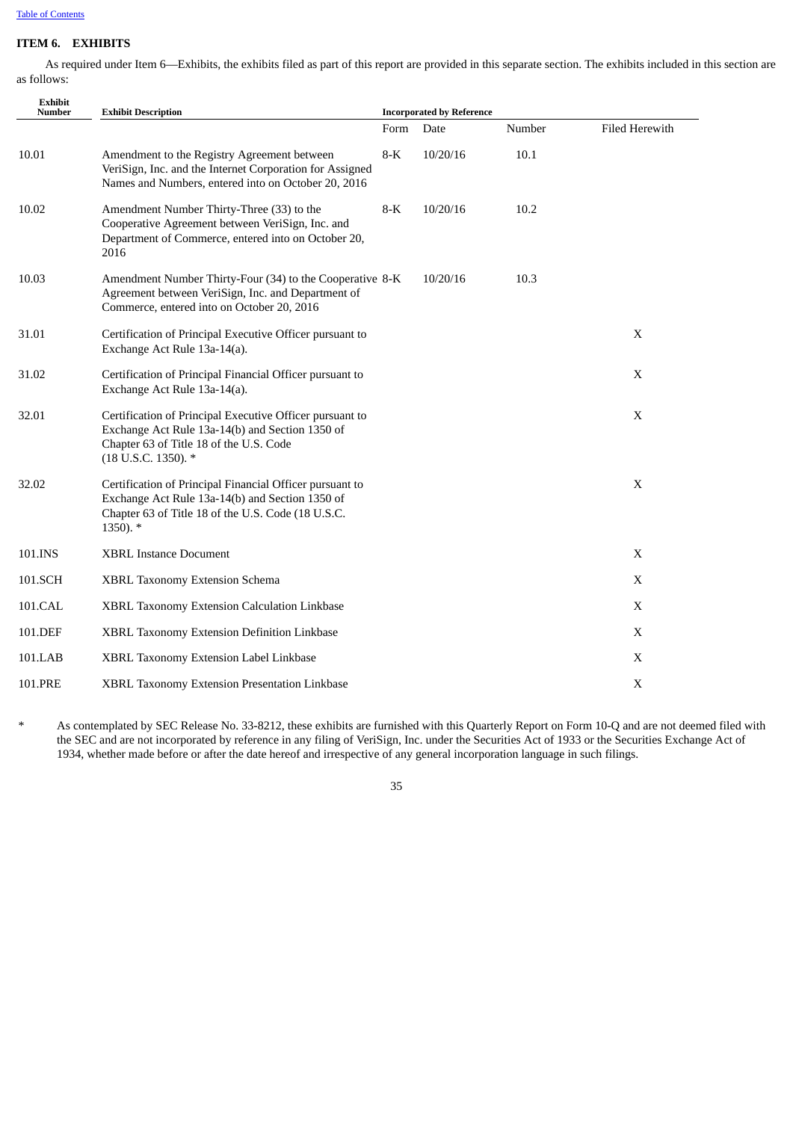# <span id="page-34-0"></span>**ITEM 6. EXHIBITS**

As required under Item 6—Exhibits, the exhibits filed as part of this report are provided in this separate section. The exhibits included in this section are as follows:

| <b>Exhibit</b><br>Number | <b>Exhibit Description</b>                                                                                                                                                    | <b>Incorporated by Reference</b> |          |        |                       |  |  |  |  |  |
|--------------------------|-------------------------------------------------------------------------------------------------------------------------------------------------------------------------------|----------------------------------|----------|--------|-----------------------|--|--|--|--|--|
|                          |                                                                                                                                                                               | Form                             | Date     | Number | <b>Filed Herewith</b> |  |  |  |  |  |
| 10.01                    | Amendment to the Registry Agreement between<br>VeriSign, Inc. and the Internet Corporation for Assigned<br>Names and Numbers, entered into on October 20, 2016                | $8-K$                            | 10/20/16 | 10.1   |                       |  |  |  |  |  |
| 10.02                    | Amendment Number Thirty-Three (33) to the<br>Cooperative Agreement between VeriSign, Inc. and<br>Department of Commerce, entered into on October 20,<br>2016                  | $8-K$                            | 10/20/16 | 10.2   |                       |  |  |  |  |  |
| 10.03                    | Amendment Number Thirty-Four (34) to the Cooperative 8-K<br>Agreement between VeriSign, Inc. and Department of<br>Commerce, entered into on October 20, 2016                  |                                  | 10/20/16 | 10.3   |                       |  |  |  |  |  |
| 31.01                    | Certification of Principal Executive Officer pursuant to<br>Exchange Act Rule 13a-14(a).                                                                                      |                                  |          |        | $\mathbf X$           |  |  |  |  |  |
| 31.02                    | Certification of Principal Financial Officer pursuant to<br>Exchange Act Rule 13a-14(a).                                                                                      |                                  |          |        | $\mathbf X$           |  |  |  |  |  |
| 32.01                    | Certification of Principal Executive Officer pursuant to<br>Exchange Act Rule 13a-14(b) and Section 1350 of<br>Chapter 63 of Title 18 of the U.S. Code<br>(18 U.S.C. 1350). * |                                  |          |        | X                     |  |  |  |  |  |
| 32.02                    | Certification of Principal Financial Officer pursuant to<br>Exchange Act Rule 13a-14(b) and Section 1350 of<br>Chapter 63 of Title 18 of the U.S. Code (18 U.S.C.<br>1350). * |                                  |          |        | $\mathbf X$           |  |  |  |  |  |
| 101.INS                  | <b>XBRL Instance Document</b>                                                                                                                                                 |                                  |          |        | X                     |  |  |  |  |  |
| 101.SCH                  | <b>XBRL Taxonomy Extension Schema</b>                                                                                                                                         |                                  |          |        | X                     |  |  |  |  |  |
| 101.CAL                  | XBRL Taxonomy Extension Calculation Linkbase                                                                                                                                  |                                  |          |        | X                     |  |  |  |  |  |
| 101.DEF                  | <b>XBRL Taxonomy Extension Definition Linkbase</b>                                                                                                                            |                                  |          |        | X                     |  |  |  |  |  |
| 101.LAB                  | XBRL Taxonomy Extension Label Linkbase                                                                                                                                        |                                  |          |        | X                     |  |  |  |  |  |
| 101.PRE                  | <b>XBRL Taxonomy Extension Presentation Linkbase</b>                                                                                                                          |                                  |          |        | X                     |  |  |  |  |  |

\* As contemplated by SEC Release No. 33-8212, these exhibits are furnished with this Quarterly Report on Form 10-Q and are not deemed filed with the SEC and are not incorporated by reference in any filing of VeriSign, Inc. under the Securities Act of 1933 or the Securities Exchange Act of 1934, whether made before or after the date hereof and irrespective of any general incorporation language in such filings.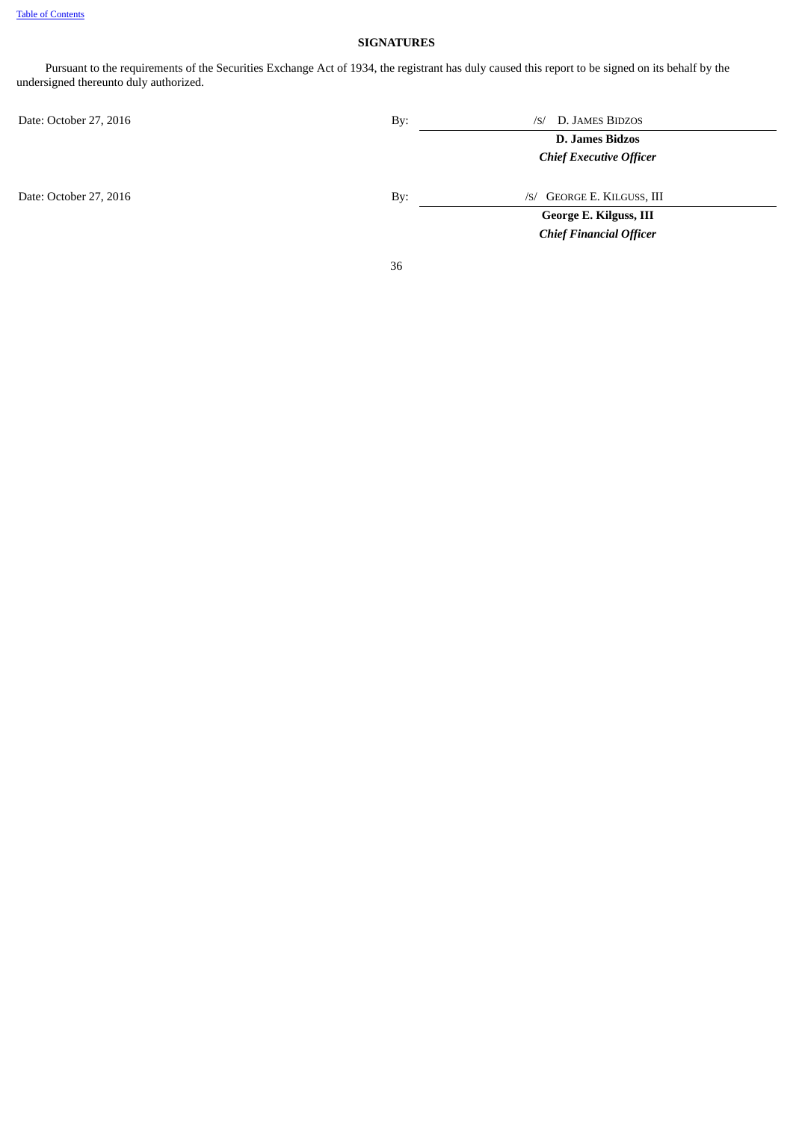# **SIGNATURES**

<span id="page-35-0"></span>Pursuant to the requirements of the Securities Exchange Act of 1934, the registrant has duly caused this report to be signed on its behalf by the undersigned thereunto duly authorized.

Date: October 27, 2016 **By:** *By: By: By: By: By:* **By: By: By: By: By: By: By: By: By: By: By: By: By: By: By: By: By: By: By: By: By: By: By: By: By: By: By: D. James Bidzos** *Chief Executive Officer* Date: October 27, 2016 **By:** *By: /S/ GEORGE E. KILGUSS, III* **George E. Kilguss, III** *Chief Financial Officer*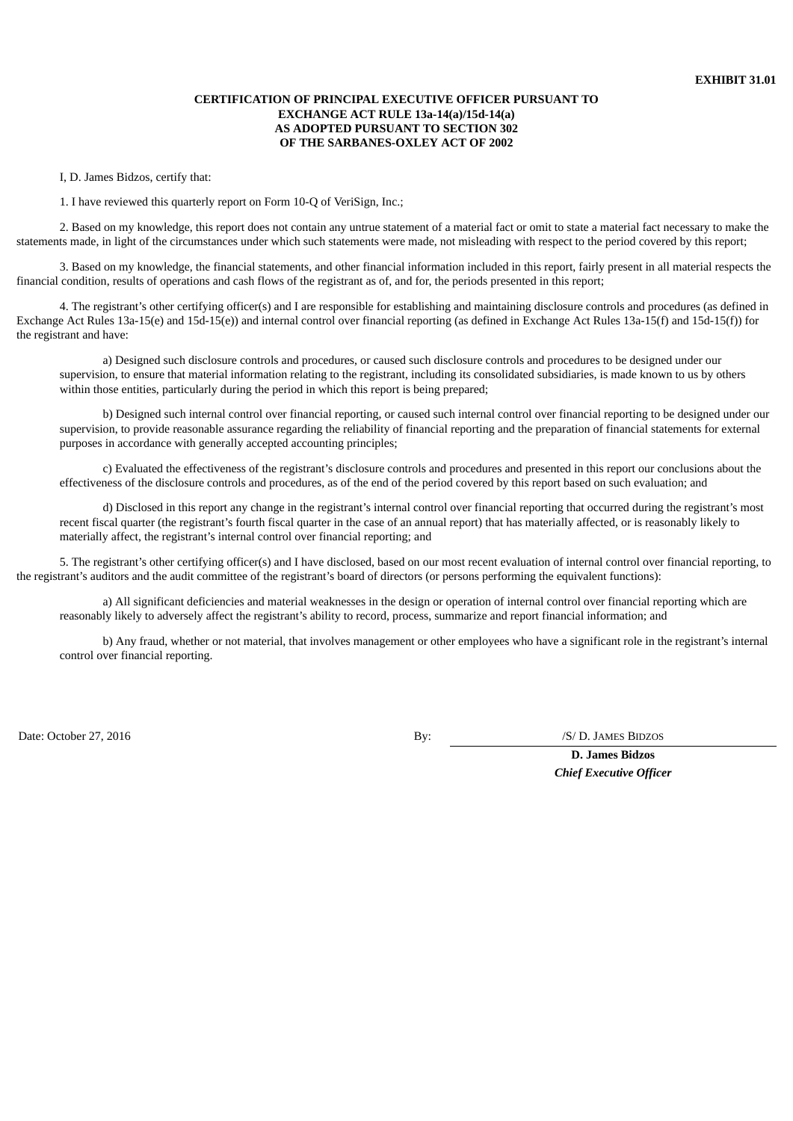# **CERTIFICATION OF PRINCIPAL EXECUTIVE OFFICER PURSUANT TO EXCHANGE ACT RULE 13a-14(a)/15d-14(a) AS ADOPTED PURSUANT TO SECTION 302 OF THE SARBANES-OXLEY ACT OF 2002**

I, D. James Bidzos, certify that:

1. I have reviewed this quarterly report on Form 10-Q of VeriSign, Inc.;

2. Based on my knowledge, this report does not contain any untrue statement of a material fact or omit to state a material fact necessary to make the statements made, in light of the circumstances under which such statements were made, not misleading with respect to the period covered by this report;

3. Based on my knowledge, the financial statements, and other financial information included in this report, fairly present in all material respects the financial condition, results of operations and cash flows of the registrant as of, and for, the periods presented in this report;

4. The registrant's other certifying officer(s) and I are responsible for establishing and maintaining disclosure controls and procedures (as defined in Exchange Act Rules 13a-15(e) and 15d-15(e)) and internal control over financial reporting (as defined in Exchange Act Rules 13a-15(f) and 15d-15(f)) for the registrant and have:

a) Designed such disclosure controls and procedures, or caused such disclosure controls and procedures to be designed under our supervision, to ensure that material information relating to the registrant, including its consolidated subsidiaries, is made known to us by others within those entities, particularly during the period in which this report is being prepared;

b) Designed such internal control over financial reporting, or caused such internal control over financial reporting to be designed under our supervision, to provide reasonable assurance regarding the reliability of financial reporting and the preparation of financial statements for external purposes in accordance with generally accepted accounting principles;

c) Evaluated the effectiveness of the registrant's disclosure controls and procedures and presented in this report our conclusions about the effectiveness of the disclosure controls and procedures, as of the end of the period covered by this report based on such evaluation; and

d) Disclosed in this report any change in the registrant's internal control over financial reporting that occurred during the registrant's most recent fiscal quarter (the registrant's fourth fiscal quarter in the case of an annual report) that has materially affected, or is reasonably likely to materially affect, the registrant's internal control over financial reporting; and

5. The registrant's other certifying officer(s) and I have disclosed, based on our most recent evaluation of internal control over financial reporting, to the registrant's auditors and the audit committee of the registrant's board of directors (or persons performing the equivalent functions):

a) All significant deficiencies and material weaknesses in the design or operation of internal control over financial reporting which are reasonably likely to adversely affect the registrant's ability to record, process, summarize and report financial information; and

b) Any fraud, whether or not material, that involves management or other employees who have a significant role in the registrant's internal control over financial reporting.

Date: October 27, 2016 **By:** *By: By: By: By: S/D. JAMES BIDZOS* 

**D. James Bidzos** *Chief Executive Officer*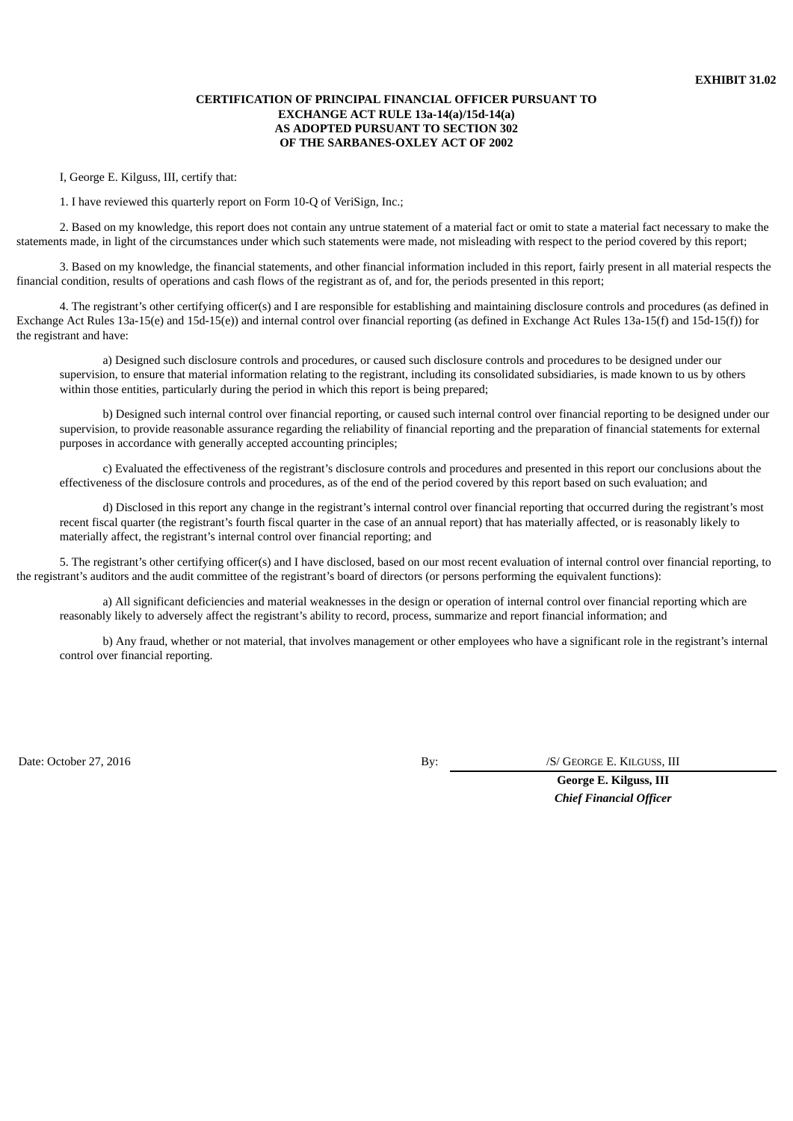# **CERTIFICATION OF PRINCIPAL FINANCIAL OFFICER PURSUANT TO EXCHANGE ACT RULE 13a-14(a)/15d-14(a) AS ADOPTED PURSUANT TO SECTION 302 OF THE SARBANES-OXLEY ACT OF 2002**

I, George E. Kilguss, III, certify that:

1. I have reviewed this quarterly report on Form 10-Q of VeriSign, Inc.;

2. Based on my knowledge, this report does not contain any untrue statement of a material fact or omit to state a material fact necessary to make the statements made, in light of the circumstances under which such statements were made, not misleading with respect to the period covered by this report;

3. Based on my knowledge, the financial statements, and other financial information included in this report, fairly present in all material respects the financial condition, results of operations and cash flows of the registrant as of, and for, the periods presented in this report;

4. The registrant's other certifying officer(s) and I are responsible for establishing and maintaining disclosure controls and procedures (as defined in Exchange Act Rules 13a-15(e) and 15d-15(e)) and internal control over financial reporting (as defined in Exchange Act Rules 13a-15(f) and 15d-15(f)) for the registrant and have:

a) Designed such disclosure controls and procedures, or caused such disclosure controls and procedures to be designed under our supervision, to ensure that material information relating to the registrant, including its consolidated subsidiaries, is made known to us by others within those entities, particularly during the period in which this report is being prepared;

b) Designed such internal control over financial reporting, or caused such internal control over financial reporting to be designed under our supervision, to provide reasonable assurance regarding the reliability of financial reporting and the preparation of financial statements for external purposes in accordance with generally accepted accounting principles;

c) Evaluated the effectiveness of the registrant's disclosure controls and procedures and presented in this report our conclusions about the effectiveness of the disclosure controls and procedures, as of the end of the period covered by this report based on such evaluation; and

d) Disclosed in this report any change in the registrant's internal control over financial reporting that occurred during the registrant's most recent fiscal quarter (the registrant's fourth fiscal quarter in the case of an annual report) that has materially affected, or is reasonably likely to materially affect, the registrant's internal control over financial reporting; and

5. The registrant's other certifying officer(s) and I have disclosed, based on our most recent evaluation of internal control over financial reporting, to the registrant's auditors and the audit committee of the registrant's board of directors (or persons performing the equivalent functions):

a) All significant deficiencies and material weaknesses in the design or operation of internal control over financial reporting which are reasonably likely to adversely affect the registrant's ability to record, process, summarize and report financial information; and

b) Any fraud, whether or not material, that involves management or other employees who have a significant role in the registrant's internal control over financial reporting.

Date: October 27, 2016 **By:** *By: By: By: S/ GEORGE E. KILGUSS, III* 

**George E. Kilguss, III** *Chief Financial Officer*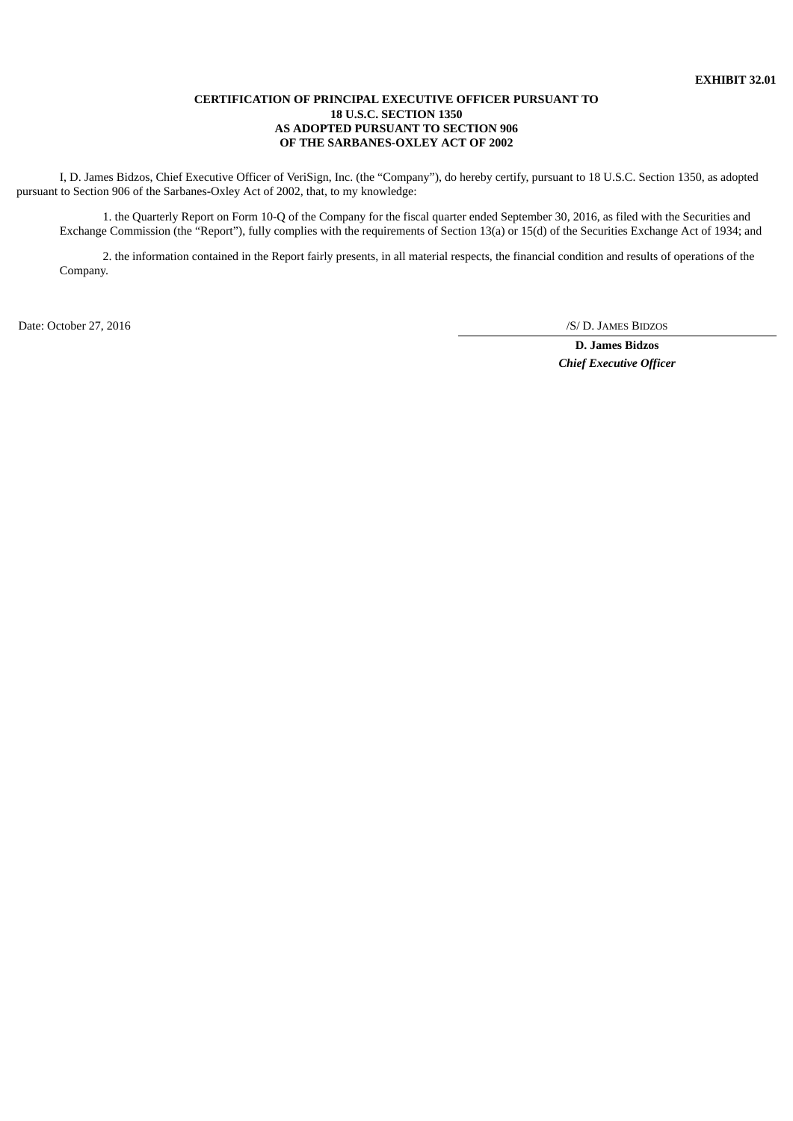# **CERTIFICATION OF PRINCIPAL EXECUTIVE OFFICER PURSUANT TO 18 U.S.C. SECTION 1350 AS ADOPTED PURSUANT TO SECTION 906 OF THE SARBANES-OXLEY ACT OF 2002**

I, D. James Bidzos, Chief Executive Officer of VeriSign, Inc. (the "Company"), do hereby certify, pursuant to 18 U.S.C. Section 1350, as adopted pursuant to Section 906 of the Sarbanes-Oxley Act of 2002, that, to my knowledge:

1. the Quarterly Report on Form 10-Q of the Company for the fiscal quarter ended September 30, 2016, as filed with the Securities and Exchange Commission (the "Report"), fully complies with the requirements of Section 13(a) or 15(d) of the Securities Exchange Act of 1934; and

2. the information contained in the Report fairly presents, in all material respects, the financial condition and results of operations of the Company.

Date: October 27, 2016 /S/ D. JAMES BIDZOS

**D. James Bidzos** *Chief Executive Officer*